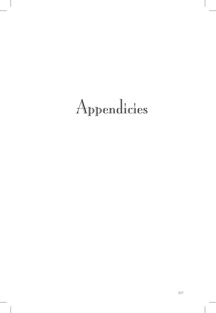# Appendicies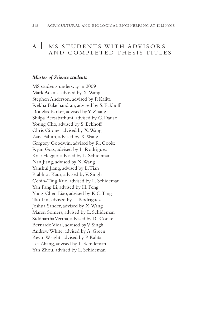#### 218 | AGRICULTURAL AND BIOLOGICAL ENGINEERING AT ILLINOIS

# A | MS STUDENTS WITH ADVISORS AND COMPLETED THESIS TITLES

### *Master of Science students*

MS students underway in 2009 Mark Adams, advised by X. Wang Stephen Anderson, advised by P. Kalita Rekha Balachandran, advised by S. Eckhoff Douglas Barker, advised by Y. Zhang Shilpa Beesabathuni, advised by G. Danao Young Cho, advised by S. Eckhoff Chris Cirone, advised by X. Wang Zara Fahim, advised by X. Wang Gregory Goodwin, advised by R. Cooke Ryan Goss, advised by L. Rodriguez Kyle Hegger, advised by L. Schideman Nan Jiang, advised by X. Wang Yanshui Jiang, advised by L.Tian Prabhjot Kaur, advised by V. Singh Cchih-Ting Kuo, advised by L. Schideman Yan Fang Li, advised by H. Feng Yung-Chen Liao, advised by K.C.Ting Tao Lin, advised by L. Rodriguez Joshua Sander, advised by X. Wang Maren Somers, advised by L. Schideman Siddhartha Verma, advised by R. Cooke Bernardo Vidal, advised by V. Singh Andrew White, advised by A. Green Kevin Wright, advised by P. Kalita Lei Zhang, advised by L. Schideman Yan Zhou, advised by L. Schideman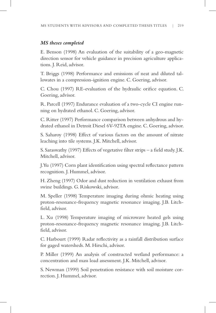### *MS theses completed*

E. Benson (1998) An evaluation of the suitability of a geo-magnetic direction sensor for vehicle guidance in precision agriculture applications. J. Reid, advisor.

T. Briggs (1998) Performance and emissions of neat and diluted tallowates in a compression-ignition engine. C. Goering, advisor.

C. Chou (1997) RE-evaluation of the hydraulic orifice equation. C. Goering, advisor.

R. Parcell (1997) Endurance evaluation of a two-cycle CI engine running on hydrated ethanol. C. Goering, advisor.

C. Ritter (1997) Performance comparison between anhydrous and hydrated ethanol in Detroit Diesel 6V-92TA engine. C. Goering, advisor.

S. Saharoy (1998) Effect of various factors on the amount of nitrate leaching into tile systems. J.K. Mitchell, advisor.

S. Saraswathy (1997) Effects of vegetative filter strips – a field study. J.K. Mitchell, advisor.

J.Yu (1997) Corn plant identification using spectral reflectance pattern recognition. J. Hummel, advisor.

H. Zheng (1997) Odor and dust reduction in ventilation exhaust from swine buildings. G. Riskowski, advisor.

M. Speller (1998) Temperature imaging during ohmic heating using proton-resonance-frequency magnetic resonance imaging. J.B. Litchfield, advisor.

L. Xu (1998) Temperature imaging of microwave heated gels using proton-resonance-frequency magnetic resonance imaging. J.B. Litchfield, advisor.

C. Harbourt (1999) Radar reflectivity as a rainfall distribution surface for gaged watersheds. M. Hirschi, advisor.

P. Miller (1999) An analysis of constructed wetland performance: a concentration and mass load assessment. J.K. Mitchell, advisor.

S. Newman (1999) Soil penetration resistance with soil moisture correction. J. Hummel, advisor.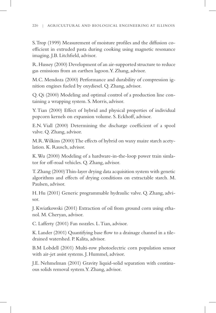S.Trop (1999) Measurement of moisture profiles and the diffusion coefficient in extruded pasta during cooking using magnetic resonance imaging. J.B. Litchfield, advisor.

R.Hussey (2000) Development of an air-supported structure to reduce gas emissions from an earthen lagoon.Y. Zhang, advisor.

M.C. Mendoza (2000) Performance and durability of compression ignition engines fueled by oxydiesel. Q. Zhang, advisor.

Q. Qi (2000) Modeling and optimal control of a production line containing a wrapping system. S. Morris, advisor.

Y.Tian (2000) Effect of hybrid and physical properties of individual popcorn kernels on expansion volume. S. Eckhoff, advisor.

E.N. Viall (2000) Determining the discharge coefficient of a spool valve. Q. Zhang, advisor.

M.R. Wilkins (2000) The effects of hybrid on waxy maize starch acetylation. K. Rausch, advisor.

K. Wu (2000) Modeling of a hardware-in-the-loop power train simlator for off-road vehicles. Q. Zhang, advisor.

T. Zhang (2000) Thin-layer drying data acquisition system with genetic algorithms and effects of drying conditions on extractable starch. M. Paulsen, advisor.

H. Hu (2001) Generic programmable hydraulic valve. Q. Zhang, advisor.

J. Kwiatkowski (2001) Extraction of oil from ground corn using ethanol. M. Cheryan, advisor.

C. Lafferty (2001) Fan nozzles. L.Tian, advisor.

K. Lander (2001) Quantifying base flow to a drainage channel in a tiledrained watershed. P. Kalita, advisor.

B.M Lobdell (2001) Multi-row photoelectric corn population sensor with air-jet assist systems. J. Hummel, advisor.

J.E. Nehmelman (2001) Gravity liquid-solid separation with continuous solids removal system.Y. Zhang, advisor.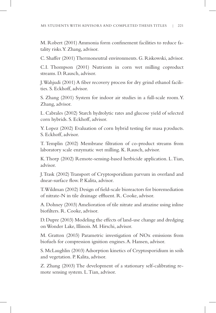M. Robert (2001) Ammonia form confinement facilities to reduce fatality risks.Y. Zhang, advisor.

C. Shaffer (2001) Thermoneutral environments. G. Riskowski, advisor.

C.I. Thompson (2001) Nutrients in corn wet milling coproduct streams. D. Rausch, advisor.

J. Wahjudi (2001) A fiber recovery process for dry grind ethanol facilities. S. Eckhoff, advisor.

S. Zhang (2001) System for indoor air studies in a full-scale room.Y. Zhang, advisor.

L. Cabrales (2002) Starch hydrolytic rates and glucose yield of selected corn hybrids. S. Eckhoff, advisor.

Y. Lopez (2002) Evaluation of corn hybrid testing for masa p;roducts. S. Eckhoff, advisor.

T. Templin (2002) Membrane filtration of co-product streams from laboratory scale enzymatic wet milling. K. Rausch, advisor.

K.Thorp (2002) Remote-sensing-based herbicide application. L.Tian, advisor.

J.Trask (2002) Transport of Cryptosporidium parvum in overland and dnear-surface flow. P. Kalita, advisor.

T. Wildman (2002) Design of field-scale bioreactors for bioremediation of nitrate-N in tile drainage effluent. R. Cooke, advisor.

A. Dohney (2003) Amelioration of tile nitrate and atrazine using inline biofilters. R. Cooke, advisor.

D.Dupre (2003) Modeling the effects of land-use change and dredging on Wonder Lake, Illinois. M. Hirschi, advisor.

M. Gratton (2003) Parametric investigation of NOx emissions from biofuels for compression ignition engines.A. Hansen, advisor.

S. McLaughlin (2003) Adsorption kinetics of Cryptosporidium in soils and vegetation. P. Kalita, advisor.

Z. Zhang (2003) The development of a stationary self-calibrating remote sensing system. L.Tian, advisor.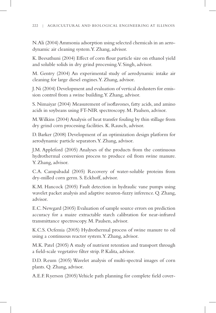N.Ali (2004) Ammonia adsorption using selected chemicals in an aerodynamic air cleaning system.Y. Zhang, advisor.

K. Beesathuni (2004) Effect of corn flour particle size on ethanol yield and soluble solids in dry grind processing.V. Singh, advisor.

M. Gentry (2004) An experimental study of aerodynamic intake air cleaning for large diesel engines.Y. Zhang, advisor.

J.Ni (2004) Development and evaluation of vertical dedusters for emission control from a swine building.Y. Zhang, advisor.

S. Nimaiyar (2004) Measurement of isoflavones, fatty acids, and amino acids in soybeans using FT-NIR spectroscopy. M. Paulsen, advisor.

M. Wilkins (2004) Analysis of heat transfer fouling by thin stillage from dry grind corn processing facilities. K. Rausch, advisor.

D. Barker (2008) Development of an optimization design platform for aerodynamic particle separators.Y. Zhang, advisor.

J.M. Appleford (2005) Analyses of the products from the continuous hydrothermal conversion process to produce oil from swine manure. Y. Zhang, advisor.

C.A. Campabadal (2005) Recovery of water-soluble proteins from dry-milled corn germ. S. Eckhoff, advisor.

K.M. Hancock (2005) Fault detection in hydraulic vane pumps using wavelet packet analysis and adaptive neuron-fuzzy inference. Q. Zhang, advisor.

E.C. Newgard (2005) Evaluation of sample source errors on prediction accuracy for a maize extractable starch calibration for near-infrared transmittance spectroscopy. M. Paulsen, advisor.

K.C.S. Ocfemia (2005) Hydrothermal process of swine manure to oil using a continuous reactor system.Y. Zhang, advisor.

M.K. Patel (2005) A study of nutrient retention and transport through a field-scale vegetative filter strip. P. Kalita, advisor.

D.D. Reum (2005) Wavelet analysis of multi-spectral images of corn plants. Q. Zhang, advisor.

A.E.F. Ryerson (2005) Vehicle path planning for complete field cover-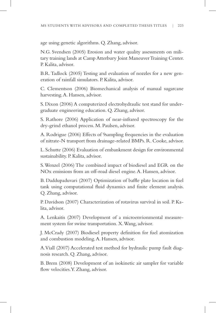age using genetic algorithms. Q. Zhang, advisor.

N.G. Svendsen (2005) Erosion and water quality assessments on military training lands at Camp Atterbury Joint Maneuver Training Center. P. Kalita, advisor.

B.R.Tadlock (2005) Testing and evaluation of nozzles for a new generation of rainfall simulators. P. Kalita, advisor.

C. Clementson (2006) Biomechanical analysis of manual sugarcane harvesting.A. Hansen, advisor.

S. Dixon (2006) A computerized electrohydraulic test stand for undergraduate engineering education. Q. Zhang, advisor.

S. Rathore (2006) Application of near-infrared spectroscopy for the dry-grind ethanol process. M. Paulsen, advisor.

A. Rodrigue (2006) Effects of 9sampling frequencies in the evaluation of nitrate-N transport from drainage-related BMPs. R. Cooke, advisor.

L. Schutte (2006) Evaluation of embankment design for environmental sustainability. P. Kalita, advisor.

S. Wenzel (2006) The combined impact of biodiesel and EGR on the NOx emissions from an off-road diesel engine.A. Hansen, advisor.

B. Daddupaduvari (2007) Optimization of baffle plate location in fuel tank using computational fluid dynamics and finite element analysis. Q. Zhang, advisor.

P. Davidson (2007) Characterization of rotavirus survival in soil. P. Kalita, advisor.

A. Lenkaitis (2007) Development of a microenvionmental measurement system for swine transportation. X. Wang, advisor.

J. McCrady (2007) Biodiesel property definition for fuel atomization and combustion modeling.A. Hansen, advisor.

A.Viall (2007) Accelerated test method for hydraulic pump fault diagnosis research. Q. Zhang, advisor.

B. Brem (2008) Development of an isokinetic air sampler for variable flow velocities.Y. Zhang, advisor.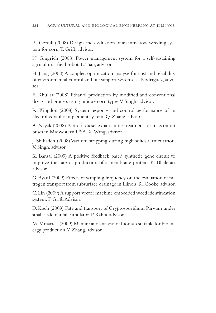#### 224 | AGRICULTURAL AND BIOLOGICAL ENGINEERING AT ILLINOIS

R. Cordill (2008) Design and evaluation of an intra-row weeding system for corn.T. Grift, advisor.

N. Gingrich (2008) Power management system for a self-sustaining agricultural field robot. L.Tian, advisor.

H. Jiang (2008) A coupled optimization analysis for cost and reliability of environmental control and life support systems. L. Rodriguez, advisor.

E. Khullar (2008) Ethanol production by modified and conventional dry grind process using unique corn types.V. Singh, advisor.

R. Kingdon (2008) System response and control performance of an electrohydraulic implement system. Q. Zhang, advisor.

A.Nayak (2008) Retrofit diesel exhaust after treatment for mass transit buses in Midwestern USA. X. Wang, advisor.

J. Shihadeh (2008) Vacuum stripping during high solids fermentation. V. Singh, advisor.

K. Bansal (2009) A positive feedback based synthetic gene circuit to improve the rate of production of a membrane protein. K. Bhalerao, advisor.

G. Byard (2009) Effects of sampling frequency on the evaluation of nitrogen transport from subsurface drainage in Illinois.R.Cooke, advisor.

C.Lin (2009) A support vector machine embedded weed identification system.T. Grift, Advisor.

D. Koch (2009) Fate and transport of Cryptosporidium Parvum under small scale rainfall simulator. P. Kalita, advisor.

M.Minarick (2009) Manure and analysis of biomass suitable for bioenergy production.Y. Zhang, advisor.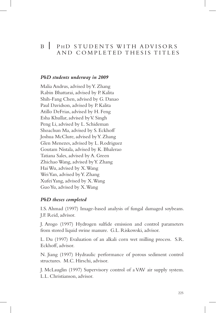### B | PHD STUDENTS WITH ADVISORS AND COMPLETED THESIS TITLES

### *PhD students underway in 2009*

Malia Andrus, advised by Y. Zhang Rabin Bhattarai, advised by P. Kalita Shih-Fang Chen, advised by G. Danao Paul Davidson, advised by P. Kalita Atillo DeFrias, advised by H. Feng Esha Khullar, advised by V. Singh Peng Li, advised by L. Schideman Shoachun Ma, advised by S. Eckhoff Joshua McClure, advised by Y. Zhang Glen Menezes, advised by L. Rodriguez Goutam Nistala, advised by K. Bhalerao Tatiana Sales, advised by A. Green Zhichao Wang, advised by Y. Zhang Hai Wu, advised by X. Wang Wei Yan, advised by Y. Zhang Xufei Yang, advised by X. Wang Guo Yu, advised by X. Wang

### *PhD theses completed*

I.S. Ahmad (1997) Image-based analysis of fungal damaged soybeans. J.F. Reid, advisor.

J. Arogo (1997) Hydrogen sulfide emission and control parameters from stored liquid swine manure. G.L. Riskowski, advisor.

L. Du (1997) Evaluation of an alkali corn wet milling process. S.R. Eckhoff, advisor.

N. Jiang (1997) Hydraulic performance of porous sediment control structures. M.C. Hirschi, advisor.

J. McLauglin (1997) Supervisory control of a VAV air supply system. L.L. Christianson, advisor.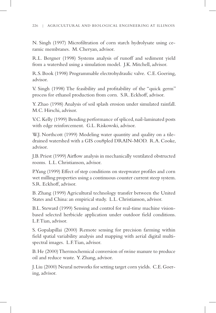N. Singh (1997) Microfiltration of corn starch hydrolysate using ceramic membranes. M. Cheryan, advisor.

R.L. Bergner (1998) Systems analysis of runoff and sediment yield from a watershed using a simulation model. J.K. Mitchell, advisor.

R.S.Book (1998) Programmable electrohydraulic valve. C.E.Goering, advisor.

V. Singh (1998) The feasibility and profitability of the "quick germ" process for ethanol production from corn. S.R. Eckhoff, advisor.

Y. Zhao (1998) Analysis of soil splash erosion under simulated rainfall. M.C. Hirschi, advisor.

V.C. Kelly (1999) Bending performance of spliced, nail-laminated posts with edge reinforcement. G.L. Riskowski, advisor.

W.J. Northcott (1999) Modeling water quantity and quality on a tiledrained watershed with a GIS cou8pled DRAIN-MOD. R.A. Cooke, advisor.

J.B.Priest (1999) Airflow analysis in mechanically ventilated obstructed rooms. L.L. Christianson, advisor.

P.Yang (1999) Effect of step conditions on steepwater profiles and corn wet milling properties using a continuous counter current steep system. S.R. Eckhoff, advisor.

B. Zhang (1999) Agricultural technology transfer between the United States and China: an empirical study. L.L. Christianson, advisor.

B.L. Steward (1999) Sensing and control for real-time machine visionbased selected herbicide application under outdoor field conditions. L.F.Tian, advisor.

S. Gopalapillai (2000) Remote sensing for precision farming within field spatial variability analysis and mapping with aerial digital multispectral images. L.F.Tian, advisor.

B.He (2000) Thermochemical conversion of swine manure to produce oil and reduce waste. Y. Zhang, advisor.

J.Liu (2000) Neural networks for setting target corn yields. C.E.Goering, advisor.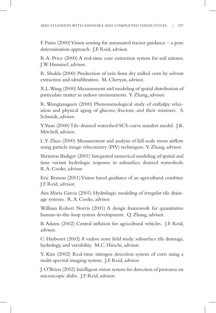F. Pinto (2000) Vision sensing for automated tractor guidance – a pose determination approach. J.F. Reid, advisor.

R.A. Price (2000) A real-time core extraction system for soil nitrates. J.W. Hummel, advisor.

R. Shukla (2000) Production of zein from dry milled corn by solvent extraction and ultrafiltration. M. Cheryan, advisor.

X.L. Wang (2000) Measurement and modeling of spatial distribution of particulate matter in indoor environments. Y. Zhang, advisor.

R. Wungtanagorn (2000) Phenomenological study of enthalpy relaxation and physical aging of glucose, fructose, and their mixtures. S. Schmidt, advisor.

Y.Yuan (2000) Tile-drained watershed SCS-curve number model. J.K. Mitchell, advisor.

L.Y. Zhao (2000) Measurement and analysis of full-scale room airflow using particle image velocimetry (PIV) techniques. Y. Zhang, advisor.

Shrinivas Badiger (2001) Integrated numerical modeling of spatial and time variant hydrologic response in subsurface drained watersheds. R.A. Cooke, advisor.

Eric Benson (2001) Vision based guidance of an agricultural combine. J.F. Reid, advisor.

Ana Maria Garcia (2001) Hydrologic modeling of irregular tile drainage systems. R.A. Cooke, advisor.

William Robert Norris (2001) A design framework for quantitative human-in-the-loop system development. Q. Zhang, advisor.

B.Adams (2002) Central inflation for agricultural vehicles. J.F. Reid, advisor.

C. Harbourt (2002) A vadose zone field study: subsurface tile drainage, hydrology, and variability. M.C. Hirschi, advisor.

Y. Kim (2002) Real-time nitrogen detection system of corn using a multi-spectral imaging system. J.F. Reid, advisor.

J.O'Brien (2002) Intelligent vision system for detection of protozoa on microscopic slides. J.F. Reid, advisor.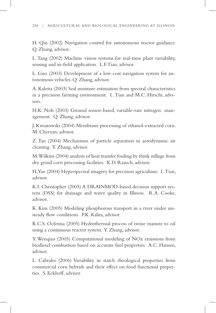H. Qiu (2002) Navigation control for autonomous tractor guidance. Q. Zhang, advisor.

L.Tang (2002) Machine vision systems for real-time plant variability, sensing and in-field application. L.F.Tian, advisor.

L. Guo (2003) Development of a low-cost navigation system for autonomous vehicles. Q. Zhang, advisor.

A. Kaleita (2003) Soil moisture estimation from spectral characteristics in a precision farming environment. L.Tian and M.C. Hirschi, advisors.

H.K. Noh (2003) Ground sensor-based, variable-rate nitrogen management. Q. Zhang, advisor.

J. Kwiatowski (2004) Membrane processing of ethanol-extracted corn. M. Cheryan, advisor.

Z. Tan (2004) Mechanisms of particle separation in aerodynamic air cleaning. Y. Zhang, advisor.

M. Wilkins (2004) analysis of heat transfer fouling by think stillage from dry grind corn processing facilities. K.D. Rausch, advisor.

H, Yao (2004) Hyperspectral imagery for precision agriculture. L.Tian, advisor.

K.I. Christopher (2005) A DRAINMOD-based decision support system (DSS) for drainage and water quality in Illinois. R.A. Cooke, advisor.

K. Kim (2005) Modeling phosphorous transport in a river under unsteady flow conditions. P.K. Kalita, advisor.

K.C.S. Ocfemia (2005) Hydrothermal process of swine manure to oil using a continuous reactor system. Y. Zhang, advisor.

Y. Wenqiao (2005) Computational modeling of NOx emissions from biodiesel combustion based on accurate fuel properties. A.C. Hansen, advisor.

L. Cabrales (2006) Variability in starch rheological properties from commercial corn hybrids and their effect on food functional properties. S. Eckhoff, advisor.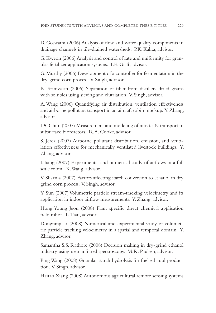D. Goswami (2006) Analysis of flow and water quality components in drainage channels in tile-drained watersheds. P.K. Kalita, advisor.

G. Kweon (2006) Analysis and control of rate and uniformity for granular fertilizer application systems. T.E. Grift, advisor.

G.Murthy (2006) Development of a controller for fermentation in the dry-grind corn process. V. Singh, advisor.

R. Srinivasan (2006) Separation of fiber from distillers dried grains with solubles using sieving and elutriation. V. Singh, advisor.

A. Wang (2006) Quantifying air distribution, ventilation effectiveness and airborne pollutant transport in an aircraft cabin mockup. Y. Zhang, advisor.

J.A.Chun (2007) Measurement and modeling of nitrate-N transport in subsurface bioreactors. R.A. Cooke, advisor.

S. Jerez (2007) Airborne pollutant distribution, emission, and ventilation effectiveness for mechanically ventilated livestock buildings. Y. Zhang, advisor.

J. Jiang (2007) Experimental and numerical study of airflows in a full scale room. X. Wang, advisor.

V. Sharma (2007) Factors affecting starch conversion to ethanol in dry grind corn process. V. Singh, advisor.

Y. Sun (2007) Volumetric particle stream-tracking velocimetry and its application in indoor airflow measurements. Y. Zhang, advisor.

Hong Young Jeon (2008) Plant specific direct chemical application field robot. L.Tian, advisor.

Dongning Li (2008) Numerical and experimental study of volumetric particle tracking velocimetry in a spatial and temporal domain. Y. Zhang, advisor.

Samantha S.S. Rathore (2008) Decision making in dry-grind ethanol industry using near-infrared spectroscopy. M.R. Paulsen, advisor.

Ping Wang (2008) Granular starch hydrolysis for fuel ethanol production. V. Singh, advisor.

Haitao Xiang (2008) Autonomous agricultural remote sensing systems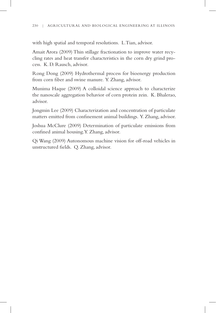with high spatial and temporal resolutions. L.Tian, advisor.

Amait Arora (2009) Thin stillage fractionation to improve water recycling rates and heat transfer characteristics in the corn dry grind process. K. D. Rausch, advisor.

Rong Dong (2009) Hydrothermal process for bioenergy production from corn fiber and swine manure. Y. Zhang, advisor.

Munima Haque (2009) A colloidal science approach to characterize the nanoscale aggregation behavior of corn protein zein. K. Bhalerao, advisor.

Jongmin Lee (2009) Characterization and concentration of particulate matters emitted from confinement animal buildings. Y. Zhang, advisor.

Joshua McClure (2009) Determination of particulate emissions from confined animal housing.Y. Zhang, advisor.

Qi Wang (2009) Autonomous machine vision for off-road vehicles in unstructured fields. Q. Zhang, advisor.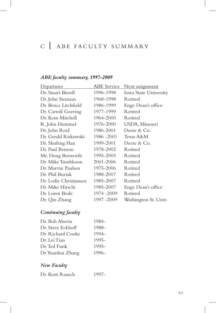# <sup>C</sup>| ABE FACULTY SUMMARY

# *ABE faculty summary, 1997-2009*

| <u>Departures</u>       | ABE Service | <u>Next assignment</u> |
|-------------------------|-------------|------------------------|
| Dr. Stuart Birrell      | 1996-1998   | Iowa State University  |
| Dr. John Siemens        | 1968-1998   | <b>Retired</b>         |
| Dr. Bruce Litchfield    | 1986-1999   | Engr. Dean's office    |
| Dr. Carroll Goering     | 1977-1999   | Retired                |
| Dr. Kent Mitchell       | 1964-2000   | <b>Retired</b>         |
| R. John Hummel          | 1976-2000   | USDA, Missouri         |
| Dr. John Reid           | 1986-2001   | Deere & Co.            |
| Dr. Gerald Riskowski    | 1986 - 2001 | Texas A&M              |
| Dr. Shufeng Han         | 1999-2001   | Deere & Co.            |
| Dr. Paul Benson         | 1978-2002   | <b>Retired</b>         |
| Mr. Doug Bosworth       | 1995-2005   | Retired                |
| Dr. Mike Tumbleson      | 2001-2006   | <b>Retired</b>         |
| Dr. Marvin Paulsen      | 1975-2006   | Retired                |
| Dr. Phil Buriak         | 1988-2007   | Retired                |
| Dr. Leslie Christiansen | 1985-2007   | Retired                |
| Dr. Mike Hirschi        | 1985–2007   | Engr. Dean's office    |
| Dr. Loren Bode          | 1974 - 2009 | Retired                |
| Dr. Qin Zhang           | 1997 -2009  | Washington St. Univ.   |

# *Continuing faculty*

| Dr. Bob Aherin    | 1984- |
|-------------------|-------|
| Dr. Steve Eckhoff | 1988- |
| Dr. Richard Cooke | 1994- |
| Dr. Lei Tian      | 1995- |
| Dr. Ted Funk      | 1995- |
| Dr. Yuanhui Zhang | 1996- |

# *New Faculty*

| 1997-<br>Dr. Kent Rausch |  |
|--------------------------|--|
|--------------------------|--|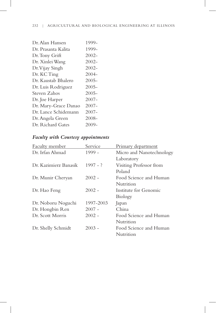| Dr. Alan Hansen      | 1999-    |
|----------------------|----------|
| Dr. Prasanta Kalita  | 1999-    |
| Dr. Tony Grift       | $2002 -$ |
| Dr. Xinlei Wang      | $2002 -$ |
| Dr. Vijay Singh      | $2002 -$ |
| Dr. KC Ting          | $2004 -$ |
| Dr. Kaustab Bhalero  | $2005 -$ |
| Dr. Luis Rodriguez   | $2005 -$ |
| Steven Zahos         | $2005 -$ |
| Dr. Joe Harper       | $2007 -$ |
| Dr. Mary-Grace Danao | $2007 -$ |
| Dr. Lance Schidemann | $2007 -$ |
| Dr. Angela Green     | $2008 -$ |
| Dr. Richard Gates    | 2009-    |
|                      |          |

# *Faculty with Courtesy appointments*

| <b>Faculty member</b> | Service    | <b>Primary department</b> |
|-----------------------|------------|---------------------------|
| Dr. Irfan Ahmad       | $1999 -$   | Micro and Nanotechnology  |
|                       |            | Laboratory                |
| Dr. Kazimierz Banasik | $1997 - ?$ | Visiting Professor from   |
|                       |            | Poland                    |
| Dr. Munir Cheryan     | $2002 -$   | Food Science and Human    |
|                       |            | Nutrition                 |
| Dr. Hao Feng          | $2002 -$   | Institute for Genomic     |
|                       |            | <b>Biology</b>            |
| Dr. Noboru Noguchi    | 1997-2003  | Japan                     |
| Dr. Hongbin Ren       | $2007 -$   | China                     |
| Dr. Scott Morris      | $2002 -$   | Food Science and Human    |
|                       |            | Nutrition                 |
| Dr. Shelly Schmidt    | $2003 -$   | Food Science and Human    |
|                       |            | Nutrition                 |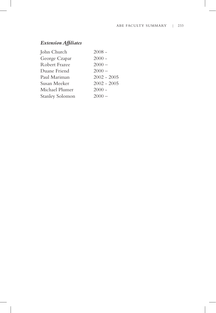# *Extension Affiliates*

 $\overline{\phantom{a}}$ 

 $\overline{\phantom{a}}$ 

| John Church            | $2008 -$      |
|------------------------|---------------|
| George Czapar          | $2000 -$      |
| Robert Frazee          | $2000 -$      |
| Duane Friend           | $2000 -$      |
| Paul Mariman           | $2002 - 2005$ |
| Susan Meeker           | $2002 - 2005$ |
| Michael Plumer         | $2000 -$      |
| <b>Stanley Solomon</b> | $2000 -$      |
|                        |               |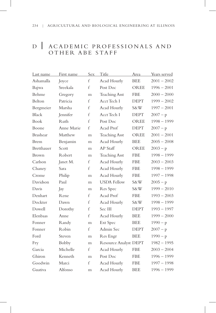# <sup>D</sup>| ACADEMIC PROFESSIONALS AND OTHER ABE STAFF

| Last name       | First name   | Sex              | Title                        | Area        | Years served  |
|-----------------|--------------|------------------|------------------------------|-------------|---------------|
| Ashamalla       | Joyce        | $\mathsf{f}$     | Acad Hourly                  | <b>BEE</b>  | $2001 - 2002$ |
| Bajwa           | Sreekala     | $\mathsf{f}$     | Post Doc                     | <b>OREE</b> | $1996 - 2001$ |
| Behme           | Gregory      | m                | <b>Teaching Asst</b>         | <b>FBE</b>  | $2000 - 2000$ |
| Belton          | Patricia     | $\mathbf{f}$     | Acct Tech I                  | <b>DEPT</b> | $1999 - 2002$ |
| Bergmeier       | Marsha       | $\mathsf{f}$     | Acad Hourly                  | S&W         | $1997 - 2001$ |
| <b>Black</b>    | Jennifer     | $\mathsf{f}$     | Acct Tech I                  | <b>DEPT</b> | $2007 - p$    |
| Book            | Ruth         | $\boldsymbol{f}$ | Post Doc                     | OREE        | $1998 - 1999$ |
| Boone           | Anne Marie   | $\mathsf{f}$     | Acad Prof                    | <b>DEPT</b> | $2007 - p$    |
| <b>Brashear</b> | Matthew      | m                | <b>Teaching Asst</b>         | OREE        | $2001 - 2001$ |
| <b>Brem</b>     | Benjamin     | m                | Acad Hourly                  | <b>BEE</b>  | $2005 - 2008$ |
| Bretthauer      | Scott        | m                | AP Staff                     | <b>OREE</b> | $2003 - p$    |
| Brown           | Robert       | m                | <b>Teaching Asst</b>         | <b>FBE</b>  | $1998 - 1999$ |
| Carlson         | Janet M.     | f                | Acad Hourly                  | <b>FBE</b>  | $2003 - 2003$ |
| Chaney          | Sara         | $\mathsf{f}$     | Acad Hourly                  | <b>FBE</b>  | $1998 - 1999$ |
| Crome           | Philip       | m                | Acad Hourly                  | <b>FBE</b>  | $1997 - 1998$ |
| Davidson        | Paul         | m                | <b>USDA Fellow</b>           | S&W         | $2005 - p$    |
| Davis           | Jay          | m                | Res Spec                     | S&W         | $1999 - 2010$ |
| Denhart         | Rene         | f                | Acad Prof                    | <b>FBE</b>  | $1993 - 2003$ |
| Dockter         | Dawn         | $\boldsymbol{f}$ | Acad Hourly                  | S&W         | $1998 - 1999$ |
| Dowell          | Dorothy      | f                | Sec III                      | <b>DEPT</b> | $1993 - 1997$ |
| Elenbaas        | Anne         | $\mathbf{f}$     | Acad Hourly                  | <b>BEE</b>  | $1999 - 2000$ |
| Fonner          | Randy        | m                | Ext Spec                     | <b>BEE</b>  | $1990 - p$    |
| Fonner          | Robin        | $\mathsf{f}$     | Admin Sec                    | <b>DEPT</b> | $2007 - p$    |
| Ford            | Steven       | m                | Res Engr                     | <b>BEE</b>  | $1990 - p$    |
| Fry             | <b>Bobby</b> | m                | <b>Resource Analyst DEPT</b> |             | $1982 - 1995$ |
| Garcia          | Michelle     | $\boldsymbol{f}$ | Acad Hourly                  | <b>FBE</b>  | $2003 - 2004$ |
| Ghiron          | Kenneth      | m                | Post Doc                     | <b>FBE</b>  | $1996 - 1999$ |
| Goodwin         | Marci        | $\mathbf f$      | Acad Hourly                  | <b>FBE</b>  | $1997 - 1998$ |
| Guativa         | Alfonso      | m                | Acad Hourly                  | <b>BEE</b>  | $1996 - 1999$ |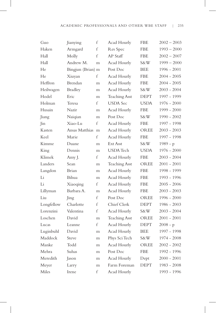| Guo        | Jianying          | f            | Acad Hourly          | FBE         | $2002 - 2003$ |
|------------|-------------------|--------------|----------------------|-------------|---------------|
| Haken      | Armgard           | $\mathsf{f}$ | Res Spec             | <b>FBE</b>  | $1993 - 2000$ |
| Hall       | Molly             | f            | AP Staff             | <b>FBE</b>  | $2002 - 2007$ |
| Hall       | Andrew M.         | m            | Acad Hourly          | S&W         | $1999 - 2000$ |
| He         | Bingjun (Brian) m |              | Post Doc             | BEE         | $1996 - 2001$ |
| He         | Xiuyan            | f            | Acad Hourly          | <b>FBE</b>  | $2004 - 2005$ |
| Heffron    | Brendan           | m            | Acad Hourly          | <b>FBE</b>  | $2004 - 2005$ |
| Heilwagen  | <b>Bradley</b>    | m            | Acad Hourly          | S&W         | $2003 - 2004$ |
| Hodel      | Eric              | m            | <b>Teaching Asst</b> | DEPT        | 1997 - 1999   |
| Holman     | Teresa            | f            | <b>USDA</b> Sec      | <b>USDA</b> | 1976 - 2000   |
| Husain     | Nazir             | m            | Acad Hourly          | FBE         | 1999 - 2000   |
| Jiang      | Naiqian           | m            | Post Doc             | S&W         | $1990 - 2002$ |
| Jin        | Xiao-Lu           | $\mathbf f$  | Acad Hourly          | <b>FBE</b>  | 1997 - 1998   |
| Kasten     | Ansas Matthias    | m            | Acad Hourly          | <b>OREE</b> | $2003 - 2003$ |
| Keel       | Marie             | f            | Acad Hourly          | FBE         | 1997 - 1998   |
| Kimme      | Duane             | m            | Ext Asst             | S&W         | $1989 - p$    |
| King       | Dennis            | m            | <b>USDA</b> Tech     | <b>USDA</b> | $1976 - 2000$ |
| Klimek     | Amy J.            | f            | Acad Hourly          | FBE         | $2003 - 2004$ |
| Landers    | Sean              | m            | <b>Teaching Asst</b> | <b>OREE</b> | $2001 - 2001$ |
| Langdon    | Brian             | m            | Acad Hourly          | <b>FBE</b>  | 1998 - 1999   |
| Li         | Bihua             | m            | Acad Hourly          | FBE         | 1993 - 1996   |
| Li         | Xiaoqing          | f            | Acad Hourly          | FBE         | $2005 - 2006$ |
| Lillyman   | Barbara A.        | m            | Acad Hourly          | FBE         | $2003 - 2003$ |
| Liu        | Jing              | f            | Post Doc             | OREE        | $1996 - 2000$ |
| Longfellow | Charlotte         | f            | Chief Clerk          | <b>DEPT</b> | $1986 - 2003$ |
| Lorenzini  | Valentina         | $\mathsf{f}$ | Acad Hourly          | S&W         | $2003 - 2004$ |
| Loschen    | David             | m            | <b>Teaching Asst</b> | OREE        | $2001 - 2001$ |
| Lucas      | Leanne            | f            | Acad Hourly          | <b>DEPT</b> | $2008 - p$    |
| Luginbuhl  | David             | m            | Acad Hourly          | <b>BEE</b>  | 1997 - 1998   |
| Maddock    | Steve             | m            | Phys Sci Tech        | S&W         | 1974 - 2008   |
| Manke      | Todd              | m            | Acad Hourly          | OREE        | $2002 - 2002$ |
| Mehra      | Suhas             | m            | Post Doc             | <b>FBE</b>  | 1992 - 1996   |
| Meredith   | Jason             | m            | Acad Hourly          | Dept        | $2000 - 2001$ |
| Meyer      | Larry             | m            | Farm Foreman         | <b>DEPT</b> | $1983 - 2008$ |
| Miles      | Irene             | f            | Acad Hourly          |             | 1993 - 1996   |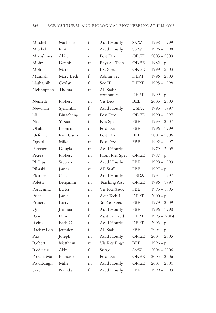### 236 | AGRICULTURAL AND BIOLOGICAL ENGINEERING AT ILLINOIS

| Mitchell   | Michelle     | f | Acad Hourly            | S&W         | 1998 - 1999   |
|------------|--------------|---|------------------------|-------------|---------------|
| Mitchell   | Keith        | m | Acad Hourly            | S&W         | 1996 - 1998   |
| Mizushima  | <b>Akira</b> | m | Post Doc               | OREE        | $2005 - 2009$ |
| Mohr       | Dennis       | m | Phys Sci Tech          | OREE        | $1982 - p$    |
| Mohr       | Mark         | m | Ext Spec               | OREE        | $1999 - 2003$ |
| Munhall    | Mary Beth    | f | Admin Sec              | DEPT        | $1996 - 2003$ |
| Nashashibi | Ceylan       | f | Sec III                | <b>DEPT</b> | 1995 - 1998   |
| Nelshoppen | Thomas       | m | AP Staff/<br>computers | <b>DEPT</b> | 1999 - p      |
| Nemeth     | Robert       | m | Vis Lect               | BEE         | $2003 - 2003$ |
| Newman     | Symantha     | f | Acad Hourly            | <b>USDA</b> | 1993 - 1997   |
| Ni         | Bingcheng    | m | Post Doc               | <b>OREE</b> | 1990 - 1997   |
| Niu        | Yuxian       | f | Res Spec               | <b>FBE</b>  | $1993 - 2007$ |
| Obaldo     | Leonard      | m | Post Doc               | <b>FBE</b>  | 1996 - 1999   |
| Ocfemia    | Kim Carlo    | m | Post Doc               | <b>BEE</b>  | $2001 - 2006$ |
| Ogwal      | Mike         | m | Post Doc               | FBE         | 1992 - 1997   |
| Peterson   | Douglas      | m | Acad Hourly            |             | 1979 - 2009   |
| Petrea     | Robert       | m | Prom Res Spec          | <b>OREE</b> | $1987 - p$    |
| Phillips   | Stephen      | m | Acad Hourly            | <b>FBE</b>  | 1998 - 1999   |
| Pilarski   | James        | m | AP Staff               | FBE         | $1997 - p$    |
| Plattner   | Chad         | m | Acad Hourly            | USDA        | 1994 - 1997   |
| Poletti    | Benjamin     | m | Teaching Asst          | OREE        | 1996 - 1997   |
| Pordesimo  | Lester       | m | Vis Res Assoc          | <b>FBE</b>  | 1993 - 1995   |
| Price      | Jamie        | f | Acct Tech I            | <b>DEPT</b> | $2000 - p$    |
| Pruiett    | Larry        | m | Sr. Res Spec           | FBE         | 1979 - 2009   |
| Qiu        | Jianhua      | f | Acad Hourly            | <b>FBE</b>  | 1996 - 1998   |
| Reid       | Dini         | f | Assst to Head          | <b>DEPT</b> | 1993 - 2004   |
| Reinke     | Beth C       | f | Acad Hourly            | <b>DEPT</b> | $2003 - p$    |
| Richardson | Jennifer     | f | AP Staff               | FBE         | $2004 - p$    |
| Rix        | Joseph       | m | Acad Hourly            | <b>OREE</b> | $2004 - 2005$ |
| Robert     | Matthew      | m | Vis Res Engr           | BEE         | 1996 - p      |
| Rodrigue   | Abby         | f | Surge                  | S&W         | $2004 - 2006$ |
| Rovira Mas | Francisco    | m | Post Doc               | OREE        | $2005 - 2006$ |
| Rudibaugh  | Mike         | m | Acad Hourly            | OREE        | $2001 - 2001$ |
| Saker      | Nahida       | f | Acad Hourly            | <b>FBE</b>  | 1999 - 1999   |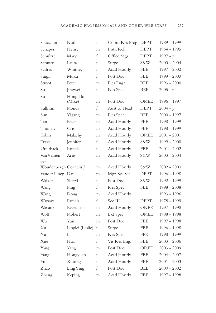| Sattazahn               | Ruth              | f                | Coord Res Prog | <b>DEPT</b> | 1989 - 1999   |
|-------------------------|-------------------|------------------|----------------|-------------|---------------|
| Schaper                 | Henry             | m                | Instr. Tech    | <b>DEPT</b> | 1964 - 1995   |
| Schultze                | Mary              | f                | Office Mgr.    | <b>DEPT</b> | $1997 - p$    |
| Schutte                 | Laura             | f                | Surge          | S&W         | $2003 - 2004$ |
| Scifres                 | Whitney           | f                | Acad Hourly    | <b>FBE</b>  | $1997 - 2002$ |
| Singh                   | Mukti             | f                | Post Doc       | <b>FBE</b>  | $1999 - 2003$ |
| Stroot                  | Peter             | m                | Res Engr       | <b>BEE</b>  | $1993 - 2000$ |
| Su                      | Jingwei           | f                | Res Spec       | <b>BEE</b>  | $2005 - p$    |
| Su                      | Hong-Bo<br>(Mike) | m                | Post Doc       | OREE        | 1996 - 1997   |
| Sullivan                | Ronda             | f                | Assst to Head  | <b>DEPT</b> | $2004 - p$    |
| Sun                     | Yigang            | m                | Res Spec       | <b>BEE</b>  | $2000 - 1997$ |
| Tan                     | Peter             | m                | Acad Hourly    | <b>FBE</b>  | 1998 - 1999   |
| Thomas                  | Cris              | m                | Acad Hourly    | <b>FBE</b>  | 1998 - 1999   |
| Tobin                   | Malachy           | m                | Acad Hourly    | OREE        | $2001 - 2001$ |
| Trask                   | Jennifer          | f                | Acad Hourly    | S&W         | $1999 - 2000$ |
| Utterback               | Pamela            | f                | Acad Hourly    | <b>FBE</b>  | $2001 - 2002$ |
| Van Vianen              | Arie              | m                | Acad Hourly    | S&W         | $2003 - 2004$ |
| van                     |                   |                  |                |             |               |
| Woudenbergh Cornelis J. |                   | m                | Acad Hourly    | S&W         | $2002 - 2003$ |
| Vander Ploeg Dan        |                   | m                | Mgr. Sys Ser   | DEPT        | 1996 - 1998   |
| Walker                  | Sharyl            | f                | Post Doc       | S&W         | 1992 - 1999   |
| Wang                    | Ping              | f                | Res Spec       | <b>FBE</b>  | $1998 - 2008$ |
| Wang                    | Dong              | m                | Acad Hourly    |             | 1993 - 1996   |
| Warsaw                  | Pamela            | f                | Sec III        | <b>DEPT</b> | 1978 - 1999   |
| Wassink                 | Evert-Jan         | m                | Acad Hourly    | OREE        | 1997 - 1998   |
| Wolf                    | Robert            | m                | Ext Spec       | OREE        | 1988 - 1998   |
| Wu                      | Yun               | m                | Post Doc       | <b>FBE</b>  | 1997 - 1998   |
| Xu                      | Linglei (Leslie)  | f                | Surge          | FBE         | 1996 - 1998   |
| Xu                      | Li                | m                | Res Spec       | <b>FPE</b>  | 1998 - 1999   |
| Xue                     | Hua               | $\boldsymbol{f}$ | Vis Res Engr   | FBE         | $2003 - 2006$ |
| Yang                    | Yang              | m                | Post Doc       | OREE        | $2003 - 2009$ |
| Yang                    | Hongyuan          | $\boldsymbol{f}$ | Acad Hourly    | FBE         | $2004 - 2007$ |
| Yu                      | Xiuting           | f                | Acad Hourly    | FBE         | $2001 - 2003$ |
| Zhao                    | LingYing          | f                | Post Doc       | BEE         | $2000 - 2002$ |
| Zheng                   | Keping            | m                | Acad Hourly    | <b>FBE</b>  | 1997 - 1998   |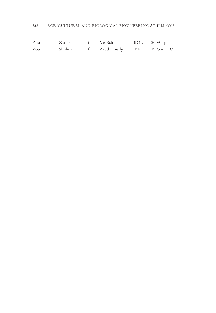### 238 | AGRICULTURAL AND BIOLOGICAL ENGINEERING AT ILLINOIS

| Zhu | Xiang  | Vis Sch           | $BIOL = 2009 - p$ |             |
|-----|--------|-------------------|-------------------|-------------|
| Zou | Shuhua | f Acad Hourly FBE |                   | 1993 - 1997 |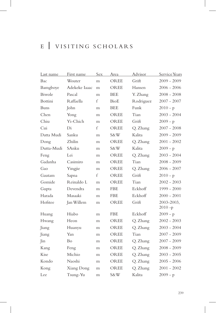# <sup>E</sup>| VISITING SCHOLARS

| Last name   | First name    | <b>Sex</b>   | Area        | Advisor   | Service Years            |
|-------------|---------------|--------------|-------------|-----------|--------------------------|
| Bac         | Wouter        | m            | <b>OREE</b> | Grift     | $2009 - 2009$            |
| Bamgboye    | Adekeke Iaaac | m            | <b>OREE</b> | Hansen    | $2006 - 2006$            |
| Biwole      | Pascal        | m            | BEE         | Y. Zhang  | $2008 - 2008$            |
| Bottini     | Raffaella     | $\mathbf f$  | BioE        | Rodriguez | $2007 - 2007$            |
| <b>Buns</b> | John          | m            | <b>BEE</b>  | Funk      | $2010 - p$               |
| Chen        | Yong          | m            | <b>OREE</b> | Tian      | $2003 - 2004$            |
| Chiu        | Yi-Chich      | m            | OREE        | Grift     | $2009 - p$               |
| Cui         | Di            | $\mathsf{f}$ | OREE        | Q. Zhang  | $2007 - 2008$            |
| Datta Mudi  | Sanku         | m            | S&W         | Kalita    | $2009 - 2009$            |
| Dong        | Zhilin        | m            | OREE        | Q. Zhang  | $2001 - 2002$            |
| Dutta-Mudi  | SAnku         | m            | S&W         | Kalita    | $2009 - p$               |
| Feng        | Lei           | m            | <b>OREE</b> | Q. Zhang  | $2003 - 2004$            |
| Gadanha     | Casimiro      | m            | OREE        | Tian      | $2008 - 2009$            |
| Gao         | Yingjie       | m            | OREE        | Q. Zhang  | $2006 - 2007$            |
| Gautam      | Sapna         | f            | OREE        | Grift     | $2010 - p$               |
| Gomide      | Reinaldo L    | m            | <b>OREE</b> | Tian      | $2002 - 2003$            |
| Gupta       | Devendra      | m            | <b>FBE</b>  | Eckhoff   | $1999 - 2000$            |
| Harada      | Masaaki       | m            | <b>FBE</b>  | Eckhoff   | $2000 - 2001$            |
| Hofstee     | Jan Willem    | m            | OREE        | Grift     | 2003-2003,<br>$2010 - p$ |
| Huang       | Hiabo         | m            | <b>FBE</b>  | Eckhoff   | $2009 - p$               |
| Hwang       | Heon          | m            | OREE        | Q. Zhang  | $2002 - 2003$            |
| Jiang       | Huanyu        | m            | OREE        | Q. Zhang  | $2003 - 2004$            |
| Jiang       | Yan           | m            | OREE        | Tian      | $2007 - 2009$            |
| Jin         | Bo            | m            | OREE        | Q. Zhang  | $2007 - 2009$            |
| Kang        | Feng          | m            | OREE        | Q. Zhang  | $2008 - 2009$            |
| Kise        | Michio        | m            | OREE        | Q. Zhang  | $2003 - 2005$            |
| Kondo       | Naoshi        | m            | OREE        | Q. Zhang  | $2005 - 2006$            |
| Kong        | Xiang Dong    | m            | OREE        | Q. Zhang  | $2001 - 2002$            |
| Lee         | Tsung-Yu      | m            | S&W         | Kalita    | $2009 - p$               |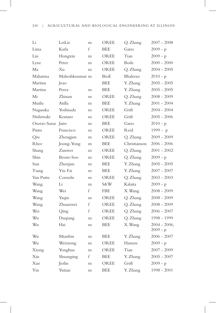| Li             | LeiLie         | m | OREE        | Q. Zhang     | $2007 - 2008$                 |
|----------------|----------------|---|-------------|--------------|-------------------------------|
| Lima           | Karla          | f | <b>BEE</b>  | Gates        | $2009 - p$                    |
| Liu            | Hongxin        | m | OREE        | Tian         | $2009 - p$                    |
| Lyne           | Peter          | m | OREE        | Bode         | $2000 - 2000$                 |
| Ma             | $X_{11}$       | m | OREE        | Q. Zhang     | $2004 - 2005$                 |
| Mahatma        | Maheshkuumar m |   | BioE        | Bhalerao     | $2010 - p$                    |
| <b>Martins</b> | Joao           |   | <b>BEE</b>  | Y. Zhang     | $2005 - 2005$                 |
| <b>Martins</b> | Perea          | m | <b>BEE</b>  | Y. Zhang     | $2005 - 2005$                 |
| Mi             | Zhinan         | m | OREE        | Q. Zhang     | $2008 - 2009$                 |
| Mutlu          | Atilla         | m | <b>BEE</b>  | Y. Zhang     | $2001 - 2004$                 |
| Nagasaka       | Yoshisada      | m | OREE        | Grift        | $2004 - 2004$                 |
| Nishiwaki      | Kentaro        | m | OREE        | Grift        | $2005 - 2006$                 |
| Osorio-Saraz   | Jairo          | m | <b>BEE</b>  | Gates        | $2010 - p$                    |
| Pinto          | Francisco      | m | OREE        | Reid         | 1999 - p                      |
| Qiu            | Zhengjun       | m | OREE        | Q. Zhang     | $2009 - 2009$                 |
| Rhee           | Joong-Yong     | m | <b>BEE</b>  | Christianson | $2006 - 2006$                 |
| Shang          | Zunwei         | m | OREE        | Q. Zhang     | $2001 - 2002$                 |
| Shin           | Beom-Soo       | m | OREE        | Q. Zhang     | $2009 - p$                    |
| Sun            | Zhenjun        | m | <b>BEE</b>  | Y. Zhang     | $2005 - 2005$                 |
| Tsang          | Yiu Fai        | m | <b>BEE</b>  | Y. Zhang     | $2007 - 2007$                 |
| Van Putte      | Cornelis       | m | OREE        | Q. Zhang     | $2003 - 2003$                 |
| Wang           | Li             | m | S&W         | Kalaita      | $2009 - p$                    |
| Wang           | Wei            | f | FBE         | X. Wang      | $2008 - 2009$                 |
| Wang           | Yaqin          | m | OREE        | Q. Zhang     | $2008 - 2009$                 |
| Wang           | Zhuanwei       | f | <b>OREE</b> | Q. Zhang     | $2008 - 2009$                 |
| Wei            | Qing           | f | <b>OREE</b> | Q. Zhang     | $2006 - 2007$                 |
| Wu             | Duqiang        | m | OREE        | Q. Zhang     | 1998 - 1999                   |
| Wu             | Hai            | m | <b>BEE</b>  | X. Wang      | $2004 - 2006$ ,<br>$2009 - p$ |
| Wu             | Mianbin        | m | <b>BEE</b>  | Y. Zhang     | 2006 - 2007                   |
| Wu             | Weixiong       | m | <b>OREE</b> | Hansen       | $2009 - p$                    |
| Xiong          | Yonghua        | m | OREE        | Tian         | 2007 - 2009                   |
| $X_{111}$      | Shuanging      | f | <b>BEE</b>  | Y. Zhang     | 2005 - 2007                   |
| Xue            | Jiolin         | m | <b>OREE</b> | Grift        | $2009 - p$                    |
| Yin            | Yutian         | m | <b>BEE</b>  | Y. Zhang     | 1998 - 2001                   |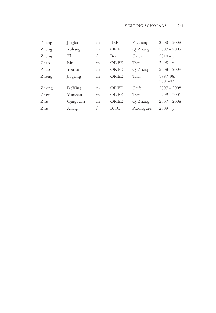### VISITING SCHOLARS | 241

| Zhang | Jinglai    | m | <b>BEE</b>  | Y. Zhang  | $2008 - 2008$           |
|-------|------------|---|-------------|-----------|-------------------------|
| Zhang | Yuliang    | m | <b>OREE</b> | Q. Zhang  | $2007 - 2009$           |
| Zhang | Zhi        | f | <b>Bee</b>  | Gates     | $2010 - p$              |
| Zhao  | <b>Bin</b> | m | OREE        | Tian      | $2008 - p$              |
| Zhao  | Youliang   | m | OREE        | Q. Zhang  | $2008 - 2009$           |
| Zheng | Jiaqiang   | m | <b>OREE</b> | Tian      | 1997-98,<br>$2001 - 03$ |
| Zhong | DeXing     | m | OREE        | Grift     | $2007 - 2008$           |
| Zhou  | Yunshan    | m | OREE        | Tian      | $1999 - 2001$           |
| Zhu   | Qingyuan   | m | <b>OREE</b> | Q. Zhang  | $2007 - 2008$           |
| Zhu   | Xiang      | f | BIOL        | Rodriguez | $2009 - p$              |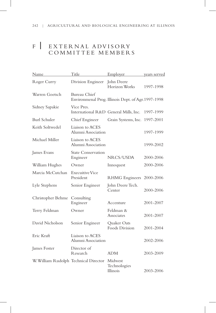# F | EXTERNAL ADVISORY COMMITTEE MEMBERS

| Name                                  | Title                                               | Employer                                            | years served |
|---------------------------------------|-----------------------------------------------------|-----------------------------------------------------|--------------|
| Roger Curry                           | Division Engineer                                   | John Deere<br>Horizon Works                         | 1997-1998    |
| Warren Goetsch                        | <b>Bureau Chief</b>                                 | Environmenal Prog. Illinois Dept. of Agr. 1997-1998 |              |
| Sidney Sapakie                        | Vice Pres.<br>International R&D General Mills, Inc. |                                                     | 1997-1999    |
| Burl Schuler                          | Chief Engineer                                      | Grain Systems, Inc.                                 | 1997-2001    |
| Keith Soltwedel                       | Liaison to ACES<br>Alumni Association               |                                                     | 1997-1999    |
| Michael Miller                        | Liaison to ACES<br>Alumni Association               |                                                     | 1999-2002    |
| James Evans                           | <b>State Conservation</b><br>Engineer               | NRCS/USDA                                           | 2000-2006    |
| William Hughes                        | Owner                                               | Innoquest                                           | 2000-2006    |
| Marcia McCutchan                      | Execuitive Vice<br>President                        | <b>RHMG</b> Engineers                               | 2000-2006    |
| Lyle Stephens                         | Senior Engineer                                     | John Deere Tech.<br>Center                          | 2000-2006    |
| Christopher Behme                     | Consulting<br>Engineer                              | Accenture                                           | 2001-2007    |
| Terry Feldman                         | Owner                                               | Feldman &<br>Associates                             | 2001-2007    |
| David Nicholson                       | Senior Engineer                                     | Quaker Oats<br>Foods Division                       | 2001-2004    |
| Eric Kraft                            | Liaison to ACES<br>Alumni Association               |                                                     | 2002-2006    |
| James Foster                          | Director of<br>Research                             | <b>ADM</b>                                          | 2003-2009    |
| W. William Rudolph Technical Director |                                                     | Midwest<br>Technologies<br>Illinois                 | 2003-2006    |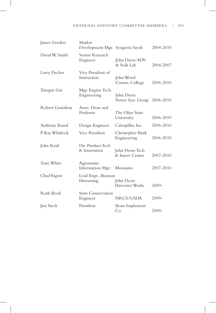| James Graeber    | Market<br>Development Mgr. Syngenta Seeds |                                    | 2004-2010 |
|------------------|-------------------------------------------|------------------------------------|-----------|
| David W. Smith   | Senior Research<br>Engineer               | John Deere ADV<br>& Soils Lab      | 2004-2007 |
| Larry Fischer    | Vice President of<br>Instruction          | John Wood<br>Comm. College         | 2006-2010 |
| Xinqun Gui       | Mgr. Engine Tech.<br>Engineering          | John Deere<br>Power Syst. Group    | 2006-2010 |
| Robert Gustafson | Assoc. Dean and<br>Professor              | The Ohio State<br>University       | 2006-2010 |
| Anthony Rund     | Design Engineer                           | Caterpillar, Inc.                  | 2006-2010 |
| P. Kay Whitlock  | Vice President                            | Christopher Burk<br>Engineering    | 2006-2010 |
| John Reid        | Dir. Product Tech<br>& Innovation         | John Deere Tech<br>& Innov. Center | 2007-2010 |
| Tony White       | Agronomic<br>Information Mgr.             | Monsanto                           | 2007-2010 |
| Chad Yagow       | Lead Engr., Biomass<br>Harvesting         | John Deere<br>Harvester Works      | $2009 -$  |
| Ruth Book        | <b>State Conservation</b><br>Engineer     | NRCS/USDA                          | $2009 -$  |
| Jim Steck        | President                                 | Sloan Implement<br>Co.             | $2009 -$  |

 $\overline{\phantom{a}}$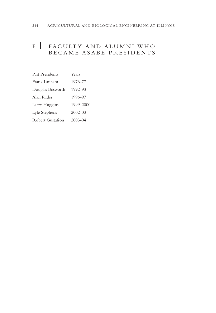# <sup>F</sup>| FACULTY AND ALUMNI W HO BECAME ASABE PRESIDENTS

| Past Presidents  | Years       |
|------------------|-------------|
| Frank Lanham     | 1976-77     |
| Douglas Bosworth | 1992-93     |
| Alan Rider       | 1996-97     |
| Larry Huggins    | 1999-2000   |
| Lyle Stephens    | $2002 - 03$ |
| Robert Gustafson | $2003 - 04$ |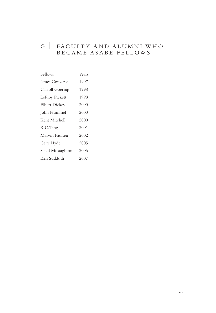# G | FACULTY AND ALUMNI WH BECAME ASABE FELLOW S

| Years |
|-------|
| 1997  |
| 1998  |
| 1998  |
| 2000  |
| 2000  |
| 2000  |
| 2001  |
| 2002  |
| 2005  |
| 2006  |
| 2007  |
|       |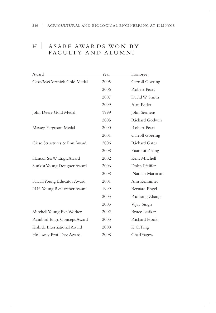# <sup>H</sup>| ASABE AWARDS WON BY FACULTY AND ALUMNI

| Award                         | Year | Honoree         |
|-------------------------------|------|-----------------|
| Case/McCormick Gold Medal     | 2005 | Carroll Goering |
|                               | 2006 | Robert Peart    |
|                               | 2007 | David W Smith   |
|                               | 2009 | Alan Rider      |
| John Deere Gold Medal         | 1999 | John Siemens    |
|                               | 2005 | Richard Godwin  |
| Massey Ferguson Medal         | 2000 | Robert Peart    |
|                               | 2001 | Carroll Goering |
| Giese Structures & Env. Award | 2006 | Richard Gates   |
|                               | 2008 | Yuanhui Zhang   |
| Hancor S&W Engr. Award        | 2002 | Kent Mitchell   |
| Sunkist Young Designer Award  | 2006 | Dohn Pfeiffer   |
|                               | 2008 | Nathan Mariman  |
| Farrall Young Educator Award  | 2001 | Ann Kennimer    |
| N.H. Young Researcher Award   | 1999 | Bernard Engel   |
|                               | 2003 | Ruihong Zhang   |
|                               | 2005 | Vijay Singh     |
| Mitchell Young Ext. Worker    | 2002 | Bruce Lesikar   |
| Rainbird Engr. Concept Award  | 2003 | Richard Hook    |
| Kishida International Award   | 2008 | K.C.Ting        |
| Holloway Prof. Dev. Award     | 2008 | Chad Yagow      |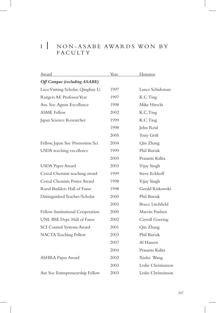# I | NON-ASABE AWARDS WON BY<br>FACULTY

| Award                               | Year | <b>Honoree</b>      |
|-------------------------------------|------|---------------------|
| <b>Off Campus (excluding ASABE)</b> |      |                     |
| Luce Visiting Scholar, Qinghau U.   | 1997 | Lance Schideman     |
| Rutgers AE Professor Year           | 1997 | K.C.Ting            |
| Am. Soc. Agron Excellence           | 1998 | Mike Hirschi        |
| <b>ASME</b> Fellow                  | 2002 | K.C.Ting            |
| Japan Science Researcher            | 1999 | K.C.Ting            |
|                                     | 1998 | John Reid           |
|                                     | 2005 | Tony Grift          |
| Fellow, Japan Soc Promotion Sci     | 2004 | Qin Zhang           |
| USDA teaching excellence            | 1999 | Phil Buriak         |
|                                     | 2005 | Prasanta Kalita     |
| <b>USDA</b> Paper Award             | 2003 | Vijay Singh         |
| Cereal Chemists teaching award      | 1999 | Steve Eckhoff       |
| Cereal Chemists Poster Award        | 1998 | Vijay Singh         |
| Rural Builders Hall of Fame         | 1998 | Gerald Riskowski    |
| Distinguished Teacher/Scholar       | 2000 | Phil Buriak         |
|                                     | 2003 | Bruce Litchfield    |
| Fellow-Institutional Cooperation    | 2000 | Marvin Paulsen      |
| UNL BSE Dept. Hall of Fame          | 2002 | Carroll Goering     |
| <b>SCI Control Systems Award</b>    | 2001 | Qin Zhang           |
| NACTA Teaching Fellow               | 2003 | Phil Buriak         |
|                                     | 2007 | Al Hansen           |
|                                     | 2004 | Prasanta Kalita     |
| <b>ASHRA Paper Award</b>            | 2002 | Xinlei Wang         |
|                                     | 2003 | Leslie Christianson |
| Am Soc Entrepreneurship Fellow      | 2003 | Leslie Christainson |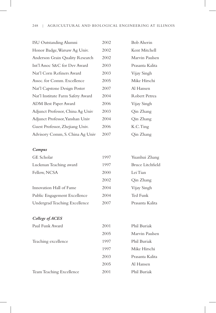| ISU Outstanding Alumni            | 2002 | <b>Bob Aherin</b> |
|-----------------------------------|------|-------------------|
| Honor Badge, Warsaw Ag Univ.      | 2002 | Kent Mitchell     |
| Anderson Grain Quality Research   | 2002 | Marvin Paulsen    |
| Int'l Assoc S&C for Dev Award     | 2003 | Prasanta Kalita   |
| Nat'l Corn Refiners Award         | 2003 | Vijay Singh       |
| Assoc. for Comm. Excellence       | 2005 | Mike Hirschi      |
| Nat'l Capstone Design Poster      | 2007 | Al Hansen         |
| Nat'l Institute Farm Safety Award | 2004 | Robert Petrea     |
| ADM Best Paper Award              | 2006 | Vijay Singh       |
| Adjunct Professor, China Ag Univ  | 2003 | Qin Zhang         |
| Adjunct Professor, Yanshan Univ   | 2004 | Qin Zhang         |
| Guest Professor, Zhejiang Univ.   | 2006 | K.C.Ting          |
| Advisory Comm, S. China Ag Univ   | 2007 | Oin Zhang         |

### *Campus*

| GE Scholar                    | 1997 | Yuanhui Zhang    |
|-------------------------------|------|------------------|
| Luckman Teaching award        | 1997 | Bruce Litchfield |
| Fellow, NCSA                  | 2000 | Lei Tian         |
|                               | 2002 | Qin Zhang        |
| Innovation Hall of Fame       | 2004 | Vijay Singh      |
| Public Engagement Excellence  | 2004 | Ted Funk         |
| Undergrad Teaching Excellence | 2007 | Prasanta Kalita  |

### *College of ACES*

| Paul Funk Award          | 2001 | Phil Buriak     |
|--------------------------|------|-----------------|
|                          | 2005 | Marvin Paulsen  |
| Teaching excellence      | 1997 | Phil Buriak     |
|                          | 1997 | Mike Hirschi    |
|                          | 2003 | Prasanta Kalita |
|                          | 2005 | Al Hansen       |
| Team Teaching Excellence | 2001 | Phil Buriak     |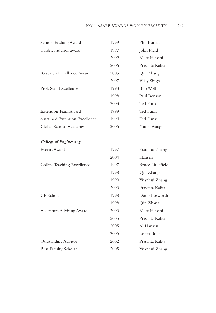### NON-ASABE AWARDS WON BY FACULTY | 249

| Senior Teaching Award          | 1999 | Phil Buriak             |
|--------------------------------|------|-------------------------|
| Gardner advisor award          | 1997 | John Reid               |
|                                | 2002 | Mike Hirschi            |
|                                | 2006 | Prasanta Kalita         |
| Research Excellence Award      | 2005 | Qin Zhang               |
|                                | 2007 | Vijay Singh             |
| Prof. Staff Excellence         | 1998 | Bob Wolf                |
|                                | 1998 | Paul Benson             |
|                                | 2003 | Ted Funk                |
| <b>Extension Team Award</b>    | 1999 | Ted Funk                |
| Sustained Extension Excellence | 1999 | Ted Funk                |
| Global Scholar Academy         | 2006 | Xinlei Wang             |
| College of Engineering         |      |                         |
| Everitt Award                  | 1997 | Yuanhui Zhang           |
|                                | 2004 | Hansen                  |
| Collins Teaching Excellence    | 1997 | <b>Bruce Litchfield</b> |
|                                | 1998 | Qin Zhang               |
|                                | 1999 | Yuanhui Zhang           |
|                                | 2000 | Prasanta Kalita         |
| GE Scholar                     | 1998 | Doug Bosworth           |
|                                |      |                         |

| 1999 | Yuanhui Zhang   |
|------|-----------------|
| 2000 | Prasanta Kalita |
| 1998 | Doug Bosworth   |
| 1998 | Qin Zhang       |
| 2000 | Mike Hirschi    |
| 2005 | Prasanta Kalita |
| 2005 | Al Hansen       |
| 2006 | Loren Bode      |
| 2002 | Prasanta Kalita |
| 2005 | Yuanhui Zhang   |
|      |                 |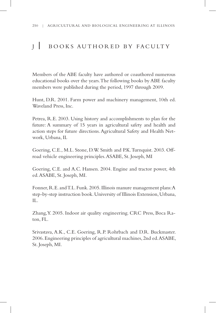# I BOOKS AUTHORED BY FACULTY

Members of the ABE faculty have authored or coauthored numerous educational books over the years.The following books by ABE faculty members were published during the period, 1997 through 2009.

Hunt, D.R. 2001. Farm power and machinery management, 10th ed. Waveland Press, Inc.

Petrea, R.E. 2003. Using history and accomplishments to plan for the future: A summary of 15 years in agricultural safety and health and action steps for future directions.Agricultural Safety and Health Network, Urbana, IL

Goering, C.E., M.L. Stone, D.W. Smith and P.K.Turnquist. 2003. Offroad vehicle engineering principles.ASABE, St. Joseph, MI

Goering, C.E. and A.C. Hansen. 2004. Engine and tractor power, 4th ed.ASABE, St. Joseph, MI.

Fonner, R.E. and T.L. Funk. 2005. Illinois manure management plans: A step-by-step instruction book.University of Illinois Extension, Urbana, IL.

Zhang, Y. 2005. Indoor air quality engineering. CRC Press, Boca Raton, FL.

Srivastava, A.K., C.E. Goering, R.P. Rohrbach and D.R. Buckmaster. 2006.Engineering principles of agricultural machines, 2nd ed.ASABE, St. Joseph, MI.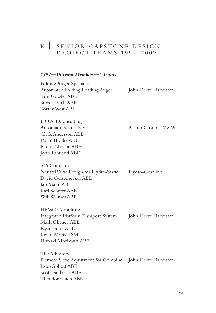# <sup>K</sup> | SENIOR CAPSTONE DESIGN PRO JECT TEAMS 1997-2009

### *1997—18 Team Members—5 Teams*

Folding Auger Specialists. Automated Folding Loading Auger John Deere Harvester Tim Gowler ABE Steven Rich ABE Torrey West ABE

B.O.A.T.Consulting Automatic Shank Reset Alamo Group—M&W Clark Anderson ABE Darin Brodie ABE Rich Osborne ABE John Tuntland ABE

336 Company. Neutral Valve Design for Hydro-Static Hydro-Gear Inc. David Gerstenecker ABE Ian Mann ABE Karl Scherer ABE Will Wilmes ABE

HFMC Consulting Integrated Platform Transport System John Deere Harvester Mark Chaney ABE Ryan Funk ABE Kevin Monk TSM Hiroaki Morikawa ABE

The Adjusters Remote Sieve Adjustment for Combine John Deere Harvester Jason Abbott ABE Scott Faulkner ABE Theodore Lach ABE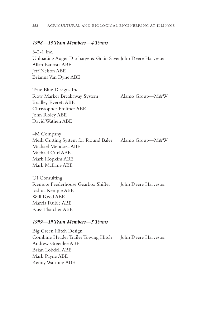### 252 | AGRICULTURAL AND BIOLOGICAL ENGINEERING AT ILLINOIS

### *1998—15 Team Members—4 Teams*

3-2-1 Inc. Unloading Auger Discharge & Grain SaverJohn Deere Harvester Allan Bautista ABE Jeff Nelson ABE Brianna Van Dyne ABE

True Blue Designs Inc Row Marker Breakaway System+ Alamo Group—M&W Bradley Everett ABE Christopher Pfoltner ABE John Roley ABE David Wathen ABE

4M Company

Mesh Cutting System for Round Baler Alamo Group—M&W Michael Mendoza ABE Michael Curl ABE Mark Hopkins ABE Mark McLane ABE

UI Consulting Remote Feederhouse Gearbox Shifter John Deere Harvester Joshua Kemple ABE Will Reed ABE Marcia Ruble ABE Russ Thatcher ABE

### *1999—19 Team Members—5 Teams*

Big Green Hitch Design Combine Header Trailer Towing Hitch John Deere Harvester Andrew Greenlee ABE Brian Lobdell ABE Mark Payne ABE Kenny Warning ABE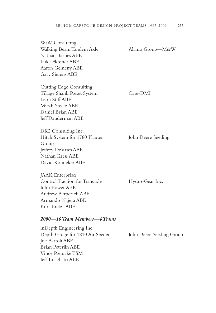WtW Consulting Walking Beam Tandem Axle Alamo Group—M&W Nathan Barnes ABE Luke Flessner ABE Aaron Gemeny ABE Gary Sierens ABE Cutting Edge Consulting Tillage Shank Reset System Case-DMI Jason Stiff ABE Micah Steele ABE Daniel Brian ABE

DK2 Consulting Inc. Hitch System for 1780 Planter John Deere Seeding Group Jeffery DeVries ABE Nathan Kress ABE David Konneker ABE

Jeff Dauderman ABE

JAAK Enterprises Control Traction for Transaxle Hydro-Gear Inc. John Bower ABE Andrew Berberich ABE Armando Najera ABE Kurt Bretz- ABE

#### *2000—16 Team Members—4 Teams*

inDepth Engineering Inc. Depth Gauge for 1810 Air Seeder John Deere Seeding Group Joe Bartoli ABE Brian Peterlin ABE Vince Reincke TSM Jeff Turigliatti ABE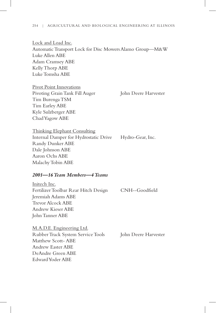Lock and Load Inc. Automatic Transport Lock for Disc Mowers Alamo Group—M&W Luke Allen ABE Adam Cramsey ABE Kelly Thorp ABE Luke Tomsha ABE

Pivot Point Innovations Pivoting Grain Tank Fill Auger John Deere Harvester Tim Burenga TSM Tim Earley ABE Kyle Sulzberger ABE Chad Yagow ABE

Thinking Elephant Consulting Internal Damper for Hydrostatic Drive Hydro-Gear, Inc. Randy Dunker ABE Dale Johnson ABE Aaron Ochs ABE Malachy Tobin ABE

## *2001—16 Team Members—4 Teams*

Initech Inc. Fertilizer Toolbar Rear Hitch Design CNH--Goodfield Jeremiah Adams ABE Trevor Alcock ABE Andrew Kieser ABE John Tanner ABE

M.A.D.E. Engineering Ltd. Rubber Track System Service Tools John Deere Harvester Matthew Scott- ABE Andrew Easter ABE DeAndre Green ABE Edward Yoder ABE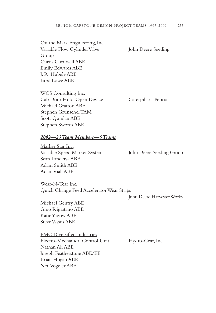# On the Mark Engineering, Inc.

Variable Flow Cylinder Valve John Deere Seeding Group Curtis Cornwell ABE Emily Edwards ABE J. R. Hubele ABE Jared Lowe ABE

WCS Consulting Inc. Cab Door Hold-Open Device Caterpillar--Peoria Michael Gratton ABE Stephen Grunschel TAM Scott Quinlan ABE Stephen Swords ABE

#### *2002—23 Team Members—6 Teams*

Marker Star Inc. Variable Speed Marker System John Deere Seeding Group Sean Landers- ABE Adam Smith ABE Adam Viall ABE

Wear-N-Tear Inc. Quick Change Feed Accelerator Wear Strips

John Deere Harvester Works

Michael Gentry ABE Gino Rigiatano ABE Katie Yagow ABE Steve Vassos ABE

EMC Diversified Industries Electro-Mechanical Control Unit Hydro-Gear, Inc. Nathan Ali ABE Joseph Featherstone ABE/EE Brian Hogan ABE Neil Vogeler ABE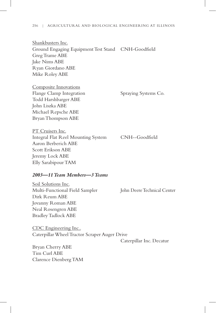Shankbusters Inc. Ground Engaging Equipment Test Stand CNH-Goodfield Greg Trame ABE Jake Nims ABE Ryan Giordano ABE Mike Roley ABE

Composite Innovations Flange Clamp Integration Spraying Systems Co. Todd Harshbarger ABE John Liszka ABE Michael Repsche ABE Bryan Thompson ABE

PT Cruisers Inc. Integral Flat Reel Mounting System CNH--Goodfield Aaron Berberich ABE Scott Erikson ABE Jeremy Lock ABE Elly Sarabipour TAM

## *2003—11 Team Members—3 Teams*

Soil Solutions Inc. Multi-Functional Field Sampler John Deere Technical Center Dirk Reum ABE Jovanny Roman ABE Neal Rosengren ABE Bradley Tadlock ABE

CDC Engineering Inc.. Caterpillar Wheel Tractor Scraper Auger Drive

Caterpillar Inc. Decatur

Bryan Cherry ABE Tim Curl ABE Clarence Dienberg TAM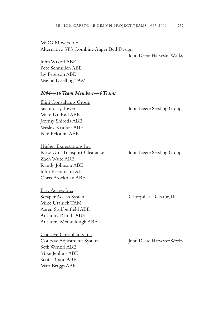MOG Movers Inc. Alternative STS Combine Auger Bed Design

John Deere Harvester Works

John Wikoff ABE Pete Schmillen ABE Jay Peterson ABE Wayne Doelling TAM

# *2004—16 Team Members—4 Teams*

Illini Consultants Group Secondary Tower John Deere Seeding Group Mike Rudisill ABE Jeremy Shiroda ABE Wesley Kridner ABE Pete Eckstein ABE

Higher Expectations Inc Row Unit Transport Clearance John Deere Seeding Group Zach Waite ABE Randy Johnson ABE John Eisenmann AB Chris Brockman ABE

Easy Access Inc. Scraper Access System Caterpillar, Decatur, IL Mike Uranich TAM Aaren Stubberfield ABE Anthony Rund- ABE Anthony McCullough ABE

Concave Consultants Inc Concave Adjustment System John Deere Harvester Works Seth Wenzel ABE Mike Jenkins ABE Scott Dixon ABE Matt Briggs ABE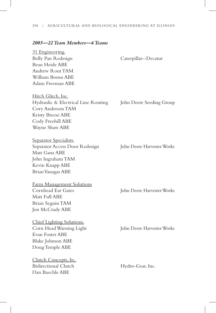## *2005—22 Team Members—6 Teams*

31 Engineering. Belly Pan Redesign Caterpillar--Decatur Beau Heide ABE Andrew Rout TAM William Bonsu ABE Adam Freeman ABE

Hitch Glitch, Inc. Hydraulic & Electrical Line Routing John Deere Seeding Group Cory Anderson TAM Kristy Breese ABE Cody Freehill ABE Wayne Shaw ABE

Separator Specialists. Separator Access Door Redesign John Deere Harvester Works Matt Ganz ABE John Ingraham TAM Kevin Knapp ABE Brian Vanagas ABE

Farm Management Solutions Cornhead Ear Gates John Deere Harvester Works Matt Full ABE Brian Seguin TAM Jon McCrady ABE

Chief Lighting Solutions. Evan Foster ABE Blake Johnson ABE Doug Temple ABE

Clutch Concepts, In.. Bidirectional Clutch Hydro-Gear, Inc. Dan Baechle ABE

Corn Head Warning Light John Deere Harvester Works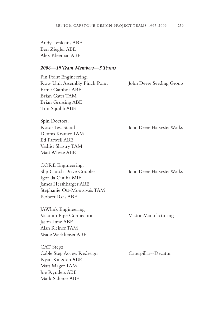Andy Lenkaitis ABE Ben Ziegler ABE Alex Kleeman ABE

# *2006—19 Team Members—5 Teams*

Pin Point Engineering. Row Unit Assembly Pinch Point John Deere Seeding Group Ernie Gamboa ABE Brian Gates TAM Brian Grussing ABE Tim Squibb ABE

Spin Doctors. Dennis Kramer TAM Ed Farwell ABE Vashist Shastry TAM Matt Whyte ABE

CORE Engineering. Slip Clutch Drive Coupler John Deere Harvester Works Igor da Cunha MIE James Hershbarger ABE Stephanie Ott-Montsivais TAM Robert Reis ABE

JAWlink Engineering Vacuum Pipe Connection Vactor Manufacturing Jason Lane ABE Alan Reiner TAM Wade Werkheiser ABE

CAT Stepz. Cable Step Access Redesign Caterpillar--Decatur Ryan Kingdon ABE Matt Mager TAM Joe Rynders ABE Mark Scherer ABE

Rotor Test Stand John Deere Harvester Works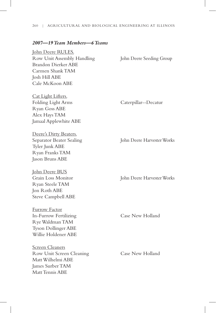## *2007—19 Team Members—6 Teams*

John Deere RULES. Row Unit Assembly Handling John Deere Seeding Group Brandon Dierker ABE Carmen Shank TAM Josh Hill ABE Cale McKoon ABE

Cat Light Lifters. Folding Light Arms Caterpillar--Decatur Ryan Goss ABE Alex Hays TAM Jamaal Applewhite ABE

Deere's Dirty Beaters. Separator Beater Sealing John Deere Harvester Works Tyler Junk ABE Ryan Franks TAM Jason Bruns ABE

John Deere BUS Ryan Steele TAM Jon Roth ABE Steve Campbell ABE

Furrow Factor In-Furrow Fertilizing Case New Holland Rye Waldman TAM Tyson Dollinger ABE Willie Holdener ABE

**Screen Cleaners** Row Unit Screen Cleaning Case New Holland Matt Wilhelmi ABE James Surber TAM Matt Tennis ABE

Grain Loss Monitor John Deere Harvester Works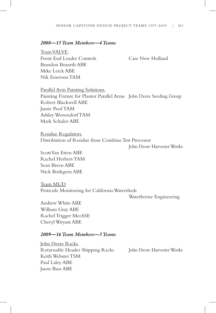# *2008—15 Team Members—4 Teams*

Team VALVE. Front End Loader Controls Case New Holland Brandon Bozarth ABE Mike Leick ABE Nik Emerson TAM

Parallel Arm Painting Solutions. Painting Fixture for Planter Parallel Arms John Deere Seeding Group Robert Blackwell ABE Jamie Pool TAM Ashley Wessendorf TAM Mark Schuler ABE

Residue Regulators. Distribution of Residue from Combine Test Processor

John Deere Harvester Works

Scott Van Etten ABE Rachel Herbert TAM Sean Breen ABE Nick Borkgren ABE

Team MUD Pesticide Monitoring for California Watersheds

Waterborne Engineering

Andrew White ABE William Gray ABE Rachel Trigger MechSE Cheryl Weyant ABE

## *2009—16 Team Members—5 Teams*

John Deere Racks. Returnable Header Shipping Racks John Deere Harvester Works Keith Webster TSM Paul Laley ABE Jason Buss ABE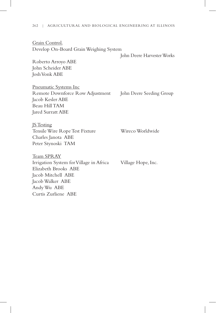Grain Control. Develop On-Board Grain Weighing System

John Deere Harvester Works

Roberto Arroyo ABE John Scheider ABE Josh Vonk ABE

Pneumatic Systems Inc Remote Downforce Row Adjustment John Deere Seeding Group Jacob Kesler ABE Beau Hill TAM Jared Surratt ABE

**JS** Testing Tensile Wire Rope Test Fixture Wireco Worldwide Charles Janota ABE Peter Stynoski TAM

Team SPRAY Irrigation System for Village in Africa Village Hope, Inc. Elizabeth Brooks ABE Jacob Mitchell ABE Jacob Walker ABE Andy Wu ABE Curtis Zurliene ABE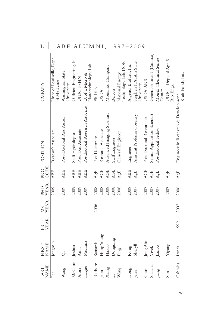| ┶<br>I                  | A                                         | DЕ                                    | A                        |                    | <b>IVI</b>                             | IN             | 1,                 |                            | T<br>ソ         | ソ<br>$\overline{1}$                    | $-20$                  |                                       |                          |                              |                                  |                                      |                                    |
|-------------------------|-------------------------------------------|---------------------------------------|--------------------------|--------------------|----------------------------------------|----------------|--------------------|----------------------------|----------------|----------------------------------------|------------------------|---------------------------------------|--------------------------|------------------------------|----------------------------------|--------------------------------------|------------------------------------|
| <b>CMPANY</b>           | Univ. of Louisville, Dept.<br>of Medicine | Washington State<br><b>Jniversity</b> | O'Brien Enginering, Inc. | <b>JIUC-FSHN</b>   | Nanotechnology Lab<br>U. of I. Micro & | Eli Liley      | <b>USDA</b>        | Monsanto Company           | Belcon         | Technology Lab, DOE<br>National Energy | Algenol Biofuels, Inc. | Stephen F. Austin State<br>University | <b>USDA-ARS</b>          | Genencor Inter'l (Danisco)   | Monell Chemical Senses<br>Center | UIUC - Dept. of Agr. &<br>Bio. Engr. | Kraft Foods, Inc.                  |
| POSITION                | Research Associate                        | Post-Doctoral Res. Assoc.             | Staff Hydrologist        | Post-Doc Associate | Postdoctoral Research Associate        | Post Doctorate | Research Associate | Advanced Imaging Scientist | Staff Engineer | General Engineer                       | Engineer               | Assistant Professor-Forestry          | Post-Doctoral Researcher | Senior Application Scientist | Postdoctoral Fellow              |                                      | Engineer in Research & Development |
| CODE<br>PR <sub>G</sub> | <b>ABE</b>                                | <b>ABE</b>                            | <b>ABE</b>               | <b>ABE</b>         | <b>ABE</b>                             | AgE            | <b>AGE</b>         | <b>AGE</b>                 | <b>AGE</b>     | AgE                                    | <b>ABE</b>             | AgE                                   | <b>AGE</b>               | AgE                          | AgE                              | AgE                                  | AgE                                |
| <b>YEAR</b><br>PHD      | 2009                                      | 2009                                  | 2009                     | 2009               | 2009                                   | 2008           | 2008               | 2008                       | 2008           | 2008                                   | 2008                   | 2007                                  | 2007                     | 2007                         | 2007                             | 2007                                 | 2006                               |
| <b>YEAR</b><br>XIS      |                                           |                                       |                          |                    |                                        | 2006           |                    |                            |                |                                        |                        |                                       |                          |                              |                                  |                                      | 2002                               |
| <b>YEAR</b><br>BS       |                                           |                                       |                          |                    |                                        |                |                    |                            |                |                                        |                        |                                       |                          |                              |                                  |                                      | 1999                               |
| <b>NAME</b><br>FIRST    | Jongmin                                   | $\ddot{\tilde{\mathrm{C}}}$           | Joshua                   | Amit               | Munima                                 | Samarth        | Hong Young         | Haitao                     | Dongmng        | Ping                                   | Rong                   | Sheryll                               | Jong Ahn                 | Vivek                        | Jianbo                           | Yigang                               | Lynda                              |
| <b>NAME</b><br>LAST     | Lee                                       | Wang                                  | McClure                  | Arora              | Haque                                  | Rathore        | Jeon               | Xiang                      | $\overline{u}$ | Wang                                   | Dong                   | Jerez                                 | Chun                     | Sharma                       | Jiang                            | Sun                                  | Cabrales                           |

L | ABE ALUMNI, 1997-2009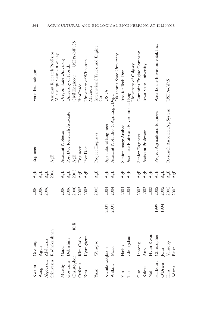| Kweon            | Giyoung                  |      | 2006 | AgE         | Engineer                                                                               | Veris Technologies                                           |
|------------------|--------------------------|------|------|-------------|----------------------------------------------------------------------------------------|--------------------------------------------------------------|
| Wang             | Aijun                    |      | 2006 | ${\rm AgE}$ |                                                                                        |                                                              |
|                  | Algoazany Abdulaziz      |      | 2006 | ${\rm AgE}$ |                                                                                        |                                                              |
|                  | Srinivasan Radhakrishnan |      |      | 2006        | AgE                                                                                    | Assistant Research Professor<br>Mississippi State University |
| Murthy           | Ganti                    |      | 2006 | AgE         | Assistant Professor                                                                    | Oregon State University                                      |
|                  | Goswami Debashish        |      | 2006 | ${\rm AgE}$ | Post Doc Research Associate                                                            | University of Florida                                        |
| Christopher      | Keli                     |      | 2000 | 2005        | AgE                                                                                    | USDA-NRCS<br>Civil Engineer                                  |
| Ocfenia          | Kim Carlo                |      | 2005 | AgE         | Engineer                                                                               | <b>BioCrude</b>                                              |
| Kim              | Kyunghyun                |      | 2005 | AgE         | Post Doc                                                                               | University of Wisconsin -<br>Madison                         |
| Yuan             | Wenqiao                  |      | 2005 | AgE         | Project Engineer                                                                       | International Truck and Engine<br>Ś                          |
| KwiatkowskiJason |                          | 2001 | 2004 | AgE         | Agricultural Engineer                                                                  | <b>USDA</b>                                                  |
| Wilkins          | $\rm{Mark}$              | 2001 | 2004 | AgE         | Agurumana – C<br>Assistant Prof., Bio. & Agr. Engr. Dept.<br>Oklahoma State University |                                                              |
| Yao              | Haibo                    |      | 2004 | AgE         | Senior Image Analyst                                                                   | Inst. for Tech Dev                                           |
| Tan              | Zhongchao                |      | 2004 | AgE         | Associate Professor, Environmental Eng                                                 | University of Calgary                                        |
| Guo              | Linsong                  |      | 2003 | AgE         | Senior Engineer                                                                        | Cummins Engine Company                                       |
| Kaleita          | Amy                      |      | 2003 | ${\rm AgE}$ | Assistant Professor                                                                    | Iowa State University                                        |
| ${\rm Noh}$      | Hyun Kwon                |      | 2003 | ${\rm AgE}$ |                                                                                        |                                                              |
| Harbourt         | Christopher              | 1999 | 2002 | ${\rm AgE}$ | Project Agricultural Engineer                                                          | Waterborne Environmental, Inc.                               |
| O'Brien          | John                     | 1994 | 2002 | ${\rm AgE}$ |                                                                                        |                                                              |
| Kim              | Yunseop                  |      | 2002 | ${\rm AgE}$ | Research Associate, Ag System                                                          | USDA-ARS                                                     |
| Adams            | Brian                    |      | 2002 | AgE         |                                                                                        |                                                              |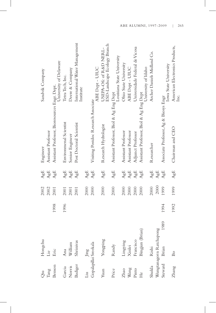| Öü      | Hongchu                 |      | 2002 | AgE                              | Engineer                                      | Sandvik Company                                        |
|---------|-------------------------|------|------|----------------------------------|-----------------------------------------------|--------------------------------------------------------|
| Tang    | Lie                     |      | 2002 | AgE                              | Assistant Professor                           |                                                        |
| Benson  | Eric                    | 1998 | 2001 | AgE                              | Assistant Professor, Bioresources Engr. Dept. | University of Delaware                                 |
| Garcia  | Ana                     | 1996 | 2001 | AgE                              | Environmenal Scientist                        | Tetra Tech, Inc.                                       |
| Norris  | William                 |      | 2001 | AgE                              | Senior Engineer                               | Deere & Company                                        |
| Badiger | Shrinivas               |      | 2001 | AgE                              | Post Doctoral Scientist                       | International Water Management<br>Institute            |
| Ŀц      | Jing                    |      | 2000 | AgE                              |                                               |                                                        |
|         | Gopalapillai Sreekala   |      | 2000 | AgE                              | Visiting Postdoc Research Associate           | ABE Dept - UIUC                                        |
| Yuan    | Yongping                |      | 2000 | AgE                              | Research Hydrologist                          | ESD-Landscape Ecology Branch<br>USEPA-Ofc of R&D NERL- |
| Price   | Randy                   |      | 2000 | AgE                              | Assistant Professor, Biol & Ag Eng Dept       | Louisiana State University                             |
| Zhao    | Lingying                |      | 2000 | AgE                              | Assistant Professor                           | Ohio State University                                  |
| Wang    | Xinlei                  |      | 2000 | AgE                              | Assistant Professor                           | ABE Dept - UIUC                                        |
| Pinto   | Francisco               |      | 2000 | $\mathbb{A}\mathrm{g}\mathbb{E}$ | Adjunct Professor                             | Universidade Federal de Vicosa                         |
| He      | Bingjun (Brian)         |      | 2000 | AgE                              | Assistant Professor, Biol & Ag Eng Dept       | University of Idaho                                    |
| Shukla  | Rishi                   |      | 2000 | AgE                              | Researcher                                    | Archer Daniels Midland Co.                             |
|         | Wungtanagorn Ratchapong |      | 2000 | AgE                              |                                               |                                                        |
| Steward | 1989<br>Brian           | 1994 | 1999 | AgE                              | Associate Professor, Ag & Biosys Engr         | Iowa State University                                  |
| Zhang   | $_{\rm Bo}$             | 1992 | 1999 | AgE                              | Chairman and CEO                              | American Electronics Products,<br>Inc.                 |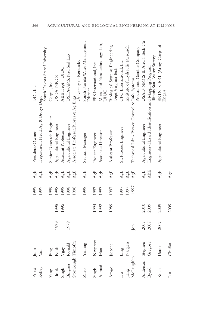| Priest            | John                            |      |      | 1999 | AgE         | President/Owner                                    | DDI, Inc.                                             |
|-------------------|---------------------------------|------|------|------|-------------|----------------------------------------------------|-------------------------------------------------------|
| Kelley            | Van                             |      |      | 1999 | AgE         | Department Head, Ag & Biosys Dept                  | South Dakota State University                         |
| Yang              |                                 |      |      | 1999 | AgE         | Senior Research Engineer                           | Cargill, Inc.                                         |
| <b>Book</b>       | Ping<br>Ruth<br>Vijay<br>Nonald | 1979 | 1995 | 1998 | ${\rm AgE}$ | Agricultural Engineer                              | USDA-NRCS                                             |
| Singh             |                                 |      | 1995 | 1998 | ${\rm AgE}$ | Assistant Professor                                | ABE Dept - UIUC                                       |
| Bingner           |                                 | 1979 |      | 1998 | ${\rm AgE}$ | Agricultural Engineer                              | USDA-ARS, Natl Sed Lab                                |
| Stombaugh Timothy |                                 |      |      | 1998 | AgE         | Associate Professor, Biosys & Ag Engr              | University of Kentucky                                |
| Zhao              | Yanling                         |      |      | 1998 | AgE         | Section Manager                                    | South Florida Water Management<br>District            |
| Singh             | Navpreet                        |      | 1994 | 1997 | AgE         | Project Engineer                                   | FES International, Inc.                               |
| Ahmad             | Irfan                           |      | 1992 | 1997 | AgE         | Associate Director                                 | Micro and Nanotechnology Lab,<br>UIUC                 |
| Arogo             | Jactone                         |      | 1989 | 1997 | AgE         | Assistant Professor                                | Biological Systems Engineering<br>Dept, Virginia Tech |
| Δu                | Ling                            |      |      | 1997 | AgE         | Sr. Process Engineer                               | CPC International, Inc.                               |
| Jiang             | Naiqian                         |      |      | 1997 | AgE         |                                                    | Institute of Hydraulic Research                       |
| McLaughlin        |                                 | Jon  |      | 1997 | AgE         | Technical Ldr. - Power, Control & Info. Systems    | Proctor and Gamble Company                            |
| Anderson          | Stephen                         | 2007 | 2010 |      | AgE         | Agricultural Engineer                              | USAD-NRCS IL Area 1 Tech Ctr                          |
| Byard             | Gregory                         | 2007 | 2009 |      | <b>ABE</b>  | Engineer-Hazard Identification and Mapping Program | Illinois State Water Survey                           |
| Koch              | Daniel                          | 2007 | 2009 |      | AgE         | Agricultural Engineer                              | ERDC-CERL (Army Corps of<br>Engrs)                    |
| Lin               | Chufan                          |      | 2009 |      | Age         |                                                    |                                                       |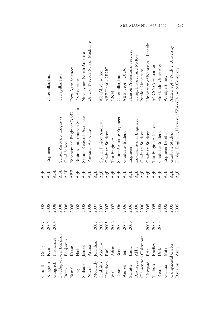|                   |                                                                                                                                                                                                                                                                |      | 2008 | AgE                              |                                                 |                                  |
|-------------------|----------------------------------------------------------------------------------------------------------------------------------------------------------------------------------------------------------------------------------------------------------------|------|------|----------------------------------|-------------------------------------------------|----------------------------------|
|                   |                                                                                                                                                                                                                                                                |      | 2008 | ${\rm AgE}$                      | Engineer                                        | Caterpillar, Inc.                |
|                   |                                                                                                                                                                                                                                                                |      | 2008 | <b>AGE</b>                       |                                                 |                                  |
|                   |                                                                                                                                                                                                                                                                |      | 2008 | AGE                              | Senior Associate Engineer                       | Caterpillar, Inc.                |
|                   |                                                                                                                                                                                                                                                                |      | 2008 | AGE                              | Grad School                                     |                                  |
|                   |                                                                                                                                                                                                                                                                |      | 2008 | ABE                              | Biochemical Engineer R&D                        | Dow Agro Sciences                |
|                   |                                                                                                                                                                                                                                                                |      | 2008 | ${\rm AgE}$                      | Business Information Specialist                 | ZS Associates                    |
|                   | Kingdon Ryan<br>Gingrich Nathanael<br>Madupaduwari Bhaskara<br>rem Benjamin<br>msal Karan<br>k Haibei<br>ak Aruna<br>itis Andrew 2005<br>itis Andrew 2005<br>son Paul<br>Adam Adam 2005<br>son Paul<br>Adam Adam 2005<br>son Paul<br>Adam 2005<br>son Paul<br> |      | 2008 | ${\rm AgE}$                      | Senior Research Associate                       | Novozymes North America          |
|                   |                                                                                                                                                                                                                                                                |      | 2008 | $\mathbf{A}\mathbf{g}\mathbf{E}$ | Research Associate                              | Univ. of Nevada, Sch of Medicine |
|                   |                                                                                                                                                                                                                                                                |      | 2007 | ${\rm AgE}$                      |                                                 |                                  |
|                   |                                                                                                                                                                                                                                                                |      | 2007 | $\mathbf{A}\mathbf{g}\mathbf{E}$ | Special Project Associate                       | WestfaliaSure Inc.               |
|                   |                                                                                                                                                                                                                                                                |      | 2007 | $\mathbf{A}\mathbf{g}\mathbf{E}$ | Graduate Student                                | ABE Dept - UIUC                  |
|                   |                                                                                                                                                                                                                                                                |      | 2007 | ${\rm AgE}$                      | Test Engineer                                   | <b>EKD</b>                       |
|                   |                                                                                                                                                                                                                                                                |      | 2006 | ${\rm AgE}$                      | Senior Associate Engineer                       | Caterpillar, Inc.                |
|                   |                                                                                                                                                                                                                                                                |      | 2006 | $\mathbf{A}\mathbf{g}\mathbf{E}$ | Graduate Student                                | ABE Dept - UIUC                  |
|                   |                                                                                                                                                                                                                                                                |      | 2006 | $\mathbf{A}\mathbf{g}\mathbf{E}$ | Engineer                                        | Hanson Professional Services     |
|                   |                                                                                                                                                                                                                                                                |      | 2006 | ${\rm AgE}$                      | Environmental Engineer                          | Camp, Dresser and McKee          |
| Clementson Clairm | ont                                                                                                                                                                                                                                                            |      | 2006 | ${\rm AgE}$                      | Graduate Student                                | Purdue University                |
| Newgard           |                                                                                                                                                                                                                                                                | 2003 | 2005 | ${\rm AgE}$                      | Graduate Student                                | University of Nebraska - Lincoln |
| Tadlock           | Eric<br>Bradley<br>Dirk<br>Mita                                                                                                                                                                                                                                | 2003 | 2005 | ${\rm AgE}$                      | Test Engineer, Jackson                          | AGCO Corporation                 |
|                   |                                                                                                                                                                                                                                                                | 2003 | 2005 | ${\rm AgE}$                      | Graduate Student                                | Hokkaido University              |
| Reum<br>Garasia   |                                                                                                                                                                                                                                                                |      | 2005 | $\mathbf{A}\mathbf{g}\mathbf{E}$ | Engineer Level 3                                | Woolpert, Inc.                   |
| Campabadal Carlos |                                                                                                                                                                                                                                                                |      | 2005 | ${\rm AgE}$                      | Graduate Student                                | ABE Dept - Purdue University     |
| Ryerson           | Anne                                                                                                                                                                                                                                                           |      | 2005 | AgE                              | Design Engineer, Harvester WorksDeere & Company |                                  |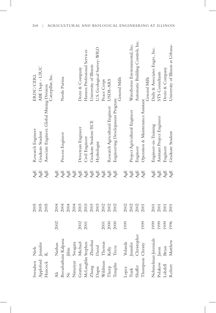| Svendsen                                           | Niels                               |      | 2005 | AgE                              | Research Engineer                          | ERDC/CERL                         |
|----------------------------------------------------|-------------------------------------|------|------|----------------------------------|--------------------------------------------|-----------------------------------|
| Appleford Jennifer                                 |                                     |      | 2005 | AgE                              | Graduate Student                           | ABE Dept - UIUC                   |
| Hancock K.                                         |                                     |      | 2005 | AgE                              | Associate Engineer, Global Mining Division | Caterpillar, Inc.                 |
| Äli                                                | Nathan                              | 2002 | 2004 | AgE                              |                                            |                                   |
|                                                    | Beesabathuni Kalpana                |      | 2004 | $\mathbf{A}\mathbf{g}\mathbf{E}$ | Process Engineer                           | Nestle Purina                     |
|                                                    |                                     |      | 2004 | ${\rm AgE}$                      |                                            |                                   |
| Ni<br>Ijini<br>Nimaiyar Swagata<br>Gratton Michael |                                     |      | 2004 | ${\rm AgE}$                      |                                            |                                   |
|                                                    |                                     | 2002 | 2003 | ${\rm AgE}$                      | Drivetrain Engineer                        | Deere & Company                   |
|                                                    | McLaughlin Stephen<br>Zhang Zhuohui | 2001 | 2003 | ${\rm AgE}$                      | Civil Engineer                             | Hanson Professional Services      |
|                                                    |                                     |      | 2003 | ${\rm AgE}$                      | Graduate Student/ECE                       | University of Illinois            |
|                                                    | David                               |      | 2003 | ${\rm AgE}$                      | Hydrologist                                | U.S. Geological Survey-WRD        |
| Dupre<br>Wildman                                   | Thomas                              | 2001 | 2002 | ${\rm AgE}$                      |                                            | Peace Corps                       |
| Thorp                                              | Kelly                               | 2000 | 2002 | ${\rm AgE}$                      | Research Agricultural Engineer             | USDA-ARS                          |
| Templin                                            | Tricia                              | 2000 | 2002 | AgE                              | Engineering Development Program            | General Mills                     |
| Lopez                                              | Yolanda                             | 1999 | 2002 | AgE                              |                                            |                                   |
| Trask                                              |                                     |      | 2002 | $\mathbf{A}\mathbf{g}\mathbf{E}$ | Project Agricultural Engineer              | Waterborne Environmental, Inc.    |
| Shaffer                                            | Jennifer<br>Christopher             |      | 2002 | ${\rm AgE}$                      | Engineer                                   | Automatic Building Controls, Inc. |
| Thompson Christy                                   |                                     | 1999 | 2001 | $\mathbb{A}\mathrm{g}\mathbb{E}$ | Operation & Maintenance Assistant          | General Mills                     |
|                                                    | Nehmelman Jeremiah                  | 1999 | 2001 | $\mathbf{A}\mathbf{g}\mathbf{E}$ | Engineer-in-Training                       | Daily & Associates Engrs., Inc.   |
|                                                    |                                     | 1999 | 2001 | ${\rm AgE}$                      | Assistant Project Engineer                 | STS Consultants                   |
| Polakow Jason<br>1.obdell Brian                    |                                     | 1999 | 2001 | $\mathsf{AgE}$                   | Engineer                                   | Deere & Company                   |
| Robert                                             | Matthew                             | 1996 | 2001 | AgE                              | Graduate Student                           | University of Illinois at Urbana- |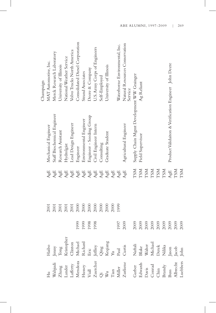|                                                                                                                                                                                                                                                                                                                                                                                                                                                                         |                                                                                                                                                                                                                                                                                                                                                                                                                                                                                                 |      |      |                                                             |                                                       | Champaign                                 |
|-------------------------------------------------------------------------------------------------------------------------------------------------------------------------------------------------------------------------------------------------------------------------------------------------------------------------------------------------------------------------------------------------------------------------------------------------------------------------|-------------------------------------------------------------------------------------------------------------------------------------------------------------------------------------------------------------------------------------------------------------------------------------------------------------------------------------------------------------------------------------------------------------------------------------------------------------------------------------------------|------|------|-------------------------------------------------------------|-------------------------------------------------------|-------------------------------------------|
| $\rm H\alpha$                                                                                                                                                                                                                                                                                                                                                                                                                                                           | Haibo                                                                                                                                                                                                                                                                                                                                                                                                                                                                                           |      | 2001 | AgE                                                         | Mechanical Engineer                                   | MAT Automotive, Inc.                      |
|                                                                                                                                                                                                                                                                                                                                                                                                                                                                         |                                                                                                                                                                                                                                                                                                                                                                                                                                                                                                 |      | 2001 | ${\rm AgE}$                                                 | Staff Biochemical Engineer                            | Merck Research Laboratory                 |
|                                                                                                                                                                                                                                                                                                                                                                                                                                                                         |                                                                                                                                                                                                                                                                                                                                                                                                                                                                                                 |      | 2001 | ${\rm AgE}$                                                 | Research Assistant                                    | University of Illinois                    |
|                                                                                                                                                                                                                                                                                                                                                                                                                                                                         |                                                                                                                                                                                                                                                                                                                                                                                                                                                                                                 |      | 2001 | ${\rm AgE}$                                                 | Hydrolgist                                            | National Weather Service                  |
|                                                                                                                                                                                                                                                                                                                                                                                                                                                                         |                                                                                                                                                                                                                                                                                                                                                                                                                                                                                                 |      | 2001 | ${\rm AgE}$                                                 | Lead Design Engineer                                  | Volvo Trucks North America                |
|                                                                                                                                                                                                                                                                                                                                                                                                                                                                         |                                                                                                                                                                                                                                                                                                                                                                                                                                                                                                 | 1999 | 2000 | $\mathbf{A}\mathbf{g}\mathbf{E}$                            | Engineer                                              | Consolidated Diesel Corporation           |
|                                                                                                                                                                                                                                                                                                                                                                                                                                                                         |                                                                                                                                                                                                                                                                                                                                                                                                                                                                                                 | 1999 | 2000 | $\mathbf{A}\mathbf{g}\mathbf{E}$                            | Environmental Engineer                                | <b>Strand Associates</b>                  |
|                                                                                                                                                                                                                                                                                                                                                                                                                                                                         |                                                                                                                                                                                                                                                                                                                                                                                                                                                                                                 | 1998 | 2000 |                                                             | Engineer - Seeding Group                              | Deere & Company                           |
|                                                                                                                                                                                                                                                                                                                                                                                                                                                                         |                                                                                                                                                                                                                                                                                                                                                                                                                                                                                                 | 1998 | 2000 | $\frac{\text{A}\text{g}\text{E}}{\text{A}\text{g}\text{E}}$ | Civil Engineer Intern                                 | U.S. Army Corps of Engineers              |
|                                                                                                                                                                                                                                                                                                                                                                                                                                                                         |                                                                                                                                                                                                                                                                                                                                                                                                                                                                                                 |      | 2000 | ${\rm AgE}$                                                 | Consulting                                            | Self-Employed                             |
|                                                                                                                                                                                                                                                                                                                                                                                                                                                                         |                                                                                                                                                                                                                                                                                                                                                                                                                                                                                                 |      | 2000 | ${\rm AgE}$                                                 | Graduate Student                                      | University of Illinois                    |
|                                                                                                                                                                                                                                                                                                                                                                                                                                                                         |                                                                                                                                                                                                                                                                                                                                                                                                                                                                                                 |      | 2000 | ${\rm AgE}$                                                 |                                                       |                                           |
|                                                                                                                                                                                                                                                                                                                                                                                                                                                                         |                                                                                                                                                                                                                                                                                                                                                                                                                                                                                                 | 1997 | 1999 | ${\rm AgE}$                                                 |                                                       | Waterborne Environmental, Inc.            |
| $\begin{tabular}{l} \hline \text{Wahjudi} \\ \text{Zhang} \\ \text{Lander} \\ \text{Lustery} \\ \text{Viall} \\ \text{Vall} \\ \text{Wul} \\ \text{Wul} \\ \text{Wul} \\ \text{Wul} \\ \text{Cor} \\ \text{Laward} \\ \text{Dawis} \\ \text{Bawads} \\ \text{Dawis} \\ \text{Bawas} \\ \text{Bawas} \\ \text{Bawas} \\ \text{Bawas} \\ \text{Bawas} \\ \text{Bawas} \\ \text{Bawas} \\ \text{Bawas} \\ \text{Bawas} \\ \text{Bawas} \\ \text{Bawas} \\ \text{Bawas} \\$ | $\begin{tabular}{l} \hline \texttt{fenny} \\ \texttt{Tong} \\ \texttt{Kritopher} \\ \texttt{Michael} \\ \texttt{Richard} \\ \texttt{Pefger} \\ \texttt{Ciling} \\ \texttt{Xeqiang} \\ \texttt{Xqiang} \\ \texttt{Mard} \\ \texttt{Mard} \\ \texttt{Mafail} \\ \texttt{Nafail} \\ \texttt{Nafail} \\ \texttt{Nafail} \\ \texttt{Nafail} \\ \texttt{Nafail} \\ \texttt{Nafail} \\ \texttt{Nafail} \\ \texttt{Nafail} \\ \texttt{Nafail} \\ \texttt{Nafail} \\ \texttt{Nafail} \\ \texttt{Nafail}$ | 2009 |      | ${\rm AgE}$                                                 | Agricultural Engineer                                 | Natural Resources Conservation<br>Service |
|                                                                                                                                                                                                                                                                                                                                                                                                                                                                         |                                                                                                                                                                                                                                                                                                                                                                                                                                                                                                 | 2009 |      | LSM                                                         | Supply Chain Mgmt Development WW Grainger             |                                           |
|                                                                                                                                                                                                                                                                                                                                                                                                                                                                         |                                                                                                                                                                                                                                                                                                                                                                                                                                                                                                 | 2009 |      | TSM<br>TSM<br>TSM<br>TSM<br>TSM                             | Field Supervisor                                      | Ag Reliant                                |
|                                                                                                                                                                                                                                                                                                                                                                                                                                                                         |                                                                                                                                                                                                                                                                                                                                                                                                                                                                                                 | 2009 |      |                                                             |                                                       |                                           |
|                                                                                                                                                                                                                                                                                                                                                                                                                                                                         |                                                                                                                                                                                                                                                                                                                                                                                                                                                                                                 | 2009 |      |                                                             |                                                       |                                           |
|                                                                                                                                                                                                                                                                                                                                                                                                                                                                         |                                                                                                                                                                                                                                                                                                                                                                                                                                                                                                 | 2009 |      |                                                             |                                                       |                                           |
|                                                                                                                                                                                                                                                                                                                                                                                                                                                                         |                                                                                                                                                                                                                                                                                                                                                                                                                                                                                                 | 2009 |      |                                                             |                                                       |                                           |
|                                                                                                                                                                                                                                                                                                                                                                                                                                                                         |                                                                                                                                                                                                                                                                                                                                                                                                                                                                                                 | 2009 |      | ${\rm AgE}$                                                 | Product Validaiton & Verification Engineer John Deere |                                           |
|                                                                                                                                                                                                                                                                                                                                                                                                                                                                         |                                                                                                                                                                                                                                                                                                                                                                                                                                                                                                 | 2009 |      | TSM                                                         |                                                       |                                           |
|                                                                                                                                                                                                                                                                                                                                                                                                                                                                         |                                                                                                                                                                                                                                                                                                                                                                                                                                                                                                 | 2009 |      | <b>LSM</b>                                                  |                                                       |                                           |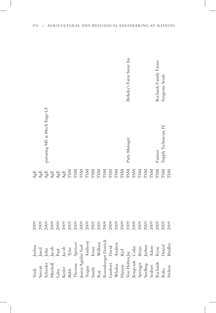| $\ensuremath{\text{V}\text{onk}}$ | Joshua                                                                                    | 2009 | AgE                                                                                            |                             |                           |
|-----------------------------------|-------------------------------------------------------------------------------------------|------|------------------------------------------------------------------------------------------------|-----------------------------|---------------------------|
| Surratt                           |                                                                                           | 2009 | ${\rm AgE}$                                                                                    |                             |                           |
| Scheider                          | ${\rm Jand} \\ {\rm John} \\ {\rm Jacob} \\ {\rm A.} \\ {\rm D.} \\ {\rm D.} \\ {\rm D.}$ | 2009 |                                                                                                | pursuing MS at Mech Engr UI |                           |
| Mitchell                          |                                                                                           | 2009 | $\begin{array}{c} \mathbf{A}\mathbf{g}\mathbf{E}\\ \mathbf{A}\mathbf{g}\mathbf{E} \end{array}$ |                             |                           |
|                                   |                                                                                           | 2009 |                                                                                                |                             |                           |
| Laley<br>Kesler                   |                                                                                           | 2009 | $\mathcal{A}_{\text{gE}}^{\text{gE}}$                                                          |                             |                           |
| Babb                              |                                                                                           | 2009 | TSM                                                                                            |                             |                           |
| Thomas                            | Jacob<br>Tyler<br>Spencer                                                                 | 2009 | <b>LSM</b>                                                                                     |                             |                           |
| Juarez Aguilar Saul               |                                                                                           | 2009 | <b>TSM</b>                                                                                     |                             |                           |
| Teague                            | Anthony                                                                                   | 2009 | <b>TSM</b>                                                                                     |                             |                           |
| Smith                             | Ernie                                                                                     | 2009 | TSM                                                                                            |                             |                           |
| Roy                               | William                                                                                   | 2009 | TSM                                                                                            |                             |                           |
|                                   | Rosenberger Derrick                                                                       | 2009 | <b>LSM</b>                                                                                     |                             |                           |
| Lambert David                     |                                                                                           | 2009 | <b>LSM</b>                                                                                     |                             |                           |
| Whalen Andrew                     |                                                                                           | 2009 | <b>LSM</b>                                                                                     |                             |                           |
| Hansen Kiel                       |                                                                                           | 2009 | <b>TSM</b>                                                                                     |                             |                           |
| Von Holten Jay                    |                                                                                           | 2009 | <b>TSM</b>                                                                                     | Parts Manager               | Birkeky's Farm Store Inc. |
| Krupczak Colin                    |                                                                                           | 2009 | <b>TSM</b>                                                                                     |                             |                           |
| Springer                          | Brian                                                                                     | 2009 | TSM                                                                                            |                             |                           |
| Snelling                          |                                                                                           | 2009 | <b>TSM</b>                                                                                     |                             |                           |
| Seabert                           | Joshua<br>Adam                                                                            | 2009 | <b>LSM</b>                                                                                     |                             |                           |
| Richards                          | Ryan<br>Daniel                                                                            | 2009 | <b>LSM</b>                                                                                     | Farmer                      | Richards Family Farms     |
| Rahe                              |                                                                                           | 2009 | <b>TSM</b>                                                                                     | Supply Technician IV        | Syngenta Seeds            |
| Nelson                            | Bradley                                                                                   | 2009 | <b>LSM</b>                                                                                     |                             |                           |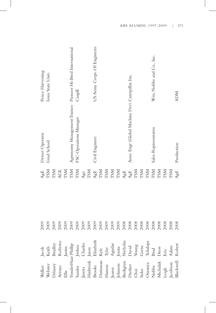|                                                                                                                                                                                                                                                                             | 2009 | ${\rm AgE}$                                                                                                                                                     | Driver/Operator                                           | Pence Harvesting            |
|-----------------------------------------------------------------------------------------------------------------------------------------------------------------------------------------------------------------------------------------------------------------------------|------|-----------------------------------------------------------------------------------------------------------------------------------------------------------------|-----------------------------------------------------------|-----------------------------|
|                                                                                                                                                                                                                                                                             | 2009 | <b>TSM</b>                                                                                                                                                      | Grad School                                               | Iowa State Univ.            |
|                                                                                                                                                                                                                                                                             | 2009 | <b>INSZ</b>                                                                                                                                                     |                                                           |                             |
|                                                                                                                                                                                                                                                                             | 2009 | AGE                                                                                                                                                             |                                                           |                             |
|                                                                                                                                                                                                                                                                             | 2009 | TSM<br>TSM<br>TSM                                                                                                                                               |                                                           |                             |
|                                                                                                                                                                                                                                                                             | 2009 |                                                                                                                                                                 | Agronomy Management Trainee Pioneer Hi-Bred International |                             |
|                                                                                                                                                                                                                                                                             | 2009 |                                                                                                                                                                 | FSC Operations Manager                                    | Cargill                     |
|                                                                                                                                                                                                                                                                             | 2009 | Age                                                                                                                                                             |                                                           |                             |
|                                                                                                                                                                                                                                                                             | 2009 | <b>TSM</b>                                                                                                                                                      |                                                           |                             |
|                                                                                                                                                                                                                                                                             | 2009 | $\frac{\text{A} \text{g} \text{E}}{\text{TSM}}$                                                                                                                 | Civil Engineer                                            | US Army Corps. Of Engineers |
|                                                                                                                                                                                                                                                                             | 2009 |                                                                                                                                                                 |                                                           |                             |
|                                                                                                                                                                                                                                                                             | 2009 |                                                                                                                                                                 |                                                           |                             |
|                                                                                                                                                                                                                                                                             | 2009 | $\begin{array}{c} \text{TSM} \\ \text{TSM} \\ \text{TSM} \end{array}$                                                                                           |                                                           |                             |
|                                                                                                                                                                                                                                                                             | 2009 |                                                                                                                                                                 |                                                           |                             |
|                                                                                                                                                                                                                                                                             | 2008 | ${\rm AgE}$                                                                                                                                                     |                                                           |                             |
|                                                                                                                                                                                                                                                                             | 2008 |                                                                                                                                                                 | Assoc Engr (Global Machine Dev) Caterpillar, Inc.         |                             |
|                                                                                                                                                                                                                                                                             | 2008 | $\begin{array}{l} \Lambda g \mathbf{E} \\ \mathbf{T} \mathbf{S} \mathbf{M} \\ \mathbf{T} \mathbf{S} \mathbf{M} \\ \mathbf{T} \mathbf{S} \mathbf{M} \end{array}$ |                                                           |                             |
|                                                                                                                                                                                                                                                                             | 2008 |                                                                                                                                                                 |                                                           |                             |
|                                                                                                                                                                                                                                                                             | 2008 |                                                                                                                                                                 |                                                           |                             |
|                                                                                                                                                                                                                                                                             | 2008 | TSM                                                                                                                                                             | Sales Representative                                      | Wm. Nobbe and Co., Inc.     |
|                                                                                                                                                                                                                                                                             | 2008 | <b>TSM</b>                                                                                                                                                      |                                                           |                             |
|                                                                                                                                                                                                                                                                             | 2008 | <b>LSM</b>                                                                                                                                                      |                                                           |                             |
| Walker Jacob<br>Webster Keith<br>Delaney Bradley<br>Delaney Bradley<br>Illis Justin<br>WonderHaar Phillip<br>Justin (Johna<br>Babrook Jason<br>Brooks Elizabeth<br>Hashrook Sann<br>Hansen Kyle<br>Dutisman Kyle<br>Dutisman Kyle<br>Dutisman Kyle<br>Dutisman Jenta<br>Dut | 2008 | <b>LSM</b>                                                                                                                                                      |                                                           |                             |
|                                                                                                                                                                                                                                                                             | 2008 | AgE                                                                                                                                                             | Production                                                | <b>NOW</b>                  |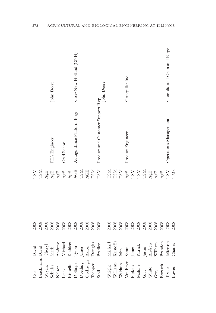| Cox             | David            | 2008                                                                                                                                                                                                                                                                                                          | <b>NSZ</b>                                        |                                  |                              |
|-----------------|------------------|---------------------------------------------------------------------------------------------------------------------------------------------------------------------------------------------------------------------------------------------------------------------------------------------------------------|---------------------------------------------------|----------------------------------|------------------------------|
| Brackmann David |                  |                                                                                                                                                                                                                                                                                                               | <b>LSM</b>                                        |                                  |                              |
| Weyant          | Cheryl           |                                                                                                                                                                                                                                                                                                               | AgE                                               |                                  |                              |
| Schuler         | $\rm{Mark}$      |                                                                                                                                                                                                                                                                                                               | ${\rm AgE}$                                       | FEA Engineer                     | John Deere                   |
| Nelson          | Andrew           |                                                                                                                                                                                                                                                                                                               |                                                   |                                  |                              |
| Leick           | Michael          |                                                                                                                                                                                                                                                                                                               |                                                   | Grad School                      |                              |
| Kinsella        | Kathleen         |                                                                                                                                                                                                                                                                                                               | AgE<br>AgE<br>AgE                                 |                                  |                              |
| Dollinger       | Tyson            |                                                                                                                                                                                                                                                                                                               | AGE                                               | Autoguidance Platform Engr       | Case/New Holland (CNH)       |
| Doelling        | James            |                                                                                                                                                                                                                                                                                                               | TSM                                               |                                  |                              |
| Orebaugh        | Aaron            |                                                                                                                                                                                                                                                                                                               | AGE                                               |                                  |                              |
| Toepper         | Douglas          |                                                                                                                                                                                                                                                                                                               | TSM                                               |                                  |                              |
| Stoll           | Bradley          |                                                                                                                                                                                                                                                                                                               | TSM                                               | Product and Customer Support Rep |                              |
|                 |                  |                                                                                                                                                                                                                                                                                                               |                                                   |                                  | John Deere                   |
| Wright          | Michael          | 2008                                                                                                                                                                                                                                                                                                          | <b>LSM</b>                                        |                                  |                              |
| Williams        | Kristofer        |                                                                                                                                                                                                                                                                                                               | <b>TSM</b>                                        |                                  |                              |
| Waldron         | John             |                                                                                                                                                                                                                                                                                                               | TSM                                               |                                  |                              |
| Van Etten       | Scott            |                                                                                                                                                                                                                                                                                                               |                                                   | Product Engineer                 | Caterpillar Inc.             |
| Pipkins         |                  |                                                                                                                                                                                                                                                                                                               | $\frac{\text{A} \text{g} \text{E}}{\text{TSM}}$   |                                  |                              |
| Malone          | James<br>Patrick |                                                                                                                                                                                                                                                                                                               |                                                   |                                  |                              |
|                 | Justin           |                                                                                                                                                                                                                                                                                                               | $_{\rm TSM}^{\rm TSM}$                            |                                  |                              |
| Gray<br>White   | Andrew           |                                                                                                                                                                                                                                                                                                               |                                                   |                                  |                              |
| Gray            | William          | $\begin{array}{l} 2008 \\ 2008 \\ 2008 \\ 2008 \\ 2008 \\ 2008 \\ 2008 \\ 2008 \\ 2008 \\ 2008 \\ 2008 \\ 2008 \\ 2008 \\ 2008 \\ 2008 \\ 2008 \\ 2008 \\ 2008 \\ 2008 \\ 2008 \\ 2008 \\ 2008 \\ 2008 \\ 2008 \\ 2008 \\ 2009 \\ 2009 \\ 2009 \\ 2009 \\ 2009 \\ 2009 \\ 2009 \\ 2009 \\ 2009 \\ 2009 \\ 20$ | $\mathcal{A}_{\mathcal{G}}^{\text{E}}\mathcal{E}$ |                                  |                              |
| Bozarth         | Brandon          |                                                                                                                                                                                                                                                                                                               |                                                   |                                  |                              |
| $\mbox{Taylor}$ | Jefferson        |                                                                                                                                                                                                                                                                                                               | AgE<br>TSM<br>TMS                                 | Operations Management            | Consolidated Grain and Barge |
| Bowen           | Charles          | 2008                                                                                                                                                                                                                                                                                                          |                                                   |                                  |                              |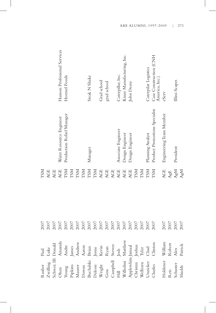|                                                                                           |                                                                                                                                                                                                                                                                | 2007 | <b>NST</b>                       |                               |                                          |
|-------------------------------------------------------------------------------------------|----------------------------------------------------------------------------------------------------------------------------------------------------------------------------------------------------------------------------------------------------------------|------|----------------------------------|-------------------------------|------------------------------------------|
|                                                                                           |                                                                                                                                                                                                                                                                | 2007 | AGE                              |                               |                                          |
|                                                                                           |                                                                                                                                                                                                                                                                | 2007 | AGE                              |                               |                                          |
|                                                                                           | Rusher Paul<br>Zwilling Luke<br>Zwilling Luke<br>Schwer, III Donald<br>Olsen Annanda<br>Young Andre<br>Pipkins James<br>Maurer Andrew<br>Downs Aaron<br>Deleon Josue<br>Deleon Josue<br>Neright Kevin<br>Coss Ryan<br>Goss Ryan<br>Hill Josh<br>Hill Josh<br>H | 2007 | AGE                              | Water Resource Engineer       | Hanson Professional Services             |
|                                                                                           |                                                                                                                                                                                                                                                                | 2007 | <b>TSM</b>                       | Production Relief Manager     | Hormel Foods                             |
|                                                                                           |                                                                                                                                                                                                                                                                | 2007 | <b>TSM</b>                       |                               |                                          |
|                                                                                           |                                                                                                                                                                                                                                                                | 2007 | <b>TSM</b>                       |                               |                                          |
|                                                                                           |                                                                                                                                                                                                                                                                | 2007 | <b>LSM</b>                       |                               |                                          |
|                                                                                           |                                                                                                                                                                                                                                                                | 2007 | <b>TSM</b>                       | Manager                       | Steak N Shake                            |
|                                                                                           |                                                                                                                                                                                                                                                                | 2007 | <b>TSM</b>                       |                               |                                          |
|                                                                                           |                                                                                                                                                                                                                                                                | 2007 | <b>AGE</b>                       |                               | Grad school                              |
|                                                                                           |                                                                                                                                                                                                                                                                | 2007 | AGE                              |                               | grad school                              |
|                                                                                           |                                                                                                                                                                                                                                                                | 2007 | AGE                              |                               |                                          |
|                                                                                           |                                                                                                                                                                                                                                                                | 2007 | <b>AGE</b>                       | Associate Engineer            | Caterpillar, Inc.                        |
|                                                                                           |                                                                                                                                                                                                                                                                | 2007 | AGE                              | Design Engineer               | Kinze Manufacturing, Inc.                |
|                                                                                           |                                                                                                                                                                                                                                                                | 2007 | AGE                              | Design Engineer               | John Deere                               |
|                                                                                           |                                                                                                                                                                                                                                                                | 2007 | <b>TSM</b>                       |                               |                                          |
|                                                                                           |                                                                                                                                                                                                                                                                | 2007 | <b>NST</b>                       |                               |                                          |
|                                                                                           |                                                                                                                                                                                                                                                                | 2007 | <b>TSM</b>                       | Planning Analyst              | Caterpilar Logistics                     |
| Applewhite Jamaal<br>Christen Joshua<br>Welborn Tyler<br>Unzicker Chad<br>Charles Clinton |                                                                                                                                                                                                                                                                | 2007 | <b>LSM</b>                       | Product Promotions Specialist | Case Construction (CNH<br>America, Inc.) |
|                                                                                           |                                                                                                                                                                                                                                                                | 2007 | <b>AGE</b>                       | Engineering Team Member       | eServ                                    |
| Holdener<br>Reis<br>Schuster<br>Shields                                                   | William<br>Robert<br>Alex<br>Patrick                                                                                                                                                                                                                           | 2007 | $\mathbb{A}\mathrm{g}\mathbb{E}$ |                               |                                          |
|                                                                                           |                                                                                                                                                                                                                                                                | 2007 | AgM                              | President                     | Illini-Scapes                            |
|                                                                                           |                                                                                                                                                                                                                                                                | 2007 | AgM                              |                               |                                          |

ABE ALUMNI, 1997-2009 | 273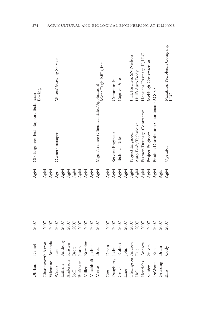| Uhrhan Daniel                                                |                   | 2007 | AgM         | GIS Engineer Tech Support Technician      | Boeing                            |
|--------------------------------------------------------------|-------------------|------|-------------|-------------------------------------------|-----------------------------------|
| Charlesworth Aaron                                           |                   | 2007 | AgM         |                                           |                                   |
| Valentine Annanda<br>Waters Lee<br>Latham Anthony            |                   | 2007 | AgM         |                                           |                                   |
|                                                              |                   | 2007 | Agm         | Owner/manager                             | Waters' Mowing Service            |
|                                                              |                   | 2007 | AgM         |                                           |                                   |
|                                                              |                   | 2007 | ${\rm AgM}$ |                                           |                                   |
| Latham<br>Anderson<br>Stoll<br>Burkhart                      | Kristen<br>Brett  | 2007 | ${\rm AgM}$ |                                           |                                   |
|                                                              | Justin<br>Brandon | 2007 | AgM         |                                           |                                   |
| Miller                                                       |                   | 2007 | AgM         |                                           |                                   |
| Maschhoff Joshua<br>Meese Brad                               |                   | 2007 | AgM         |                                           |                                   |
| Meese                                                        |                   | 2007 | AgM         | Mgmt Trainee (Chemical Sales/Application) | Mont Eagle Mills, Inc.            |
| $\cos$                                                       |                   | 2007 | AgM         |                                           |                                   |
|                                                              |                   | 2007 | AgM         | Service Engineer                          | Cummins Inc.                      |
| Cox<br>Daugherty Joshua<br>Grove Robert<br>Les               |                   | 2007 | AgM         | Technical Sales                           | Captive-Aire                      |
| Lane John<br>Thompson Andrew<br>Hull Eric<br>Henrichs Andrew |                   | 2007 | AgM         |                                           |                                   |
|                                                              |                   | 2007 | AgM         | Project Engineer                          | F. H. Paschen, SN Nielson         |
|                                                              |                   | 2007 | AgM         | Auto Body Technician                      | Hull's Auto Body                  |
|                                                              |                   | 2007 | AgM         | Partner/Drainage Contractor               | Henrichs Drainage II, LLC         |
|                                                              | Steven            | 2007 | AgM         | Project Engineer                          | McHugh Construction               |
| Sauder<br>DeWerff                                            | $\rm Eric$        | 2007 | AgM         | Product Distribution Coordinator AGCO     |                                   |
| Grussing                                                     | Brian             | 2007 | AgE         |                                           |                                   |
| <b>Bliss</b>                                                 | Cody              | 2007 | AgM         | Operator                                  | Marathon Petroleum Company,<br>СП |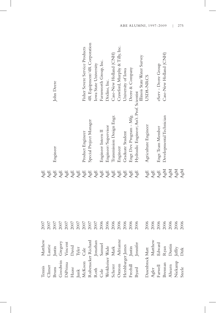| Tennis | Matthew                                                                                                                                                                                                                                                    | 2007 | AgE                              |                                            |                                |
|--------|------------------------------------------------------------------------------------------------------------------------------------------------------------------------------------------------------------------------------------------------------------|------|----------------------------------|--------------------------------------------|--------------------------------|
|        |                                                                                                                                                                                                                                                            | 2007 | AgE                              |                                            |                                |
|        |                                                                                                                                                                                                                                                            | 2007 | ${\rm AgE}$                      | Engineer                                   | John Deere                     |
|        |                                                                                                                                                                                                                                                            | 2007 | ${\rm AgE}$                      |                                            |                                |
|        |                                                                                                                                                                                                                                                            | 2007 | ${\rm AgE}$                      |                                            |                                |
|        |                                                                                                                                                                                                                                                            | 2007 | ${\rm AgE}$                      |                                            |                                |
|        |                                                                                                                                                                                                                                                            | 2007 | ${\rm AgE}$                      |                                            |                                |
|        |                                                                                                                                                                                                                                                            | 2007 | ${\rm AgE}$                      | Product Engineer                           | Fisher Severe Service Products |
|        |                                                                                                                                                                                                                                                            | 2007 | ${\rm AgE}$                      | Special Project Manager                    | 4R Equipment/4R Corporation    |
|        |                                                                                                                                                                                                                                                            | 2007 | ${\rm AgE}$                      |                                            | Iowa State University          |
|        |                                                                                                                                                                                                                                                            | 2006 | ${\rm AgE}$                      | Engineer Intern II                         | Farnsworth Group, Inc.         |
|        |                                                                                                                                                                                                                                                            | 2006 | ${\rm AgE}$                      | Engineer/Supervisor                        | Dixline, Inc.                  |
|        |                                                                                                                                                                                                                                                            | 2006 | $\mathbf{A}\mathbf{g}\mathbf{E}$ | Transmission Design Engr.                  | Case-New Holland (CNH)         |
|        |                                                                                                                                                                                                                                                            | 2006 | ${\rm AgE}$                      | Engineer                                   | Crawford, Murphy & Tilly, Inc. |
|        |                                                                                                                                                                                                                                                            | 2006 | ${\rm AgE}$                      | Graduate Student                           | University of Iowa             |
|        |                                                                                                                                                                                                                                                            | 2006 | ${\rm AgE}$                      | Engr. Dev. Program - Mfg.                  | Deere & Company                |
|        | Cliner Laurie<br>Bruns Justin<br>Bruns Uistin<br>Goodwin Gregory<br>DiPrima Vincent<br>Haase David<br>MacKoon Cale<br>Rubenacker Richard<br>Roth Jonathan<br>Roth Jonathan<br>Cole Samuel<br>Scherer Mark<br>Cotter Mark<br>Hershbarger Jamel<br>Hershbarg | 2006 | ${\rm AgE}$                      | Hydraulic Engineer; Ass't. Prof. Scientist | Illinois State Water Survey    |
|        |                                                                                                                                                                                                                                                            | 2006 | ${\rm AgE}$                      | Agriculture Engineer                       | USDA-NRCS                      |
|        | $\begin{tabular}{ll} Dasebbrock Matt \\ Agler & Matnew \\ Farwell & Edward \\ Breman & Ryan \\ Ahern & Dustin \\ Akam & Dustin \\ Nickamp & Jeffy \\ Steele & Dirk \\ \end{tabular}$                                                                       | 2006 | ${\rm AgE}$                      |                                            |                                |
|        |                                                                                                                                                                                                                                                            | 2006 | ${\rm AgE}$                      | Engr. Team Member                          | eServ - Deere Group            |
|        |                                                                                                                                                                                                                                                            | 2006 | ${\rm AgM}$                      | Developmental Technician                   | Case-New Holland (CNH)         |
|        |                                                                                                                                                                                                                                                            | 2006 | ${\rm AgM}$                      |                                            |                                |
|        |                                                                                                                                                                                                                                                            | 2006 | AgM                              |                                            |                                |
|        |                                                                                                                                                                                                                                                            | 2006 | AgM                              |                                            |                                |
|        |                                                                                                                                                                                                                                                            |      |                                  |                                            |                                |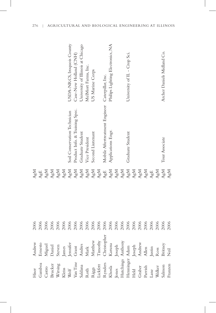|                                                                                                                                                                                                                                                                                                                                                                                                                                                                                       |                                                                                                                                                                                                                                                                                                | 2006 | AgM                                                                                                                                                                               |                                |                                   |
|---------------------------------------------------------------------------------------------------------------------------------------------------------------------------------------------------------------------------------------------------------------------------------------------------------------------------------------------------------------------------------------------------------------------------------------------------------------------------------------|------------------------------------------------------------------------------------------------------------------------------------------------------------------------------------------------------------------------------------------------------------------------------------------------|------|-----------------------------------------------------------------------------------------------------------------------------------------------------------------------------------|--------------------------------|-----------------------------------|
| $\begin{tabular}{lllllllll} \multicolumn{4}{c}{Hiser} & $\ell$ & \multicolumn{4}{c}{\text{Hier}}\\ \hline \multicolumn{4}{c}{Ganboa} & $\mathbf{I}$ & $\mathbf{I}$ & \multicolumn{4}{c}{\text{Garbo}}\\ \hline \multicolumn{4}{c}{Wiring} & $\mathbf{S}$ & $\mathbf{I}$ & \multicolumn{4}{c}{\text{Wor ring}}\\ \multicolumn{4}{c}{Wal} & $\mathbf{I}$ & $\mathbf{I}$ & \multicolumn{4}{c}{\text{Merig}}\\ \multicolumn{4}{c}{Nah} & $\mathbf{I}$ & $\mathbf{I}$ & \multicolumn{4}{c$ | Andrew<br>Ernsto<br>Miguel<br>Miguel<br>Daniel<br>Steven<br>Steven<br>Grant<br>Andrew<br>Mark<br>Mark<br>Mark<br>Timothy<br>Discopher<br>Timothy<br>Mark<br>Mark<br>Mark<br>Mark<br>Mark<br>Mark<br>Mark<br>Mark<br>Mark<br>Mark<br>Mark<br>Mark<br>Mark<br>Mark<br>Mark<br>Mark<br>Mark<br>Ma | 2006 |                                                                                                                                                                                   |                                |                                   |
|                                                                                                                                                                                                                                                                                                                                                                                                                                                                                       |                                                                                                                                                                                                                                                                                                | 2006 | $\frac{\textrm{A}\textrm{g}\textrm{E}}{\textrm{A}\textrm{g}\textrm{M}}$                                                                                                           |                                |                                   |
|                                                                                                                                                                                                                                                                                                                                                                                                                                                                                       |                                                                                                                                                                                                                                                                                                | 2006 |                                                                                                                                                                                   |                                |                                   |
|                                                                                                                                                                                                                                                                                                                                                                                                                                                                                       |                                                                                                                                                                                                                                                                                                | 2006 |                                                                                                                                                                                   |                                |                                   |
|                                                                                                                                                                                                                                                                                                                                                                                                                                                                                       |                                                                                                                                                                                                                                                                                                | 2006 |                                                                                                                                                                                   |                                |                                   |
|                                                                                                                                                                                                                                                                                                                                                                                                                                                                                       |                                                                                                                                                                                                                                                                                                | 2006 | AgM<br>AgM<br>AgM<br>AgM<br>AgM<br>AgM                                                                                                                                            | Soil Conservation Technician   | USDA-NRCS, Iroquois County        |
|                                                                                                                                                                                                                                                                                                                                                                                                                                                                                       |                                                                                                                                                                                                                                                                                                | 2006 |                                                                                                                                                                                   | Product Info. & Training Spec. | Case-New Holland (CNH)            |
|                                                                                                                                                                                                                                                                                                                                                                                                                                                                                       |                                                                                                                                                                                                                                                                                                | 2006 | ${\rm AgM}$                                                                                                                                                                       | Graduate Student               | University of Illinois at Chicago |
|                                                                                                                                                                                                                                                                                                                                                                                                                                                                                       |                                                                                                                                                                                                                                                                                                | 2006 | ${\rm AgM}$                                                                                                                                                                       | Vice President                 | MelMort Farms, Inc.               |
|                                                                                                                                                                                                                                                                                                                                                                                                                                                                                       |                                                                                                                                                                                                                                                                                                | 2006 |                                                                                                                                                                                   | Second Liutenant               | US Marine Corps                   |
|                                                                                                                                                                                                                                                                                                                                                                                                                                                                                       |                                                                                                                                                                                                                                                                                                | 2006 | $\frac{\textrm{V}}{\textrm{V}}$ Way                                                                                                                                               |                                |                                   |
|                                                                                                                                                                                                                                                                                                                                                                                                                                                                                       |                                                                                                                                                                                                                                                                                                | 2006 |                                                                                                                                                                                   | Mobile Aftertreatment Engineer | Caterpillar, Inc.                 |
|                                                                                                                                                                                                                                                                                                                                                                                                                                                                                       |                                                                                                                                                                                                                                                                                                | 2006 | $\begin{array}{lcl} \mathbf{A}\mathbf{g}\mathbf{E} \\ \mathbf{A}\mathbf{g}\mathbf{M} \\ \mathbf{A}\mathbf{g}\mathbf{M} \\ \mathbf{A}\mathbf{g}\mathbf{M} \end{array}$             | Applications Engr.             | Philips Lighting Electronics, NA  |
|                                                                                                                                                                                                                                                                                                                                                                                                                                                                                       |                                                                                                                                                                                                                                                                                                | 2006 |                                                                                                                                                                                   |                                |                                   |
|                                                                                                                                                                                                                                                                                                                                                                                                                                                                                       |                                                                                                                                                                                                                                                                                                | 2006 |                                                                                                                                                                                   |                                |                                   |
|                                                                                                                                                                                                                                                                                                                                                                                                                                                                                       |                                                                                                                                                                                                                                                                                                | 2006 |                                                                                                                                                                                   | Graduate Student               | University of IL - Crop Sci.      |
|                                                                                                                                                                                                                                                                                                                                                                                                                                                                                       |                                                                                                                                                                                                                                                                                                | 2006 |                                                                                                                                                                                   |                                |                                   |
|                                                                                                                                                                                                                                                                                                                                                                                                                                                                                       |                                                                                                                                                                                                                                                                                                | 2006 |                                                                                                                                                                                   |                                |                                   |
|                                                                                                                                                                                                                                                                                                                                                                                                                                                                                       |                                                                                                                                                                                                                                                                                                | 2006 | $\begin{array}{l} A_{\mathcal{B}} M \\ A_{\mathcal{B}} M \\ A_{\mathcal{B}} M \\ A_{\mathcal{B}} M \\ A_{\mathcal{B}} M \\ A_{\mathcal{B}} M \\ A_{\mathcal{B}} E \\ \end{array}$ |                                |                                   |
|                                                                                                                                                                                                                                                                                                                                                                                                                                                                                       |                                                                                                                                                                                                                                                                                                | 2006 |                                                                                                                                                                                   |                                |                                   |
|                                                                                                                                                                                                                                                                                                                                                                                                                                                                                       |                                                                                                                                                                                                                                                                                                | 2006 | AgM                                                                                                                                                                               |                                |                                   |
|                                                                                                                                                                                                                                                                                                                                                                                                                                                                                       |                                                                                                                                                                                                                                                                                                | 2006 | AgM                                                                                                                                                                               | Tour Associate                 | Archer Daniels Midland Co.        |
|                                                                                                                                                                                                                                                                                                                                                                                                                                                                                       |                                                                                                                                                                                                                                                                                                | 2006 | AgM                                                                                                                                                                               |                                |                                   |
|                                                                                                                                                                                                                                                                                                                                                                                                                                                                                       |                                                                                                                                                                                                                                                                                                |      |                                                                                                                                                                                   |                                |                                   |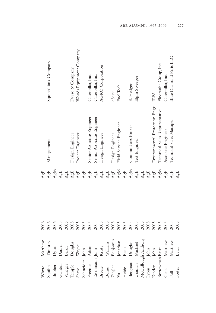| Whyte              | Matthew  | 2006 | AgE         |                                |                         |
|--------------------|----------|------|-------------|--------------------------------|-------------------------|
| Squibb             | Timothy  | 2006 | AgE         | Management                     | Squibb Tank Company     |
| Booher             | Dylan    | 2006 | AgM         |                                |                         |
| Gambill            | Daniel   | 2005 | AgE         |                                |                         |
| Vanagas            | Brian    | 2005 | ${\rm AgE}$ |                                |                         |
| Temple             | Douglas  | 2005 | ${\rm AgE}$ | Design Engineer                | Deere & Company         |
| Shaw               | Wayne    | 2005 | ${\rm AgE}$ | Project Engineer               | Woods Equipment Company |
| Schneider          | John     | 2005 | ${\rm AgE}$ |                                |                         |
| Freeman            | Adam     | 2005 | ${\rm AgE}$ | Senior Associate Engineer      | Caterpillar, Inc.       |
| Eisenmann John     |          | 2005 | ${\rm AgE}$ | Senior Associate Engineer      | Caterpillar, Inc.       |
| Breese             | Kristy   | 2005 | ${\rm AgE}$ | Design Engineer                | <b>AGRO</b> Corporation |
| Bonsu              | William  | 2005 | ${\rm AgE}$ |                                |                         |
| Ziegler            | Benjamin | 2005 | ${\rm AgE}$ | Design Engineer                | eServ                   |
| Yu                 | Jonathan | 2005 | AgM         | Field Service Engineer         | Fuel Tech               |
| Heide              | Beau     | 2005 | ${\rm AgE}$ |                                |                         |
| Bergman            | Douglas  | 2005 | AgM         | Commodities Broker             | E. Hedger               |
| Uranich            | Michael  | 2005 | ${\rm AgE}$ | Test Engineer                  | Elgin Sweeper           |
| McCullough Anthony |          | 2005 | ${\rm AgE}$ |                                |                         |
| Lyons              | John     | 2005 | ${\rm AgE}$ |                                |                         |
| Kinder             | John     | 2005 | ${\rm AgE}$ | Environmental Protection Engr  | <b>IEPA</b>             |
| Borrowman Brian    |          | 2005 | AgM         | Technical Sales Representative | Flodraulic Group, Inc.  |
| Ganz               | Matthew  | 2005 | ${\rm AgE}$ | Associate Engineer             | Caterpillar, Inc.       |
| Full               | Matthew  | 2005 | AgE         | Technical Sales Manager        | Blue Diamond Parts LLC  |
| Foster             | Evan     | 2005 | AgE         |                                |                         |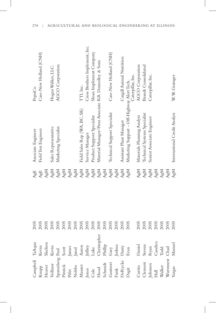| Campbell                                                                                                         |                                                                                                                                                                                                                                                                                | 2005 | AgE | Associate Engineer                                   | PepsiCo                        |
|------------------------------------------------------------------------------------------------------------------|--------------------------------------------------------------------------------------------------------------------------------------------------------------------------------------------------------------------------------------------------------------------------------|------|-----|------------------------------------------------------|--------------------------------|
|                                                                                                                  |                                                                                                                                                                                                                                                                                | 2005 | AgE | Field Test Engineer                                  | Case-New Holland (CNH)         |
|                                                                                                                  |                                                                                                                                                                                                                                                                                | 2005 | AgM |                                                      |                                |
|                                                                                                                  | TaAqua<br>Kevin<br>Shelton<br>Kevin                                                                                                                                                                                                                                            | 2005 | AgM | Sales Representative                                 | Hogan Walker, LLC.             |
|                                                                                                                  |                                                                                                                                                                                                                                                                                | 2005 | AgM | Marketing Specialist                                 | AGCO Corporation               |
|                                                                                                                  |                                                                                                                                                                                                                                                                                | 2005 | AgM |                                                      |                                |
|                                                                                                                  |                                                                                                                                                                                                                                                                                | 2005 | AgM |                                                      |                                |
|                                                                                                                  |                                                                                                                                                                                                                                                                                | 2005 | AgM |                                                      |                                |
|                                                                                                                  |                                                                                                                                                                                                                                                                                | 2005 | AgM | Field Sales Rep (WA, BC, SK)                         | TTI, Inc.                      |
|                                                                                                                  |                                                                                                                                                                                                                                                                                | 2005 | AgM | Service Manager                                      | Cross Brothers Implement, Inc. |
|                                                                                                                  |                                                                                                                                                                                                                                                                                | 2005 | AgM | Product Support Specialist                           | Sloan Implement Company        |
|                                                                                                                  |                                                                                                                                                                                                                                                                                | 2005 | AgM | Material Manager/Press Associate RR Donnelley & Sons |                                |
|                                                                                                                  |                                                                                                                                                                                                                                                                                | 2005 | AgM |                                                      |                                |
|                                                                                                                  |                                                                                                                                                                                                                                                                                | 2005 | AgM | Technical Support Specialist                         | Case-New Holland (CNH)         |
|                                                                                                                  |                                                                                                                                                                                                                                                                                | 2005 | AgM |                                                      |                                |
|                                                                                                                  |                                                                                                                                                                                                                                                                                | 2005 | AgM | Assistant Plant Manager                              | Cargill Animal Nutrition       |
|                                                                                                                  | Kevin<br>Heaver Shelton<br>Heaver Shelton<br>Vollmer Kevin<br>Sparenberg Paul<br>Pifer James<br>Pifer James<br>Maurer Aaron<br>Maurer Aaron<br>Cole Luke<br>Hood Christopher<br>Schmidt Phillip<br>Schmidt Cary<br>Funk Joshua<br>Reaver Gary<br>Schmidt Christopher<br>Schmid | 2005 | AgM | Marketing Support - Off-Highway Alert Tech.          | Caterpillar, Inc.              |
|                                                                                                                  |                                                                                                                                                                                                                                                                                | 2005 | AgM | Materials Planning Analyst                           | AGCO Corporation               |
|                                                                                                                  |                                                                                                                                                                                                                                                                                | 2005 | AgM | Technical Systems Specialist                         | <b>Brandt Consolidated</b>     |
|                                                                                                                  |                                                                                                                                                                                                                                                                                | 2005 | AgM | Senior Associate Engineer                            | Caterpillar, Inc.              |
|                                                                                                                  |                                                                                                                                                                                                                                                                                | 2005 | AgM |                                                      |                                |
|                                                                                                                  |                                                                                                                                                                                                                                                                                | 2005 | AgM |                                                      |                                |
|                                                                                                                  |                                                                                                                                                                                                                                                                                | 2005 | AgM |                                                      |                                |
| Curtin Daniel<br>Clement Steven<br>Johnson Ryan<br>Hall Candice<br>Walker Todd<br>Wurmnest Chad<br>Wurmnest Chad |                                                                                                                                                                                                                                                                                | 2005 | AgM | International Credit Analyst                         | W.W. Grainger                  |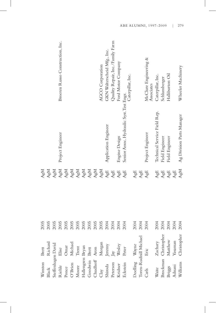|                                                                                                                                                                                                                                                           |                                                                                                                                                                                                                                                                                                                                                                                                                                  | 2005 | AgM                              |                                          |                                     |
|-----------------------------------------------------------------------------------------------------------------------------------------------------------------------------------------------------------------------------------------------------------|----------------------------------------------------------------------------------------------------------------------------------------------------------------------------------------------------------------------------------------------------------------------------------------------------------------------------------------------------------------------------------------------------------------------------------|------|----------------------------------|------------------------------------------|-------------------------------------|
| Winston<br>Black                                                                                                                                                                                                                                          | Brett<br>Richard                                                                                                                                                                                                                                                                                                                                                                                                                 | 2005 | AgM                              |                                          |                                     |
| Steffenhagen David                                                                                                                                                                                                                                        |                                                                                                                                                                                                                                                                                                                                                                                                                                  | 2005 | AgM                              |                                          |                                     |
|                                                                                                                                                                                                                                                           |                                                                                                                                                                                                                                                                                                                                                                                                                                  | 2005 | AgM                              | Project Engineer                         | Broeren Russo Construction, Inc.    |
|                                                                                                                                                                                                                                                           |                                                                                                                                                                                                                                                                                                                                                                                                                                  | 2005 | AgM                              |                                          |                                     |
|                                                                                                                                                                                                                                                           |                                                                                                                                                                                                                                                                                                                                                                                                                                  | 2005 | AgM                              |                                          |                                     |
|                                                                                                                                                                                                                                                           |                                                                                                                                                                                                                                                                                                                                                                                                                                  | 2005 | AgM                              |                                          |                                     |
|                                                                                                                                                                                                                                                           |                                                                                                                                                                                                                                                                                                                                                                                                                                  | 2005 | AgM                              |                                          |                                     |
|                                                                                                                                                                                                                                                           |                                                                                                                                                                                                                                                                                                                                                                                                                                  | 2005 | AgM                              |                                          |                                     |
|                                                                                                                                                                                                                                                           |                                                                                                                                                                                                                                                                                                                                                                                                                                  | 2005 | AgM                              |                                          |                                     |
|                                                                                                                                                                                                                                                           |                                                                                                                                                                                                                                                                                                                                                                                                                                  | 2005 | AgM                              |                                          | AGCO Corporation                    |
|                                                                                                                                                                                                                                                           |                                                                                                                                                                                                                                                                                                                                                                                                                                  | 2004 | $\mathbb{A}\mathrm{g}\mathbb{E}$ | Application Engineer                     | GKN Walterscheid Mfg., Inc.         |
|                                                                                                                                                                                                                                                           |                                                                                                                                                                                                                                                                                                                                                                                                                                  | 2004 | $\mathbf{A}\mathbf{g}\mathbf{E}$ |                                          | Quality Repair, Inc./Family Farm    |
|                                                                                                                                                                                                                                                           |                                                                                                                                                                                                                                                                                                                                                                                                                                  | 2004 | ${\rm AgE}$                      | Engine Design                            | Ford Motor Company                  |
| Riehle Elise<br>Ponce Omar<br>Noore Michael<br>Moore Trent<br>Hallengren Bryan<br>Goodwin Bret<br>Chudhoff Aron<br>Clay Morgan<br>Shiroda Jeremy<br>Peterson Jay<br>Richar Wesley<br>Richar Wesley<br>Electsion Dermy<br>Richar Wesley<br>Electsion Dermy |                                                                                                                                                                                                                                                                                                                                                                                                                                  | 2004 | ${\rm AgE}$                      | Senior Assoc. Hydraulic Syst. Test Engr. | Caterpillar, Inc.                   |
|                                                                                                                                                                                                                                                           |                                                                                                                                                                                                                                                                                                                                                                                                                                  | 2004 | AgE                              |                                          |                                     |
|                                                                                                                                                                                                                                                           |                                                                                                                                                                                                                                                                                                                                                                                                                                  | 2004 | $\mathbf{A}\mathbf{g}\mathbf{E}$ |                                          |                                     |
|                                                                                                                                                                                                                                                           | Asa.<br>Doelling Wayne<br>Toren-Rudisill Michael<br>Eric                                                                                                                                                                                                                                                                                                                                                                         | 2004 | AgE                              | Project Engineer                         | McClure Engineering &<br>Associates |
|                                                                                                                                                                                                                                                           |                                                                                                                                                                                                                                                                                                                                                                                                                                  | 2004 | AgE                              | Technical Service Field Rep.             | Caterpillar, Inc.                   |
|                                                                                                                                                                                                                                                           |                                                                                                                                                                                                                                                                                                                                                                                                                                  | 2004 | $\mathbf{A}\mathbf{g}\mathbf{E}$ | Field Engineer                           | Schlumberger                        |
| Briggs<br>Adnani<br>Williams                                                                                                                                                                                                                              | Waite Zachary<br>Brockman Christopher<br>Briggs Matthew                                                                                                                                                                                                                                                                                                                                                                          | 2004 | $\mathsf{AgE}$                   | Field Engineer                           | Halliburton Oil                     |
|                                                                                                                                                                                                                                                           | $\begin{minipage}{.4\linewidth} \textbf{Yas} \textbf{1} \textbf{1} \textbf{1} \textbf{1} \textbf{1} \textbf{1} \textbf{1} \textbf{1} \textbf{1} \textbf{1} \textbf{1} \textbf{1} \textbf{1} \textbf{1} \textbf{1} \textbf{1} \textbf{1} \textbf{1} \textbf{1} \textbf{1} \textbf{1} \textbf{1} \textbf{1} \textbf{1} \textbf{1} \textbf{1} \textbf{1} \textbf{1} \textbf{1} \textbf{1} \textbf{1} \textbf{1} \textbf{1} \textbf$ | 2004 | AgE                              |                                          |                                     |
|                                                                                                                                                                                                                                                           | Christopher                                                                                                                                                                                                                                                                                                                                                                                                                      | 2004 | AgM                              | Ag Division Parts Manager                | Wheeler Machinery                   |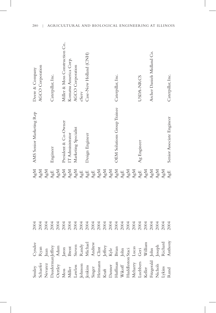| 280 | AGRICULTURAL AND BIOLOGICAL ENGINEERING AT ILLINOIS |  |  |
|-----|-----------------------------------------------------|--|--|

J

| Smiley Cyndee<br>Schaefer Ryan<br>Mewrez Juan<br>Dauderman<br>Jeffrey Adam<br>Oerdey Adam<br>Muler Brent<br>Muler Brent<br>Juan<br>Jenkins Steven<br>Heimann Clint<br>Heimann Clint<br>Heimann Clint<br>Kraft Jeffrey<br>Mikoff John<br>Hufflanan Brian<br>Mikoff John<br>Hufflan | 2004 | AgM                                                                      | AMS Senior Marketing Rep           | Deere & Company               |
|-----------------------------------------------------------------------------------------------------------------------------------------------------------------------------------------------------------------------------------------------------------------------------------|------|--------------------------------------------------------------------------|------------------------------------|-------------------------------|
|                                                                                                                                                                                                                                                                                   | 2004 | AgM                                                                      |                                    | AGCO Corporation              |
|                                                                                                                                                                                                                                                                                   | 2004 | AgM                                                                      |                                    |                               |
|                                                                                                                                                                                                                                                                                   | 2004 | ${\rm AgE}$                                                              | Engineer                           | Caterpillar, Inc.             |
|                                                                                                                                                                                                                                                                                   | 2004 | AgM                                                                      |                                    |                               |
|                                                                                                                                                                                                                                                                                   | 2004 | AgM                                                                      | President & Co-Owner               | Miller & Moss Construction Co |
|                                                                                                                                                                                                                                                                                   | 2004 | ${\rm AgM}$                                                              | IT Administrator                   | Komatsu America Corp.         |
|                                                                                                                                                                                                                                                                                   | 2004 | ${\rm AgM}$                                                              | Marketing Specialist               | AGCO Corporation              |
|                                                                                                                                                                                                                                                                                   | 2004 | ${\rm AgE}$                                                              |                                    | eServ                         |
|                                                                                                                                                                                                                                                                                   | 2004 | $\mathbf{A}\mathbf{g}\mathbf{E}$                                         | Design Engineer                    | Case-New Holland (CNH)        |
|                                                                                                                                                                                                                                                                                   | 2004 | ${\rm AgE}$                                                              |                                    |                               |
|                                                                                                                                                                                                                                                                                   | 2004 | ${\rm AgM}$                                                              |                                    |                               |
|                                                                                                                                                                                                                                                                                   | 2004 |                                                                          |                                    |                               |
|                                                                                                                                                                                                                                                                                   | 2004 |                                                                          |                                    |                               |
|                                                                                                                                                                                                                                                                                   | 2004 | $\begin{array}{c} \Lambda g M \\ \Lambda g M \\ \Lambda g M \end{array}$ | <b>OEM Solutions Group Trainee</b> | Caterpillar, Inc.             |
|                                                                                                                                                                                                                                                                                   | 2004 | ${\rm AgE}$                                                              |                                    |                               |
|                                                                                                                                                                                                                                                                                   | 2004 | ${\rm AgM}$                                                              |                                    |                               |
|                                                                                                                                                                                                                                                                                   | 2004 | ${\rm AgM}$                                                              |                                    |                               |
|                                                                                                                                                                                                                                                                                   | 2004 | ${\rm AgE}$                                                              | Ag Engineer                        | USDA-NRCS                     |
|                                                                                                                                                                                                                                                                                   | 2004 | ${\rm AgM}$                                                              |                                    |                               |
|                                                                                                                                                                                                                                                                                   | 2004 | AgM                                                                      |                                    | Archer Daniels Midland Co.    |
|                                                                                                                                                                                                                                                                                   | 2004 | AgM                                                                      |                                    |                               |
|                                                                                                                                                                                                                                                                                   | 2004 | AgM                                                                      |                                    |                               |
|                                                                                                                                                                                                                                                                                   | 2004 | AgE                                                                      | Senior Associate Engineer          | Caterpillar, Inc.             |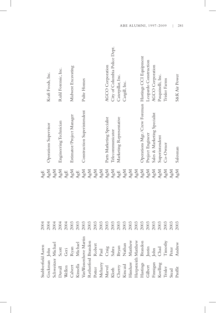| Stubberfield Aaren                      |                                                                                                                                       | 2004 | AgE         |                                                     |                               |
|-----------------------------------------|---------------------------------------------------------------------------------------------------------------------------------------|------|-------------|-----------------------------------------------------|-------------------------------|
| Gockman John                            |                                                                                                                                       | 2004 | AgM         | Operations Supervisor                               | Kraft Foods, Inc.             |
| Schweitzer Michael                      |                                                                                                                                       | 2004 | AgM         |                                                     |                               |
|                                         |                                                                                                                                       | 2004 | AgM         | Engineering Technician                              | Ruhl Forensic, Inc.           |
| Duvall<br>Wellen<br>Calvert<br>Kinsella | Scott<br>Geri<br>Ryan<br>Nichael                                                                                                      | 2004 | AgE         |                                                     |                               |
|                                         |                                                                                                                                       | 2003 | AgM         | Estimator/Project Manager                           | Midwest Excavating            |
|                                         |                                                                                                                                       | 2003 | AgE         |                                                     |                               |
|                                         | VanWassenhove Martin                                                                                                                  | 2003 | AgM         | Construction Superintendent                         | Pulte Homes                   |
|                                         |                                                                                                                                       | 2003 | AgM         |                                                     |                               |
|                                         |                                                                                                                                       | 2003 | ${\rm AgM}$ |                                                     |                               |
| Meharry                                 |                                                                                                                                       | 2003 | AgM         |                                                     |                               |
|                                         | Retherford Brandon<br>Poter Robert<br>Meharry Paul<br>Marvel Craig<br>Kloth Sahra<br>Cherry Bryan<br>Kincaid Nathan<br>Kincaid Nathan | 2003 | AgM         | Parts Marketing Specialist                          | <b>AGCO</b> Corporation       |
| Marvel<br>Kloth                         |                                                                                                                                       | 2003 | AgM         | Telecommunicator                                    | City of Columbia Police Dept. |
| Cherry<br>Kincaid                       |                                                                                                                                       | 2003 | ${\rm AgE}$ | Marketing Representative                            | Caterpillar, Inc.             |
|                                         |                                                                                                                                       | 2003 | AgM         |                                                     | Cargill, Inc.                 |
|                                         |                                                                                                                                       | 2003 | AgM         |                                                     |                               |
|                                         |                                                                                                                                       | 2003 | AgM         |                                                     |                               |
|                                         |                                                                                                                                       | 2003 | AgM         | Operations Mgr./Crew Foreman Hastings CCI Equipment |                               |
| Gilbert                                 |                                                                                                                                       | 2003 | AgM         | Project Engineer                                    | Leopardo Construction         |
|                                         | Herpsteith Matthew<br>Hastings Brandon<br>Gilbert Justin<br>Finnigan John<br>Koelling Chad<br>Koelling Chad<br>Trisler Timothy        | 2003 | AgM         | Sales & Marketing Specialist                        | AGCO Corporation              |
|                                         |                                                                                                                                       | 2003 | AgM         | Superintendent                                      | Pasquinelli, Inc.             |
|                                         |                                                                                                                                       | 2003 | AgM         | Co-Owner                                            | Trisler Farms                 |
| Stead                                   | Peter                                                                                                                                 | 2003 | AgM         |                                                     |                               |
| Proffit                                 | Andrew                                                                                                                                | 2003 | AgM         | Salesman                                            | S&K Air Power                 |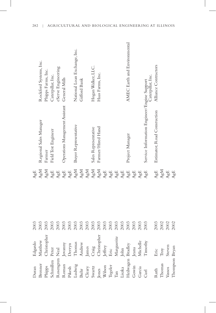| Duran                                                                                                                                                                                                                                                              | Edgardo<br>Matthew<br>Christopher                                                                                               | 2003 | AgE                              |                                                                  |                              |
|--------------------------------------------------------------------------------------------------------------------------------------------------------------------------------------------------------------------------------------------------------------------|---------------------------------------------------------------------------------------------------------------------------------|------|----------------------------------|------------------------------------------------------------------|------------------------------|
|                                                                                                                                                                                                                                                                    |                                                                                                                                 | 2003 | AgM                              | Regional Sales Manager                                           | Rockford Systems, Inc.       |
|                                                                                                                                                                                                                                                                    |                                                                                                                                 | 2003 | AgM                              | Farmer                                                           | Phipps Farms, Inc.           |
|                                                                                                                                                                                                                                                                    |                                                                                                                                 | 2003 | ${\rm AgE}$                      | Field Test Engineer                                              | Caterpillar, Inc.            |
|                                                                                                                                                                                                                                                                    |                                                                                                                                 | 2003 | ${\rm AgE}$                      |                                                                  | eServe Engineering           |
|                                                                                                                                                                                                                                                                    |                                                                                                                                 | 2003 | ${\rm AgE}$                      | Operations Management Assistant                                  | General Mills                |
|                                                                                                                                                                                                                                                                    |                                                                                                                                 | 2003 | ${\rm AgE}$                      |                                                                  |                              |
|                                                                                                                                                                                                                                                                    |                                                                                                                                 | 2003 | AgM                              | Buyer Representative                                             | National Loan Exchange, Inc. |
|                                                                                                                                                                                                                                                                    |                                                                                                                                 | 2003 | AgM                              |                                                                  | Gifford Bank                 |
|                                                                                                                                                                                                                                                                    |                                                                                                                                 | 2003 | ${\rm AgM}$                      |                                                                  |                              |
|                                                                                                                                                                                                                                                                    |                                                                                                                                 | 2003 | AgM                              | Sales Representative                                             | Hogan Walker, LLC.           |
|                                                                                                                                                                                                                                                                    |                                                                                                                                 | 2003 | AgM                              | Farmer/Hired Hand                                                | Haas Farms, Inc.             |
|                                                                                                                                                                                                                                                                    |                                                                                                                                 | 2003 | ${\rm AgE}$                      |                                                                  |                              |
|                                                                                                                                                                                                                                                                    |                                                                                                                                 | 2003 | ${\rm AgE}$                      |                                                                  |                              |
|                                                                                                                                                                                                                                                                    | Jovanny<br>Derryn<br>Thomas<br>Andrew<br>Andrew<br>James<br>Christopher<br>Christopher<br>Jeffrey<br>Bric<br>Marguerite<br>John | 2003 | ${\rm AgE}$                      |                                                                  |                              |
|                                                                                                                                                                                                                                                                    |                                                                                                                                 | 2003 | ${\rm AgE}$                      |                                                                  |                              |
|                                                                                                                                                                                                                                                                    |                                                                                                                                 | 2003 | ${\rm AgE}$                      | Project Manager                                                  | AMEC Earth and Environmental |
|                                                                                                                                                                                                                                                                    |                                                                                                                                 | 2003 | ${\rm AgE}$                      |                                                                  |                              |
|                                                                                                                                                                                                                                                                    |                                                                                                                                 | 2003 | ${\rm AgE}$                      |                                                                  |                              |
| Brenner Matthe<br>Phipps<br>Christe<br>Christe<br>Schmillen Peter<br>Rosengren Neal<br>Rosengren Meal<br>Pikesh Derryn<br>Fikesh Derryn<br>Hudwig Thomas<br>Swatz Craig<br>Swatz Craig<br>Swatz Craig<br>Swatz Craig<br>Swatz Craig<br>Than<br>Margus<br>Than<br>M | Jeana<br>Michelle<br>Timothy                                                                                                    | 2003 | AgE                              | Service Information Engineer/Engine Support<br>Caterpillar, Inc. |                              |
|                                                                                                                                                                                                                                                                    |                                                                                                                                 | 2003 | ${\rm AgE}$                      | Estimator, Road Consruction                                      | Alliance Contractors         |
| Ruth<br>Thomas<br>Vassos                                                                                                                                                                                                                                           | Eric<br>Troy<br>Steven                                                                                                          | 2002 | AgM                              |                                                                  |                              |
|                                                                                                                                                                                                                                                                    |                                                                                                                                 | 2002 | $\mathbf{A}\mathbf{g}\mathbf{E}$ |                                                                  |                              |
| Thompson Bryan                                                                                                                                                                                                                                                     |                                                                                                                                 | 2002 | ${\rm AgE}$                      |                                                                  |                              |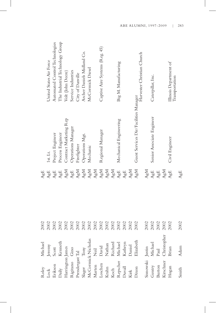| Roley                              | Michael                                                                                         | 2002 | $\mathbf{A}\mathbf{g}\mathbf{E}$ |                                       |                                          |
|------------------------------------|-------------------------------------------------------------------------------------------------|------|----------------------------------|---------------------------------------|------------------------------------------|
| Lock<br>Erikson<br>Daily           | Jeremy<br>Scott<br>Kenneth                                                                      | 2002 | ${\rm AgE}$                      | 1st. Lt.                              | United States Air Force                  |
|                                    |                                                                                                 | 2002 | ${\rm AgE}$                      | Project Engineer                      | Automated Control Technologies           |
|                                    |                                                                                                 | 2002 | ${\rm AgE}$                      | Process Engineer                      | The Industrial Technology Group          |
|                                    | Harrington James<br>Rigitano Gino<br>Prendergast Tal<br>Slager Tony<br>McCormick Nicholas       | 2002 | AgM                              | Contract Marketing Rep                | Volt (John Deere)                        |
|                                    |                                                                                                 | 2002 | ${\rm AgE}$                      | Operations Manager                    | Service Industries                       |
|                                    |                                                                                                 | 2002 | AgM                              | Firefighter                           | City of Danville                         |
|                                    |                                                                                                 | 2002 | ${\rm AgM}$                      | Operations Mgt.                       | Archer Daniels Midland Co.               |
|                                    |                                                                                                 | 2002 | ${\rm AgM}$                      | Mechanic                              | McCormick Diesel                         |
| Marten<br>Loschen<br>Krahn<br>Koch |                                                                                                 | 2002 |                                  |                                       |                                          |
|                                    |                                                                                                 | 2002 |                                  | Regional Manager                      | Captive Aire Systems (Reg. 45)           |
|                                    |                                                                                                 | 2002 | AgM<br>AgM<br>AgM                |                                       |                                          |
|                                    |                                                                                                 | 2002 | ${\rm AgM}$                      |                                       |                                          |
|                                    |                                                                                                 | 2002 | ${\rm AgE}$                      | Mechanical Engineering                | Big M. Manufacturing                     |
|                                    |                                                                                                 | 2002 | ${\rm AgE}$                      |                                       |                                          |
| Repscher<br>Duvall<br>Kirk         |                                                                                                 | 2002 | AgM                              |                                       |                                          |
| Dixon                              | Neil<br>David<br>David<br>Nathan<br>Richael<br>Michael<br>Kathryn<br>Daniel<br>Daniel<br>Daniel | 2002 | AgM                              | Guest Services Dir/Facilities Manager | Harvester Christian Church               |
| Sisnowski Justin<br>Gentry Michael |                                                                                                 | 2002 | AgM                              |                                       |                                          |
| Gentry<br>Burton                   |                                                                                                 | 2002 | ${\rm AgE}$                      | Senior Associate Engineer             | Caterpillar, Inc.                        |
|                                    | $_{\rm Paul}$                                                                                   | 2002 | ${\rm AgE}$                      |                                       |                                          |
| Kirschner                          | Christopher                                                                                     | 2002 | AgM                              |                                       |                                          |
| Hogan                              | Brian                                                                                           | 2002 | AgE                              | Civil Engineer                        | Illinois Department of<br>Transportation |
| Smith                              | Adam                                                                                            | 2002 | AgE                              |                                       |                                          |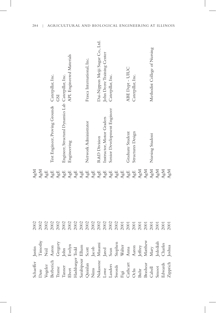| 284 | AGRICULTURAL AND BIOLOGICAL ENGINEERING AT ILLINOIS |  |  |
|-----|-----------------------------------------------------|--|--|
|     |                                                     |  |  |
|     |                                                     |  |  |
|     |                                                     |  |  |

| Schaeffer        | Justin      | 2002 | AgM                              |                                                     |                               |
|------------------|-------------|------|----------------------------------|-----------------------------------------------------|-------------------------------|
| Dare             | Timothy     | 2002 | AgM                              |                                                     |                               |
| Vogeler          | <b>Neil</b> | 2002 | ${\rm AgE}$                      |                                                     |                               |
| Berberich        | Aaron       | 2002 | $\mathbf{A}\mathbf{g}\mathbf{E}$ | Test Engineer, Proving Grounds Caterpillar, Inc.    |                               |
| Trame            | Gregory     | 2002 | ${\rm AgE}$                      |                                                     | GSI                           |
| Tanner           | John        | 2002 | ${\rm AgE}$                      | Engineer, Structural Dynamics Lab Caterpillar, Inc. |                               |
| Ebert            | Evelyn      | 2002 | ${\rm AgE}$                      | Engineering                                         | APL Engineered Materials      |
| Hashbarger Todd  |             | 2002 | $\mathbf{A}\mathbf{g}\mathbf{E}$ |                                                     |                               |
| Sarabipour Elham |             | 2002 | $\mathsf{AgE}$                   |                                                     |                               |
| Quinlan          | Scott       | 2002 | ${\rm AgE}$                      | Network Administrator                               | Frasca International, Inc.    |
| Nims             | Jacob       | 2002 | ${\rm AgE}$                      |                                                     |                               |
| Nakasone         | Masami      | 2002 | $\mathbf{A}\mathbf{g}\mathbf{E}$ | R&D Division                                        | Dai-Nippon Meiji Sugar Co., L |
| Lowe             | Jared       | 2002 | ${\rm AgE}$                      | Instructor, Motor Graders                           | John Deere Training Center    |
| Landers          | Sean        | 2002 | ${\rm AgE}$                      | Senior Development Engineer                         | Caterpillar, Inc.             |
| Swords           | Stephen     | 2002 | $\mathbf{A}\mathbf{g}\mathbf{E}$ |                                                     |                               |
| Figi             | Walter      | 2001 | ${\rm AgE}$                      |                                                     |                               |
| Cathcart         | Anna        | 2001 | ${\rm AgE}$                      | Graduate Student                                    | ABE Dept - UIUC               |
| Ochs             | Aaron       | 2001 | ${\rm AgE}$                      | Structures Design                                   | Caterpillar, Inc.             |
| Buhr             | Jeffrey     | 2001 | AgM                              |                                                     |                               |
| Brashear         | Matthew     | 2001 | ${\rm AgM}$                      |                                                     |                               |
| Cabell           | Mary        | 2001 | AgM                              | Nursing Student                                     | Methodist College of Nursing  |
| Smoot            | Jedediah    | 2001 | AgM                              |                                                     |                               |
| Edwards          | Charles     | 2001 | AgM                              |                                                     |                               |
| Zipprich         | Joshua      | 2001 | AgM                              |                                                     |                               |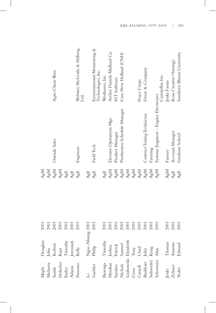|             |                              | Agro-Chem West |      |             |                                  | Webster, McGrath, & Ahlberg,<br>Ltd.                             |     | Enviornmental Monitoring &<br>Technologies, Inc.     | Worksaver, Inc.                                 | Archer Daniels Midland Co. | SST Software    | Case-New Holland (CNH)<br>Production Schedule Manager |      |      | Peace Corps | Deere & Company             |         | Caterpillar, Inc.<br>Systems Engineer - Engine Electronics                                                                                                                        | Jenks Farms |                          | Ross Creative+Strategy |        |
|-------------|------------------------------|----------------|------|-------------|----------------------------------|------------------------------------------------------------------|-----|------------------------------------------------------|-------------------------------------------------|----------------------------|-----------------|-------------------------------------------------------|------|------|-------------|-----------------------------|---------|-----------------------------------------------------------------------------------------------------------------------------------------------------------------------------------|-------------|--------------------------|------------------------|--------|
|             |                              | Outside Sales  |      |             |                                  | Engineer                                                         |     | Field Tech.                                          |                                                 | Elevator Operations Mgt.   | Product Manager |                                                       |      |      |             | Contract Testing Technician | Farming |                                                                                                                                                                                   | Farmer      |                          | Account Manager        |        |
| AgM         | AgM                          | AgM            | AgM  | ${\rm AgE}$ | $\mathbf{A}\mathbf{g}\mathbf{E}$ | $\mathbf{A}\mathbf{g}\mathbf{E}$                                 | AgE | $\mathsf{AgE}$                                       | AgE                                             | AgM                        | AgM             | AgM                                                   | AgM  | AgM  | AgM         | AgM                         | AgM     | AgM                                                                                                                                                                               | AgM         |                          | AgE                    |        |
|             |                              |                |      |             |                                  |                                                                  |     |                                                      |                                                 |                            |                 |                                                       |      |      |             |                             |         |                                                                                                                                                                                   |             |                          |                        |        |
| <b>2001</b> | 2001                         | 2001           | 2001 | 2001        | 2001                             | 2001                                                             |     |                                                      | 2001                                            | 2001                       | 2001            | 2001                                                  | 2001 | 2001 | 2001        | 2001                        | 2001    | 2001                                                                                                                                                                              | 2001        |                          | 2001                   |        |
| Douglass    |                              |                |      |             |                                  | John<br>Robert<br>Kurt<br>Timothy<br>Jermiah<br>Jermiah<br>Kelly |     | ${\rm Ngo- Nhung~2001}\atop {\rm Philip}\atop{2001}$ | $\ensuremath{\mathrm{T} \text{inot} \text{hy}}$ |                            |                 |                                                       |      |      |             |                             |         | Buenga Timothy<br>Merdian Joshua<br>Sanders Patrick<br>Nichols Samuel<br>Crabowski Elizabeth<br>Cross Tony<br>Carroll Chad<br>Burkhart John<br>Soltwedel Kraig<br>Soltwedel Kraig | Thomas      |                          | Annette                | Edward |
| Maple       | Meharry<br>Smith<br>Holscher |                |      |             |                                  | Earley<br>Adams<br>Panozzo                                       |     | Le<br>Gaebler                                        |                                                 |                            |                 |                                                       |      |      |             |                             |         |                                                                                                                                                                                   |             | Jenks<br>Zehner<br>Yoder |                        |        |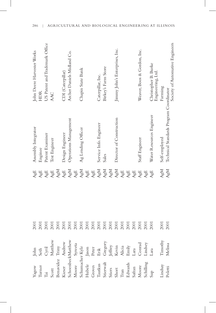|                    |                                                                                                                                                                                                                                                                                | <b>2001</b> | AgE                              | Assembly Integrator                     | John Deere Harvester Works                |
|--------------------|--------------------------------------------------------------------------------------------------------------------------------------------------------------------------------------------------------------------------------------------------------------------------------|-------------|----------------------------------|-----------------------------------------|-------------------------------------------|
|                    |                                                                                                                                                                                                                                                                                | 2001        | ${\rm AgE}$                      | Enginee                                 | HDR                                       |
|                    |                                                                                                                                                                                                                                                                                | 2001        | ${\rm AgE}$                      | Patent Examiner                         | US Patent and Trademark Office            |
|                    |                                                                                                                                                                                                                                                                                | 2001        | ${\rm AgE}$                      | Test Engineer                           | AAC                                       |
|                    |                                                                                                                                                                                                                                                                                | 2001        | AgM                              |                                         |                                           |
|                    |                                                                                                                                                                                                                                                                                | 2001        | ${\rm AgE}$                      | Design Engineer                         | CDI (Caterpillar)                         |
|                    |                                                                                                                                                                                                                                                                                | 2001        | AgM                              | Operations Management                   | Archer Daniels Midland Co.                |
|                    |                                                                                                                                                                                                                                                                                | 2001        | ${\rm AgE}$                      |                                         |                                           |
|                    |                                                                                                                                                                                                                                                                                | 2001        | AgM                              | Ag Lending Officer                      | Chapin State Bank                         |
|                    |                                                                                                                                                                                                                                                                                | 2001        | ${\rm AgE}$                      |                                         |                                           |
|                    |                                                                                                                                                                                                                                                                                | 2001        | AgE                              |                                         |                                           |
|                    |                                                                                                                                                                                                                                                                                | 2001        | AgM                              | Service Info. Engineer                  | Caterpillar, Inc.                         |
|                    |                                                                                                                                                                                                                                                                                | 2001        | AgM                              | Sales                                   | Birkey's Farm Store                       |
|                    |                                                                                                                                                                                                                                                                                | 2001        | AgM                              |                                         |                                           |
|                    |                                                                                                                                                                                                                                                                                | 2001        | AgM                              | Director of Construction                | Jimmy John's Enterprises, Inc.            |
|                    |                                                                                                                                                                                                                                                                                | 2001        | $\mathbb{A}\mathrm{g}\mathbb{E}$ |                                         |                                           |
|                    |                                                                                                                                                                                                                                                                                | 2001        | ${\rm AgE}$                      |                                         |                                           |
|                    |                                                                                                                                                                                                                                                                                | 2001        | ${\rm AgE}$                      |                                         |                                           |
|                    |                                                                                                                                                                                                                                                                                | 2001        | ${\rm AgE}$                      | Staff Engineer                          | Weaver, Boos & Gordon, Inc.               |
|                    |                                                                                                                                                                                                                                                                                | 2001        | ${\rm AgE}$                      |                                         |                                           |
|                    | Yagow John<br>Turner Seth<br>Gott Matthew<br>Scott Matthew<br>Kieser Andrew<br>Schoenbeck<br>Matthew<br>Schoenbeck<br>Matthew<br>Schumader Kyle<br>Grows Peter<br>Taukus Erik<br>Stierwalt Gregory<br>Stierwalt Gregory<br>Stierwalt Gregory<br>Stierwalt Gregory<br>Stierwalt | 2001        | AgE                              | Water Resources Engineer                | Christopher B. Burke<br>Engineering, Ltd. |
| Lindsay<br>Poletti | Timothy<br>Melissa                                                                                                                                                                                                                                                             | 2001        | AgM                              | Self-employed                           | Farming                                   |
|                    |                                                                                                                                                                                                                                                                                | 2001        | AgM                              | Technical Standards Program Coordinator | Society of Automative Engineers           |
|                    |                                                                                                                                                                                                                                                                                |             |                                  |                                         |                                           |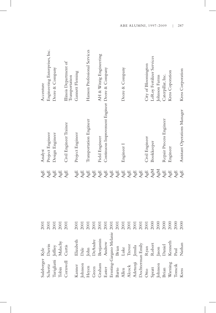| Sulzberger Kyle  |                          | 2001 | AgE                              | Analyst                                         | Accenture                                |
|------------------|--------------------------|------|----------------------------------|-------------------------------------------------|------------------------------------------|
| Schertz          | Darrin                   | 2001 | AgE                              | Project Engineer                                | Engineering Enterprises, Inc.            |
| Turigliatti      | Jeffrey                  | 2001 | ${\rm AgE}$                      | Design Engineer                                 | Deere & Company                          |
| Tobin            | Malachy                  | 2001 | ${\rm AgE}$                      |                                                 |                                          |
| Cornwell         | Curtis                   | 2001 | AgE                              | Civil Engineer Trainee                          | Illinois Department of<br>Transportation |
| Kanner           | Elizabeth                | 2001 | ${\rm AgE}$                      | Project Engineer                                | Gannett Fleming                          |
| Johnson          | Dale                     | 2001 | AgE                              |                                                 |                                          |
| Heyen            | John                     | 2001 | $\mathbf{A}\mathbf{g}\mathbf{E}$ | Transportation Engineer                         | Hanson Professional Services             |
| Green            | DeAndre                  | 2001 | AgE                              |                                                 |                                          |
| Graham           | Benjamin                 | 2001 | ${\rm AgE}$                      | Field Engineer                                  | AH & Witzig Engineering                  |
| Easter           | Andrew                   | 2001 | ${\rm AgE}$                      | Continuous Improvement Engineer Deere & Company |                                          |
|                  | Ernsting-Gargano Melanie | 2001 | $\mathsf{AgE}$                   |                                                 |                                          |
| Barto            | Brian                    | 2001 | ${\rm AgE}$                      |                                                 |                                          |
| Allen            | Luke                     | 2001 | $\mathbf{A}\mathbf{g}\mathbf{E}$ | Engineer I                                      | Deere & Company                          |
| Alcock           | Trevor                   | 2001 | ${\rm AgE}$                      |                                                 |                                          |
| Adetunji Jemila  |                          | 2001 | ${\rm AgE}$                      |                                                 |                                          |
| Dochterman Emily |                          | 2001 | ${\rm AgE}$                      |                                                 |                                          |
| Otto             | Ryan                     | 2001 | ${\rm AgE}$                      | Civil Engineer                                  | City of Bloomington                      |
| Spratt           | Robert                   | 2000 | AgM                              | Bookkeeper                                      | LeRoy Fertilizer Services                |
| Johnson          | Jason                    | 2000 | AgM                              |                                                 | Johnson Farms                            |
| Brian            | Daniel                   | 2000 | $\mathbb{A}\mathrm{g}\mathbb{E}$ | Repair Process Engineer                         | Caterpillar, Inc.                        |
| Warning          | Kenneth                  | 2000 | ${\rm AgE}$                      | Engineer                                        | Kress Coporation                         |
| Tomcik           | Paul                     | 2000 | AgE                              |                                                 |                                          |
| Kress            | Nathan                   | 2000 | AgE                              | Assistant Operations Manager                    | Kress Corporation                        |
|                  |                          |      |                                  |                                                 |                                          |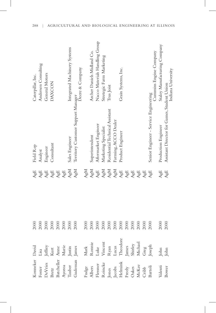| Konneker David                                                                                            |                                                                                                                           | 2000 | AgE         | Field Rep                                   | Caterpillar, Inc.              |
|-----------------------------------------------------------------------------------------------------------|---------------------------------------------------------------------------------------------------------------------------|------|-------------|---------------------------------------------|--------------------------------|
|                                                                                                           |                                                                                                                           | 2000 | ${\rm AgE}$ | Analyst                                     | Andersen Consulting            |
|                                                                                                           |                                                                                                                           | 2000 | ${\rm AgE}$ | Engineer                                    | General Motors                 |
|                                                                                                           |                                                                                                                           | 2000 | ${\rm AgE}$ | Consultant                                  | <b>DAXCON</b>                  |
|                                                                                                           |                                                                                                                           | 2000 | ${\rm AgE}$ |                                             |                                |
|                                                                                                           |                                                                                                                           | 2000 | ${\rm AgE}$ |                                             |                                |
|                                                                                                           |                                                                                                                           | 2000 | AgM         | Sales Engineer                              | Integrated Machinery Systems   |
| Foster<br>DeVries<br>Bretz<br>Batcheller<br>Batcheller<br>Ayoroa<br>Tauber<br>Tauber                      | Lisa<br>Jeffrey<br>Kurt<br>Ame<br>Ame<br>Marie<br>Justin<br>Justin                                                        | 2000 | AgM         | Territory Customer Support Manager          | Deere & Company                |
|                                                                                                           |                                                                                                                           | 2000 | AgM         |                                             |                                |
|                                                                                                           |                                                                                                                           | 2000 | AgM         | Superintendent                              | Archer Daniels Midland Co.     |
|                                                                                                           |                                                                                                                           | 2000 | ${\rm AgE}$ | Aftermarket Engineer                        | Nacco Materials Handling Group |
|                                                                                                           |                                                                                                                           | 2000 | AgM         | Marketing Specialist                        | Stretegic Farm Marketing       |
|                                                                                                           |                                                                                                                           | 2000 | AgM         | Residential Technical Assistant             | Trus Joist                     |
|                                                                                                           |                                                                                                                           | 2000 | AgM         | Farming, ACCO Dealer                        |                                |
|                                                                                                           |                                                                                                                           | 2000 | ${\rm AgE}$ | Product Engineer                            | Grain Systems, Inc.            |
|                                                                                                           |                                                                                                                           | 2000 | ${\rm AgE}$ |                                             |                                |
|                                                                                                           |                                                                                                                           | 2000 | ${\rm AgE}$ |                                             |                                |
|                                                                                                           |                                                                                                                           | 2000 | ${\rm AgE}$ |                                             |                                |
|                                                                                                           |                                                                                                                           | 2000 | ${\rm AgE}$ |                                             |                                |
| Fudge<br>Albers<br>Elessner<br>Escons<br>Jones<br>Helmink<br>Helmink<br>Ereely<br>Oakes<br>Oakes<br>Oakes | Mark<br>Ronnie<br>Luke<br>Uincent<br>Vincent<br>Lucas<br>Theodore<br>Theodore<br>Shirley<br>Shirley<br>Shirley<br>Shirley | 2000 | AgE         | Senior Engineer - Service Engineering       | Cummins Engine Company         |
| Valenti                                                                                                   |                                                                                                                           | 2000 | AgE         | Production Engineer                         | Staley Manufacturing Company   |
| Bower                                                                                                     | $\begin{array}{c}\n\text{John} \\ \text{John}\n\end{array}$                                                               | 2000 | AgE         | Assistant Director for Games, Student Union | Indiana University             |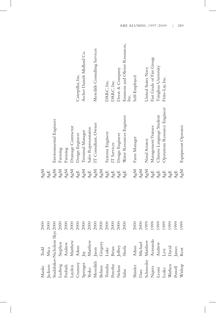| Manke                                                                                | $_{\rm Todd}$                                                                                                                                                                                                                                                                                                                                                                                                                                                                                    | 2000 | AgM         |                              |                                       |
|--------------------------------------------------------------------------------------|--------------------------------------------------------------------------------------------------------------------------------------------------------------------------------------------------------------------------------------------------------------------------------------------------------------------------------------------------------------------------------------------------------------------------------------------------------------------------------------------------|------|-------------|------------------------------|---------------------------------------|
|                                                                                      |                                                                                                                                                                                                                                                                                                                                                                                                                                                                                                  |      | AgE         |                              |                                       |
|                                                                                      |                                                                                                                                                                                                                                                                                                                                                                                                                                                                                                  |      | AgM         | Environmental Engineer       |                                       |
|                                                                                      | Jackson Mica 2000<br>Studabaker-Nicholson Skye 2000<br>Ludwig Stephen 2000<br>Frobish Andrew 2000<br>Layden Matthew 2000<br>Cramsey Adam                                                                                                                                                                                                                                                                                                                                                         |      | AgM         | Farming                      |                                       |
|                                                                                      |                                                                                                                                                                                                                                                                                                                                                                                                                                                                                                  |      | AgM         | Farming                      |                                       |
|                                                                                      |                                                                                                                                                                                                                                                                                                                                                                                                                                                                                                  |      | AgM         | Drainage Contractor          |                                       |
|                                                                                      |                                                                                                                                                                                                                                                                                                                                                                                                                                                                                                  |      | ${\rm AgE}$ | Design Engineer              | Caterpillar, Inc.                     |
| Springer<br>Yesko                                                                    |                                                                                                                                                                                                                                                                                                                                                                                                                                                                                                  | 2000 | AgM         | Terminal Manager             | Archer Daniels Midland Co.            |
|                                                                                      |                                                                                                                                                                                                                                                                                                                                                                                                                                                                                                  | 2000 | ${\rm AgE}$ | Sales Representative         |                                       |
| Meredith<br>Behne                                                                    |                                                                                                                                                                                                                                                                                                                                                                                                                                                                                                  | 2000 | AgM         | IT Consultant, Owner         | Meredith Consulting Services          |
|                                                                                      |                                                                                                                                                                                                                                                                                                                                                                                                                                                                                                  | 2000 | AgM         |                              |                                       |
|                                                                                      |                                                                                                                                                                                                                                                                                                                                                                                                                                                                                                  | 2000 | ${\rm AgE}$ | Systems Engineer             | DARC, Inc.                            |
|                                                                                      |                                                                                                                                                                                                                                                                                                                                                                                                                                                                                                  | 2000 | ${\rm AgE}$ | IT Services                  | DARC, Inc.                            |
|                                                                                      |                                                                                                                                                                                                                                                                                                                                                                                                                                                                                                  | 2000 | ${\rm AgE}$ | Design Engineer              | Deere & Company                       |
| Tomsha<br>Peterlin<br>Nelson<br>Nelson<br>Sahu                                       | $\begin{tabular}{l}p{4pt}\\ \hline \multicolumn{1}{l}{Andrev}\\ \multicolumn{1}{l}{Andrev}\\ \multicolumn{1}{l}{Andim}\\ \multicolumn{1}{l}{Andim}\\ \multicolumn{1}{l}{Matthev}\\ \multicolumn{1}{l}{Mattew}\\ \multicolumn{1}{l}{Ason}\\ \multicolumn{1}{l}{Bord} \\ \multicolumn{1}{l}{Dend} \\ \multicolumn{1}{l}{Dend} \\ \multicolumn{1}{l}{Dend} \\ \multicolumn{1}{l}{Dend} \\ \multicolumn{1}{l}{Dend} \\ \multicolumn{1}{l}{Dend} \\ \multicolumn{1}{l}{Dend} \\ \multicolumn{1}{l}{D$ | 2000 | AgE         | Water Resources Engineer     | Emmons and Olivier Resources,<br>Inc. |
| Shissler                                                                             | Adam<br>Michael                                                                                                                                                                                                                                                                                                                                                                                                                                                                                  | 2000 | AgM         | Farm Manager                 | Self-Employed                         |
|                                                                                      |                                                                                                                                                                                                                                                                                                                                                                                                                                                                                                  | 2000 | AgM         |                              |                                       |
|                                                                                      |                                                                                                                                                                                                                                                                                                                                                                                                                                                                                                  | 1999 | AgM         | Naval Aviator                | United States Navy                    |
|                                                                                      | Matthew<br>Armando<br>Andrew<br>Levi<br>Levi<br>David                                                                                                                                                                                                                                                                                                                                                                                                                                            | 1999 | ${\rm AgE}$ | Management Trainee           | Fiat Grade of Fiat Group              |
|                                                                                      |                                                                                                                                                                                                                                                                                                                                                                                                                                                                                                  | 1999 | ${\rm AgE}$ | Chinese Language Student     | Tsinghua University                   |
|                                                                                      |                                                                                                                                                                                                                                                                                                                                                                                                                                                                                                  | 1999 | ${\rm AgE}$ | Operations Resource Engineer | Frito-Lay, Inc.                       |
|                                                                                      |                                                                                                                                                                                                                                                                                                                                                                                                                                                                                                  | 1999 | ${\rm AgE}$ |                              |                                       |
| Dare<br>Schroeder<br>Najera<br>Leone<br>Leake<br>Vähen<br>Wathen<br>Powell<br>Nishop | James<br>Kent                                                                                                                                                                                                                                                                                                                                                                                                                                                                                    | 1999 | AgE         |                              |                                       |
|                                                                                      |                                                                                                                                                                                                                                                                                                                                                                                                                                                                                                  | 1999 | AgM         | Equipment Operator           |                                       |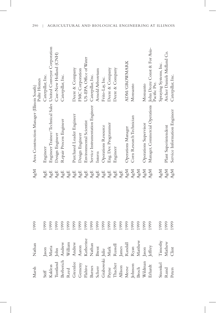| Marsh                                                | Nathan                                                                                                                                                                                                                                                                                          | 1999 | AgM                              | Area Construction Manager (Illinois South)                   | Pulte Homes                                  |
|------------------------------------------------------|-------------------------------------------------------------------------------------------------------------------------------------------------------------------------------------------------------------------------------------------------------------------------------------------------|------|----------------------------------|--------------------------------------------------------------|----------------------------------------------|
| $\mathsf{S}\mathsf{t}\mathsf{i}\mathsf{f}\mathsf{f}$ |                                                                                                                                                                                                                                                                                                 | 1999 | AgE                              | Engineer                                                     | Caterpillar, Inc.                            |
| Kakleas<br>Tuntland                                  | Jason<br>Maria                                                                                                                                                                                                                                                                                  | 1999 | ${\rm AgE}$                      | Engineer Trainee/Technical Sales United Conveyor Corporation |                                              |
|                                                      |                                                                                                                                                                                                                                                                                                 | 1999 | ${\rm AgE}$                      | Design Engineer                                              | Case-New Holland (CNH)                       |
| Berberich                                            | John<br>Andrew<br>William                                                                                                                                                                                                                                                                       | 1999 | ${\rm AgE}$                      | Repair Process Engineer                                      | Caterpillar, Inc.                            |
|                                                      |                                                                                                                                                                                                                                                                                                 | 1999 | ${\rm AgE}$                      |                                                              |                                              |
|                                                      |                                                                                                                                                                                                                                                                                                 | 1999 | ${\rm AgE}$                      | Purchased Loader Engineer                                    | Deere & Company                              |
|                                                      |                                                                                                                                                                                                                                                                                                 | 1999 | $\mathbf{A}\mathbf{g}\mathbf{E}$ | Design Engineer                                              | FMC Corporation                              |
|                                                      |                                                                                                                                                                                                                                                                                                 | 1999 | ${\rm AgE}$                      | Environmental Scientist                                      | US-EPA, Office of Water                      |
|                                                      |                                                                                                                                                                                                                                                                                                 | 1999 | ${\rm AgE}$                      | Service Instrumentation Engineer                             | Caterpillar, Inc.                            |
|                                                      |                                                                                                                                                                                                                                                                                                 | 1999 | $\mathbf{A}\mathbf{g}\mathbf{E}$ | Intern                                                       | Arnold Arboretum                             |
|                                                      |                                                                                                                                                                                                                                                                                                 | 1999 | ${\rm AgE}$                      | Operations Resource                                          | Frito-Lay, Inc.                              |
|                                                      |                                                                                                                                                                                                                                                                                                 | 1999 | ${\rm AgE}$                      | Eng. Dev. Programmer                                         | Deere & Company                              |
|                                                      |                                                                                                                                                                                                                                                                                                 | 1999 | $\mathbf{A}\mathbf{g}\mathbf{E}$ | Engineer                                                     | Deere & Company                              |
|                                                      |                                                                                                                                                                                                                                                                                                 | 1999 | ${\rm AgE}$                      |                                                              |                                              |
|                                                      |                                                                                                                                                                                                                                                                                                 | 1999 | AgM                              | Operations Manager                                           | <b>ADM/GROWMARK</b>                          |
|                                                      |                                                                                                                                                                                                                                                                                                 | 1999 | AgM                              | Corn Research Technician                                     | Monsanto                                     |
|                                                      |                                                                                                                                                                                                                                                                                                 | 1999 | AgM                              |                                                              |                                              |
|                                                      |                                                                                                                                                                                                                                                                                                 | 1999 | AgM                              | Operations Supervisor                                        | Monsanto                                     |
|                                                      | Reed William<br>Grenlee Andrew<br>Geneny Aaron<br>Geneny Aaron<br>Flahive Katherine<br>Barnes Nathan<br>Scherr Brent<br>Crabowski Julie<br>Payne Mark<br>Thacher Russell<br>Allison James<br>Mesee Randall<br>Mesee Randall<br>Mesee Randall<br>Dohnson Ryan<br>Broch Matth<br>Jason<br>Jeffrey | 1999 | AgM                              | Manager, Commercial Operations                               | John Deere Const & For Asia-<br>Pacific Pte. |
| Stuenkel                                             | $\ensuremath{\mathrm{Timot}}$                                                                                                                                                                                                                                                                   | 1999 | ${\rm AgM}$                      |                                                              | Spraying Systems, Inc.                       |
| Rund                                                 | Mathew<br>Clint                                                                                                                                                                                                                                                                                 | 1999 | AgM                              | Plant Superintendent                                         | Archer Daniels Midland Co.                   |
| Peters                                               |                                                                                                                                                                                                                                                                                                 | 1999 | AgM                              | Service Information Engineer                                 | Caterpillar, Inc.                            |

290 | AGRICULTURAL AND BIOLOGICAL ENGINEERING AT ILLINOIS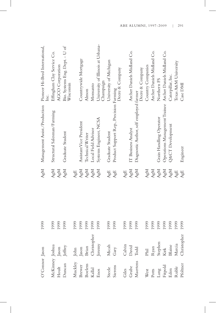| O'Connor Jason                            |                                                                          | 1999 | AgM | Management Assist./Production                            | Pioneer Hi-Bred International,<br>Inc.         |
|-------------------------------------------|--------------------------------------------------------------------------|------|-----|----------------------------------------------------------|------------------------------------------------|
| McKinney Joshua                           |                                                                          | 1999 | AgM | Structural Salesman/Farming                              | Effingham Clay Service Co.                     |
| $Hout$                                    |                                                                          | 1999 | AgM |                                                          | AGCO Corporation                               |
| Duncan                                    | Jason<br>Jeffrey                                                         | 1999 | AgM | Graduate Student                                         | Bio. Systems Eng. Dept. - U of<br>Wisconsin    |
| Muckley<br>Brewer<br>Boelens<br>Kallal    |                                                                          | 1999 | AgE |                                                          |                                                |
|                                           |                                                                          | 1999 | AgM | Assistant Vice President                                 | Countrywide Mortgage                           |
|                                           |                                                                          | 1999 | AgM | Technical Writer                                         | Almon                                          |
|                                           |                                                                          | 1999 | AgM | Local Field Advisor                                      | Monsanto                                       |
| Enos                                      | John<br>Jason<br>Brian<br>Christopher<br>Christopher<br>Jeremy           | 1999 | AgM | Systems Engineer, NCSA                                   | University of Illinois at Urbana-<br>Champaign |
| Steele                                    | Micah                                                                    | 1999 | AgE | Graduate Student                                         | University of Michigan                         |
| Sierens                                   | Gary                                                                     | 1999 | AgE | Product Support Rep., Precision Farming                  | Deere & Company                                |
| Giles                                     |                                                                          | 1999 | AgE |                                                          |                                                |
|                                           |                                                                          | 1999 | AgM | IT Business Analyst                                      | Archer Daniels Midland Co.                     |
| Grube<br>Maertens                         | Calvin<br>David<br>Todd                                                  | 1999 | AgM | Diagnostic Author, self employed farmer                  | Deere & Company                                |
| West                                      |                                                                          | 1999 | AgM |                                                          | Country Companies                              |
| Potts                                     |                                                                          | 1999 | AgM |                                                          | Archer Daniels Midland Co.                     |
|                                           | Phil<br>Ryan<br>Stephen<br>Stephen<br>Kirk<br>Blaine<br>Blaine<br>Marcia | 1999 | AgM | Grain Handling Operator                                  | Northern FS                                    |
|                                           |                                                                          | 1999 | AgM | Operations Management Trainee Archer Daniels Midland Co. |                                                |
|                                           |                                                                          | 1999 | AgM | Q&CT Development                                         | Caterpillar, Inc.                              |
| Lang<br>Fitpold<br>Eden<br>Ruble<br>Ruble |                                                                          | 1999 | AgE |                                                          | Texas A&M University                           |
|                                           |                                                                          | 1999 | AgE | Engineer                                                 | Case DMI                                       |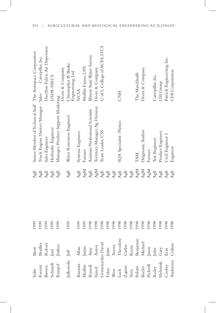| Soltz                                 | Brett                                                                                                                                                                                                                                                                       | 1999 | AgE                              | Senior Member of Technical Staff The Aerospace Corporation |                                           |
|---------------------------------------|-----------------------------------------------------------------------------------------------------------------------------------------------------------------------------------------------------------------------------------------------------------------------------|------|----------------------------------|------------------------------------------------------------|-------------------------------------------|
|                                       | Bradley<br>Robert                                                                                                                                                                                                                                                           | 1999 | AgE                              | Truck Engine District Manager - Sales                      | Caterpillar, Inc.                         |
|                                       |                                                                                                                                                                                                                                                                             | 1999 | $\mathbf{A}\mathbf{g}\mathbf{E}$ | Sales Engineer                                             | DuctSox Fabric Air Dispersion             |
|                                       |                                                                                                                                                                                                                                                                             | 1999 | ${\rm AgE}$                      | Hydraulic Engineer                                         | USDA-NRCS                                 |
| Everett<br>Brown<br>Schmidt<br>Kempel | Joel<br>Joshua                                                                                                                                                                                                                                                              | 1999 | AgE                              | Manager, Product Support Marketing                         | Deere & Company                           |
| Julkowski                             | $\rm{J}e\rm{f}f$                                                                                                                                                                                                                                                            | 1999 | AgE                              | Water Resources Engineer                                   | Christopher B. Burke<br>Engineering, Ltd. |
|                                       |                                                                                                                                                                                                                                                                             | 1999 | AgE                              | Systems Engineer                                           | <b>NCSA</b>                               |
|                                       | Bautista Allan<br>Moffitt Justin<br>Ausell Amy<br>Russell Amor<br>Gerstenecker David<br>Foley John<br>Teach Theodore<br>Zapata Carlos<br>Vora Keyur<br>Poletti Benjamin<br>Pekerl Jason<br>Recker Michael<br>Recker Michael<br>Recker Michael<br>Recker Michael<br>Recker M | 1999 | AgM                              | Farmer                                                     | Moffitt Farms, UPS                        |
|                                       |                                                                                                                                                                                                                                                                             | 1998 | AgE                              | Assistant Professional Scientist                           | Illinois State Water Survey               |
|                                       |                                                                                                                                                                                                                                                                             | 1998 | AgM                              | Territory Manager, Ag Division                             | Deere & Company                           |
|                                       |                                                                                                                                                                                                                                                                             | 1998 | ${\rm AgE}$                      | Team Leader, CSS                                           | U of I, College of ACES, ITCS             |
|                                       |                                                                                                                                                                                                                                                                             | 1998 | ${\rm AgE}$                      |                                                            |                                           |
|                                       |                                                                                                                                                                                                                                                                             | 1998 | ${\rm AgE}$                      |                                                            |                                           |
|                                       |                                                                                                                                                                                                                                                                             | 1998 | $\mathbb{A}\mathrm{g}\mathbb{E}$ | SQA Specialist-Plastics                                    | ENE                                       |
|                                       |                                                                                                                                                                                                                                                                             | 1998 | AgE                              |                                                            |                                           |
|                                       |                                                                                                                                                                                                                                                                             | 1998 | AgE                              |                                                            |                                           |
|                                       |                                                                                                                                                                                                                                                                             | 1998 | AgM                              | <b>TAM</b>                                                 | The Maschhoffs                            |
|                                       |                                                                                                                                                                                                                                                                             | 1998 | AgM                              | Diagnostic Author                                          | Deere & Company                           |
|                                       |                                                                                                                                                                                                                                                                             | 1998 | AgM                              | Farmer                                                     |                                           |
|                                       |                                                                                                                                                                                                                                                                             | 1998 | $\mathbb{A}\mathrm{g}\mathbb{E}$ | Test Engineer                                              | Caterpillar, Inc.                         |
|                                       |                                                                                                                                                                                                                                                                             | 1998 | ${\rm AgE}$                      | Product Engineer                                           | GSI Group                                 |
|                                       |                                                                                                                                                                                                                                                                             | 1998 | AgE                              | Civil Engineer                                             | Patrick Engineering, Inc.                 |
|                                       | Coltor                                                                                                                                                                                                                                                                      | 1998 | AgE                              | Engineer                                                   | CDI Corporation                           |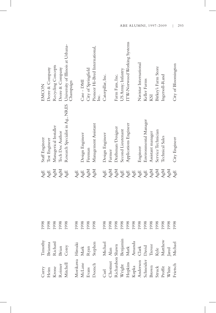| Curry                                 | Timothy                                                                                                                                                                                                                                                                | 1998 | AgE                              | Staff Engineer                                                     | EMCON                                  |
|---------------------------------------|------------------------------------------------------------------------------------------------------------------------------------------------------------------------------------------------------------------------------------------------------------------------|------|----------------------------------|--------------------------------------------------------------------|----------------------------------------|
| $\label{eq:Heim} \operatorname{Heim}$ | Brianna                                                                                                                                                                                                                                                                | 1998 | AgE                              | Test Engineer                                                      | Deere & Company                        |
| Krone<br>Reimer                       | Richard                                                                                                                                                                                                                                                                | 1998 | AgM                              | Managerical Installer                                              | Recycling Concepts                     |
|                                       | Brian                                                                                                                                                                                                                                                                  | 1998 | AgM                              | Tech Doc Author                                                    | Deere & Company                        |
| Mitchell<br>Mitchell                  | Corey                                                                                                                                                                                                                                                                  | 1998 | AgE                              | Research Specialist in Ag., NRES University of Illinois at Urbana- | Champaign                              |
| Morikawa                              | Hiroaki                                                                                                                                                                                                                                                                | 1998 | AgE                              |                                                                    |                                        |
| McLane                                |                                                                                                                                                                                                                                                                        | 1998 | AgE                              | Design Engineer                                                    | Case - DMI                             |
|                                       |                                                                                                                                                                                                                                                                        | 1998 | AgM                              | Fireman                                                            | City of Springfield                    |
| Evans<br>Doench                       | Mark<br>Ryan<br>Stephen                                                                                                                                                                                                                                                | 1998 | AgM                              | Management Assistant                                               | Pioneer Hi-Bred International,<br>Inc. |
| Curl<br>Chestnut                      | Michael                                                                                                                                                                                                                                                                | 1998 | AgE                              | Design Engineer                                                    | Caterpillar, Inc.                      |
|                                       |                                                                                                                                                                                                                                                                        |      | AgM                              | Farmer                                                             |                                        |
|                                       |                                                                                                                                                                                                                                                                        |      | AgM                              | Draftsman/Designer                                                 | Farm Fans, Inc.                        |
|                                       |                                                                                                                                                                                                                                                                        |      | AgE                              | Second Lieutenant                                                  | US Army; Infantry                      |
|                                       |                                                                                                                                                                                                                                                                        |      | AgE                              | Applications Engineer                                              | ITW-Norwood Working Systems            |
|                                       |                                                                                                                                                                                                                                                                        |      | $\mathbf{A}\mathbf{g}\mathbf{E}$ |                                                                    |                                        |
|                                       |                                                                                                                                                                                                                                                                        |      | AgE                              | Engineer                                                           | Navistar International                 |
|                                       |                                                                                                                                                                                                                                                                        |      | $\mathbf{A}\mathbf{g}\mathbf{E}$ | Environmental Manager                                              | Keller Farms                           |
|                                       |                                                                                                                                                                                                                                                                        |      | AgM                              | Assistant manager                                                  | KSI                                    |
|                                       |                                                                                                                                                                                                                                                                        |      | AgM                              | Service Technician                                                 | Birkey's Farm Store                    |
|                                       |                                                                                                                                                                                                                                                                        |      | AgM                              | Technical Sales                                                    | Ingersoll-Rand                         |
|                                       |                                                                                                                                                                                                                                                                        |      | AgM                              |                                                                    |                                        |
|                                       | Unestnut Alan<br>Richardson Shawn<br>Vright Benjamin<br>opkins Mark<br>eka Annanda<br>eider David<br>11<br>opkins Clark<br>eider David<br>11<br>11<br>12<br>Frevor<br>199,<br>Kyle<br>Matthew 199,<br>Matthew 199,<br>Matthew 199,<br>Matthew 199,<br>Matthew 199,<br> |      | AgE                              | City Engineer                                                      | City of Bloomington                    |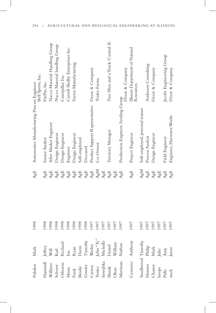| Pulokas                                   | Mark                                                                                                                                                                                                 | 1998 | AgE         | Automotive Manufacturing Process Engineer<br>Bell Sports, Inc. |                                             |
|-------------------------------------------|------------------------------------------------------------------------------------------------------------------------------------------------------------------------------------------------------|------|-------------|----------------------------------------------------------------|---------------------------------------------|
| Hammil                                    | $\rm{Jeff}$ $\rm{v}$                                                                                                                                                                                 | 1998 | AgE         | Senior Analyst                                                 | FinPro, Inc.                                |
| Willmes                                   |                                                                                                                                                                                                      | 1998 | ${\rm AgE}$ | After Market Engineer                                          | Nacco Material Handling Group               |
| Scherer                                   | $\rm{Karl}$                                                                                                                                                                                          | 1998 | ${\rm AgE}$ | Design Engineer                                                | Nacco Material handling Group               |
| Osborne                                   | Richard                                                                                                                                                                                              | 1998 | ${\rm AgE}$ | Design Engineer                                                | Caterpillar, Inc.                           |
| Mann                                      |                                                                                                                                                                                                      | 1998 | ${\rm AgE}$ | Engineer                                                       | Carroll Shelby Enterprises Inc.             |
| $\ensuremath{\textnormal{\texttt{Funk}}}$ |                                                                                                                                                                                                      | 1998 | ${\rm AgE}$ | Design Engineer                                                | Vactor Manufacturing                        |
| <b>Brodie</b>                             |                                                                                                                                                                                                      | 1998 | ${\rm AgE}$ | Self-employed                                                  |                                             |
| Gowler                                    |                                                                                                                                                                                                      | 1998 | ${\rm AgE}$ | Deceased                                                       |                                             |
|                                           |                                                                                                                                                                                                      | 1997 | ${\rm AgE}$ | Product Support Representative                                 | Deere & Company                             |
| Carney<br>Trisler                         |                                                                                                                                                                                                      | 1997 | AgM         | Co-Owner                                                       | Trisler Farms                               |
| Szwejbka                                  | $\begin{tabular}{l} \hline \texttt{Ian} \\ \texttt{Ryan} \\ \texttt{Darm} \\ \texttt{Tinotby} \\ \texttt{Wesley} \\ \texttt{Dohs ``Ty''} \\ \texttt{John ``Ty''} \\ \texttt{Michelle} \end{tabular}$ | 1997 | AgE         |                                                                |                                             |
| Shunk                                     | Daniel                                                                                                                                                                                               | 1997 | AgE         | Territory Manager                                              | Two Men and a Truck/Central IL              |
| Olsen                                     | William                                                                                                                                                                                              | 1997 | AgE         |                                                                |                                             |
| Mariman                                   | Nathan                                                                                                                                                                                               | 1997 | AgE         | Production Engineer, Seeding Group                             | Deere & Company                             |
| Comerio Anthony                           |                                                                                                                                                                                                      | 1997 | AgE         | Project Engineer                                               | Illinois Department of Natural<br>Resources |
| Smallwood Timothy                         |                                                                                                                                                                                                      | 1997 | AgM         | Self-employed, personal trainer                                |                                             |
| Heisner                                   |                                                                                                                                                                                                      | 1997 | ${\rm AgE}$ | Process Analyst                                                | Andersen Consulting                         |
| Chaney                                    |                                                                                                                                                                                                      | 1997 | ${\rm AgE}$ | Design Engineer                                                | Deere & Company                             |
| hoops                                     | $\begin{array}{c} \rm{Philip}\\ \rm{Mark}\\ \rm{Julie}\\ \rm{Any}\\ \rm{Ason} \end{array}$                                                                                                           | 1997 | ${\rm AgE}$ |                                                                |                                             |
| $_{\rm Palo}$                             |                                                                                                                                                                                                      | 1997 | AgE         | <b>Field Engineer</b>                                          | Jacobs Engineering Group                    |
| stack                                     |                                                                                                                                                                                                      | 1997 | AgE         | Engineer, Harvestor Works                                      | Deere & Company                             |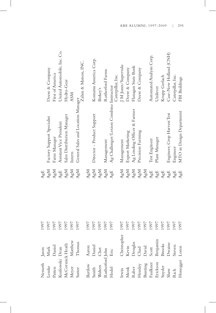| Nemeth          | Jason         | 1997 | AgE                              |                                         |                             |
|-----------------|---------------|------|----------------------------------|-----------------------------------------|-----------------------------|
| Lemke           | Mark          | 1997 | AgM                              | Factory Support Specialist              | Deere & Company             |
| Patten          | Daniel        | 1997 | AgM                              | Farm Manager                            | First of America            |
| Kozlowski Dean  |               | 1997 | AgE                              | Assistant Vice President                | United Automobile, Inc. Co. |
| McCormick Heath |               | 1997 | AgM                              | Sales Distriburion Manager              | Hydro-Gear                  |
| Meyer           | Matthew       | 1997 | AgM                              | Intern                                  | <b>ASM</b>                  |
| Sutter          | Thomas        | 1997 | AgM                              | General Sales and Location Manager      | Zahm & Matson, INC.         |
| Bartlow         | Aaron         | 1997 | AgM                              |                                         |                             |
| Smith           | Daniel        | 1997 | AgM                              | Director - Product Support              | Komatsu America Corp.       |
| Walters         | Chet          | 1997 | AgM                              |                                         | Birkey's                    |
| Rutherford John |               | 1997 | AgM                              | Management                              | Rutherford Farms            |
| Hodel           | Eric          | 1997 | AgE                              | Ag Challenger/Lexion Combine Instructor | Caterpillar, Inc.           |
| Irwin           | Christopher   | 1997 | AgM                              | Management                              | J M Jones/Supervalu         |
| Monk            | Kevin         | 1997 | AgM                              | Export Marketing                        | Deere & Company             |
| Raber           | Douglas       | 1997 | AgM                              | Ag Lending Officer & Farmer             | Flanagan State Bank         |
| Hensley         | Chad          | 1997 | AgM                              | Precision Farming                       | Deere & Company             |
| Bunting         | David         | 1997 | AgM                              |                                         |                             |
| Faulkner        | Scott         | 1997 | $\mathbf{A}\mathbf{g}\mathbf{E}$ | Test Engineer                           | Automated Analysis Corp.    |
| Erickson        | Benjamin      | 1997 | $\mathbf{A}\mathbf{g}\mathbf{E}$ | Plant Manager                           | Unilever                    |
| Snyder          | <b>Brooks</b> | 1997 | $\mathbb{A}\mathrm{g}\mathbb{E}$ |                                         | Krupp Gerlach               |
| Shaw            | Dwaine        | 1997 | ${\rm AgE}$                      | Engineer, Crop Harvest Test             | Case-New Holland (CNH)      |
| Rich            | Steven        | 1997 | AgE                              | Engineer                                | Caterpillar, Inc.           |
| Honegger Loren  |               | 1997 | AgE                              | MTO in Design Department                | FBI Buildings               |